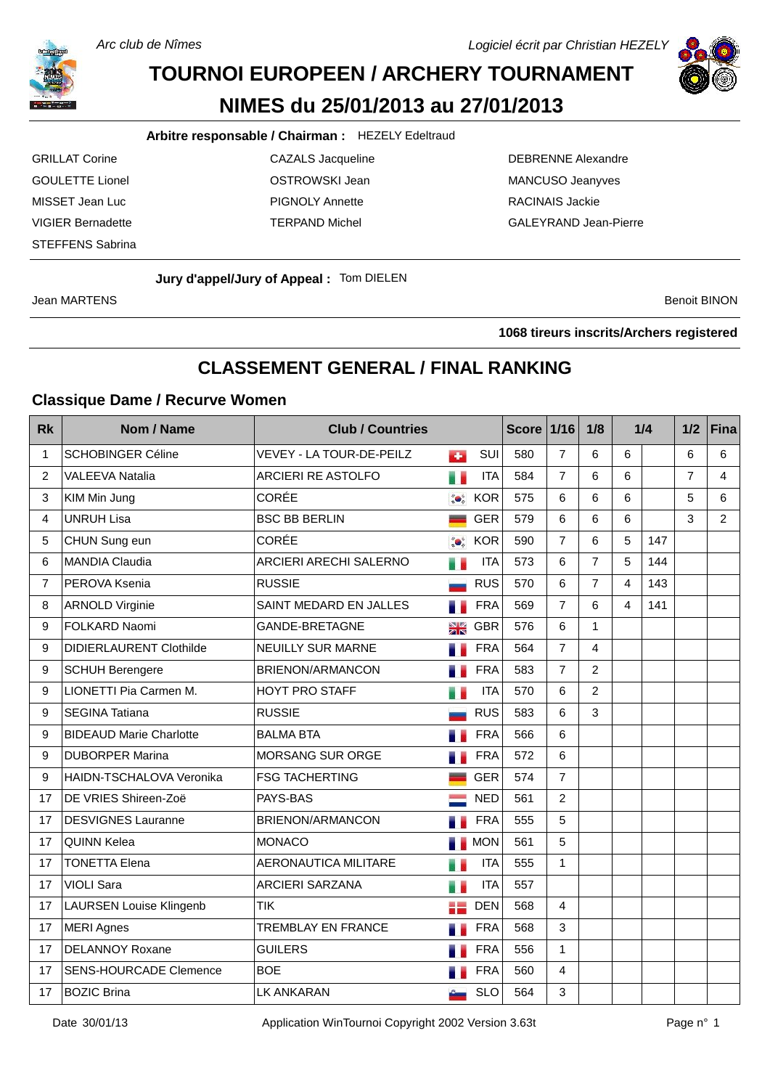Arc club de Nîmes

Logiciel écrit par Christian HEZELY



# **TOURNOI EUROPEEN / ARCHERY TOURNAMENT NIMES du 25/01/2013 au 27/01/2013**

#### **Arbitre responsable / Chairman :** HEZELY Edeltraud

- STEFFENS Sabrina
- GRILLAT Corine **CAZALS** Jacqueline **CAZALS** DEBRENNE Alexandre GOULETTE Lionel **COULETTE** Lionel **COULETTE** Lionel MISSET Jean Luc PIGNOLY Annette RACINAIS Jackie
- VIGIER Bernadette TERPAND Michel GALEYRAND Jean-Pierre

#### **Jury d'appel/Jury of Appeal :** Tom DIELEN

Jean MARTENS Benoit BINON

**tireurs inscrits/Archers registered**

## **CLASSEMENT GENERAL / FINAL RANKING**

#### **Classique Dame / Recurve Women**

| <b>Rk</b>      | Nom / Name                      | <b>Club / Countries</b>       |                                        |            | <b>Score</b> | $1/16$         | 1/8            |   | 1/4 | 1/2            | Fina           |
|----------------|---------------------------------|-------------------------------|----------------------------------------|------------|--------------|----------------|----------------|---|-----|----------------|----------------|
| 1              | <b>SCHOBINGER Céline</b>        | VEVEY - LA TOUR-DE-PEILZ      | а.                                     | SUI        | 580          | $\overline{7}$ | 6              | 6 |     | 6              | 6              |
| $\overline{2}$ | <b>VALEEVA Natalia</b>          | <b>ARCIERI RE ASTOLFO</b>     | H S                                    | <b>ITA</b> | 584          | $\overline{7}$ | 6              | 6 |     | $\overline{7}$ | $\overline{4}$ |
| 3              | KIM Min Jung                    | <b>CORÉE</b>                  | $\mathbf{Q}^{\mathrm{c}}_{\mathrm{a}}$ | <b>KOR</b> | 575          | 6              | 6              | 6 |     | 5              | 6              |
| 4              | <b>UNRUH Lisa</b>               | <b>BSC BB BERLIN</b>          |                                        | <b>GER</b> | 579          | 6              | 6              | 6 |     | 3              | $\overline{2}$ |
| 5              | CHUN Sung eun                   | <b>CORÉE</b>                  | $\bullet$                              | <b>KOR</b> | 590          | $\overline{7}$ | 6              | 5 | 147 |                |                |
| 6              | <b>MANDIA Claudia</b>           | <b>ARCIERI ARECHI SALERNO</b> | e e                                    | <b>ITA</b> | 573          | 6              | $\overline{7}$ | 5 | 144 |                |                |
| 7              | PEROVA Ksenia                   | <b>RUSSIE</b>                 |                                        | <b>RUS</b> | 570          | 6              | $\overline{7}$ | 4 | 143 |                |                |
| 8              | <b>ARNOLD Virginie</b>          | SAINT MEDARD EN JALLES        | ۰.                                     | <b>FRA</b> | 569          | $\overline{7}$ | 6              | 4 | 141 |                |                |
| 9              | FOLKARD Naomi                   | <b>GANDE-BRETAGNE</b>         | NK<br>21 N                             | <b>GBR</b> | 576          | 6              | $\mathbf{1}$   |   |     |                |                |
| 9              | <b>DIDIERLAURENT Clothilde</b>  | NEUILLY SUR MARNE             | ۰.                                     | <b>FRA</b> | 564          | $\overline{7}$ | $\overline{4}$ |   |     |                |                |
| 9              | <b>SCHUH Berengere</b>          | <b>BRIENON/ARMANCON</b>       | a.                                     | <b>FRA</b> | 583          | $\overline{7}$ | $\overline{2}$ |   |     |                |                |
| 9              | LIONETTI Pia Carmen M.          | HOYT PRO STAFF                | e e                                    | <b>ITA</b> | 570          | 6              | 2              |   |     |                |                |
| 9              | <b>SEGINA Tatiana</b>           | <b>RUSSIE</b>                 |                                        | <b>RUS</b> | 583          | $6\phantom{a}$ | 3              |   |     |                |                |
| 9              | <b>BIDEAUD Marie Charlotte</b>  | <b>BALMA BTA</b>              | a.                                     | <b>FRA</b> | 566          | 6              |                |   |     |                |                |
| 9              | <b>DUBORPER Marina</b>          | <b>MORSANG SUR ORGE</b>       |                                        | <b>FRA</b> | 572          | 6              |                |   |     |                |                |
| 9              | <b>HAIDN-TSCHALOVA Veronika</b> | <b>FSG TACHERTING</b>         |                                        | <b>GER</b> | 574          | $\overline{7}$ |                |   |     |                |                |
| 17             | DE VRIES Shireen-Zoë            | PAYS-BAS                      |                                        | <b>NED</b> | 561          | $\overline{2}$ |                |   |     |                |                |
| 17             | <b>DESVIGNES Lauranne</b>       | BRIENON/ARMANCON              |                                        | <b>FRA</b> | 555          | 5              |                |   |     |                |                |
| 17             | <b>QUINN Kelea</b>              | <b>MONACO</b>                 |                                        | <b>NON</b> | 561          | 5              |                |   |     |                |                |
| 17             | <b>TONETTA Elena</b>            | <b>AERONAUTICA MILITARE</b>   | m e                                    | <b>ITA</b> | 555          | $\mathbf{1}$   |                |   |     |                |                |
| 17             | <b>VIOLI Sara</b>               | ARCIERI SARZANA               | ä.                                     | <b>ITA</b> | 557          |                |                |   |     |                |                |
| 17             | <b>LAURSEN Louise Klingenb</b>  | <b>TIK</b>                    | :≡                                     | <b>DEN</b> | 568          | $\overline{4}$ |                |   |     |                |                |
| 17             | <b>MERI Agnes</b>               | TREMBLAY EN FRANCE            | .,                                     | <b>FRA</b> | 568          | 3              |                |   |     |                |                |
| 17             | <b>DELANNOY Roxane</b>          | <b>GUILERS</b>                |                                        | <b>FRA</b> | 556          | $\mathbf{1}$   |                |   |     |                |                |
| 17             | <b>SENS-HOURCADE Clemence</b>   | <b>BOE</b>                    |                                        | <b>FRA</b> | 560          | 4              |                |   |     |                |                |
| 17             | <b>BOZIC Brina</b>              | LK ANKARAN                    |                                        | <b>SLO</b> | 564          | 3              |                |   |     |                |                |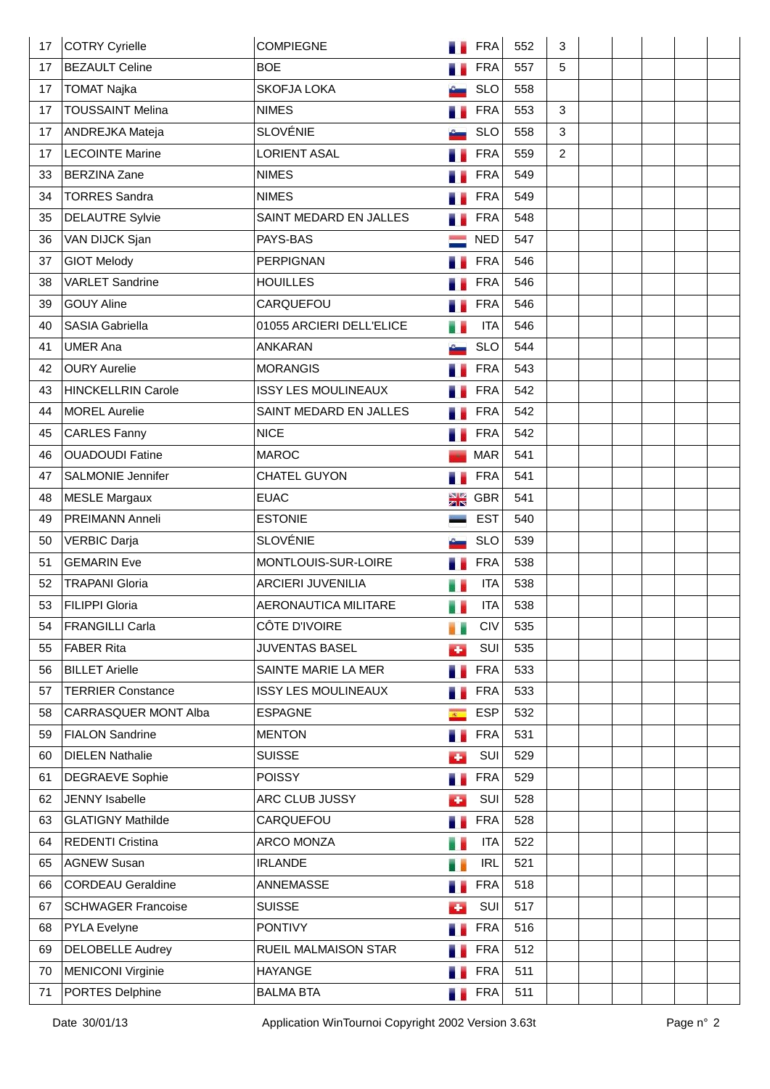| 17 | COTRY Cyrielle            | <b>COMPIEGNE</b>           |                      | <b>FRA</b> | 552 | 3              |  |  |  |
|----|---------------------------|----------------------------|----------------------|------------|-----|----------------|--|--|--|
| 17 | <b>BEZAULT Celine</b>     | <b>BOE</b>                 |                      | <b>FRA</b> | 557 | 5              |  |  |  |
| 17 | <b>TOMAT Najka</b>        | <b>SKOFJA LOKA</b>         |                      | <b>SLO</b> | 558 |                |  |  |  |
| 17 | <b>TOUSSAINT Melina</b>   | <b>NIMES</b>               |                      | <b>FRA</b> | 553 | 3              |  |  |  |
| 17 | ANDREJKA Mateja           | <b>SLOVÉNIE</b>            |                      | <b>SLO</b> | 558 | 3              |  |  |  |
| 17 | <b>LECOINTE Marine</b>    | <b>LORIENT ASAL</b>        |                      | <b>FRA</b> | 559 | $\overline{2}$ |  |  |  |
| 33 | <b>BERZINA Zane</b>       | <b>NIMES</b>               |                      | <b>FRA</b> | 549 |                |  |  |  |
| 34 | <b>TORRES Sandra</b>      | <b>NIMES</b>               |                      | <b>FRA</b> | 549 |                |  |  |  |
| 35 | <b>DELAUTRE Sylvie</b>    | SAINT MEDARD EN JALLES     |                      | <b>FRA</b> | 548 |                |  |  |  |
| 36 | VAN DIJCK Sjan            | PAYS-BAS                   |                      | <b>NED</b> | 547 |                |  |  |  |
| 37 | <b>GIOT Melody</b>        | <b>PERPIGNAN</b>           |                      | <b>FRA</b> | 546 |                |  |  |  |
| 38 | <b>VARLET Sandrine</b>    | <b>HOUILLES</b>            |                      | <b>FRA</b> | 546 |                |  |  |  |
| 39 | <b>GOUY Aline</b>         | CARQUEFOU                  |                      | <b>FRA</b> | 546 |                |  |  |  |
| 40 | <b>SASIA Gabriella</b>    | 01055 ARCIERI DELL'ELICE   |                      | <b>ITA</b> | 546 |                |  |  |  |
| 41 | <b>UMER Ana</b>           | <b>ANKARAN</b>             |                      | <b>SLO</b> | 544 |                |  |  |  |
| 42 | <b>OURY Aurelie</b>       | <b>MORANGIS</b>            |                      | <b>FRA</b> | 543 |                |  |  |  |
| 43 | <b>HINCKELLRIN Carole</b> | <b>ISSY LES MOULINEAUX</b> |                      | <b>FRA</b> | 542 |                |  |  |  |
| 44 | <b>MOREL Aurelie</b>      | SAINT MEDARD EN JALLES     |                      | <b>FRA</b> | 542 |                |  |  |  |
| 45 | <b>CARLES Fanny</b>       | <b>NICE</b>                |                      | <b>FRA</b> | 542 |                |  |  |  |
| 46 | <b>OUADOUDI Fatine</b>    | <b>MAROC</b>               |                      | <b>MAR</b> | 541 |                |  |  |  |
| 47 | <b>SALMONIE Jennifer</b>  | CHATEL GUYON               |                      | <b>FRA</b> | 541 |                |  |  |  |
| 48 | <b>MESLE Margaux</b>      | <b>EUAC</b>                | N Ø<br>Zir           | <b>GBR</b> | 541 |                |  |  |  |
| 49 | PREIMANN Anneli           | <b>ESTONIE</b>             |                      | <b>EST</b> | 540 |                |  |  |  |
| 50 | <b>VERBIC Darja</b>       | <b>SLOVÉNIE</b>            |                      | <b>SLO</b> | 539 |                |  |  |  |
| 51 | <b>GEMARIN Eve</b>        | MONTLOUIS-SUR-LOIRE        | n.                   | <b>FRA</b> | 538 |                |  |  |  |
| 52 | <b>TRAPANI Gloria</b>     | <b>ARCIERI JUVENILIA</b>   |                      | <b>ITA</b> | 538 |                |  |  |  |
| 53 | <b>FILIPPI Gloria</b>     | AERONAUTICA MILITARE       | e e                  | <b>ITA</b> | 538 |                |  |  |  |
| 54 | <b>FRANGILLI Carla</b>    | CÔTE D'IVOIRE              | e a                  | CIV        | 535 |                |  |  |  |
| 55 | <b>FABER Rita</b>         | <b>JUVENTAS BASEL</b>      | СÞ.                  | SUI        | 535 |                |  |  |  |
| 56 | <b>BILLET Arielle</b>     | SAINTE MARIE LA MER        | n e                  | <b>FRA</b> | 533 |                |  |  |  |
| 57 | <b>TERRIER Constance</b>  | <b>ISSY LES MOULINEAUX</b> | a.                   | <b>FRA</b> | 533 |                |  |  |  |
| 58 | CARRASQUER MONT Alba      | <b>ESPAGNE</b>             | $\overline{R^{(1)}}$ | <b>ESP</b> | 532 |                |  |  |  |
| 59 | <b>FIALON Sandrine</b>    | <b>MENTON</b>              | a.                   | <b>FRA</b> | 531 |                |  |  |  |
| 60 | <b>DIELEN Nathalie</b>    | <b>SUISSE</b>              | s.                   | SUI        | 529 |                |  |  |  |
| 61 | <b>DEGRAEVE Sophie</b>    | <b>POISSY</b>              | ÷.                   | <b>FRA</b> | 529 |                |  |  |  |
| 62 | <b>JENNY Isabelle</b>     | ARC CLUB JUSSY             | d.                   | SUI        | 528 |                |  |  |  |
| 63 | <b>GLATIGNY Mathilde</b>  | CARQUEFOU                  | a.                   | <b>FRA</b> | 528 |                |  |  |  |
| 64 | <b>REDENTI Cristina</b>   | ARCO MONZA                 | e e                  | <b>ITA</b> | 522 |                |  |  |  |
| 65 | <b>AGNEW Susan</b>        | <b>IRLANDE</b>             | 11                   | <b>IRL</b> | 521 |                |  |  |  |
| 66 | <b>CORDEAU Geraldine</b>  | ANNEMASSE                  | a.                   | <b>FRA</b> | 518 |                |  |  |  |
| 67 | <b>SCHWAGER Francoise</b> | <b>SUISSE</b>              | d.                   | SUI        | 517 |                |  |  |  |
| 68 | <b>PYLA Evelyne</b>       | <b>PONTIVY</b>             | . .                  | <b>FRA</b> | 516 |                |  |  |  |
| 69 | <b>DELOBELLE Audrey</b>   | RUEIL MALMAISON STAR       |                      | <b>FRA</b> | 512 |                |  |  |  |
| 70 | MENICONI Virginie         | <b>HAYANGE</b>             |                      | <b>FRA</b> | 511 |                |  |  |  |
| 71 | PORTES Delphine           | <b>BALMA BTA</b>           | a e                  | <b>FRA</b> | 511 |                |  |  |  |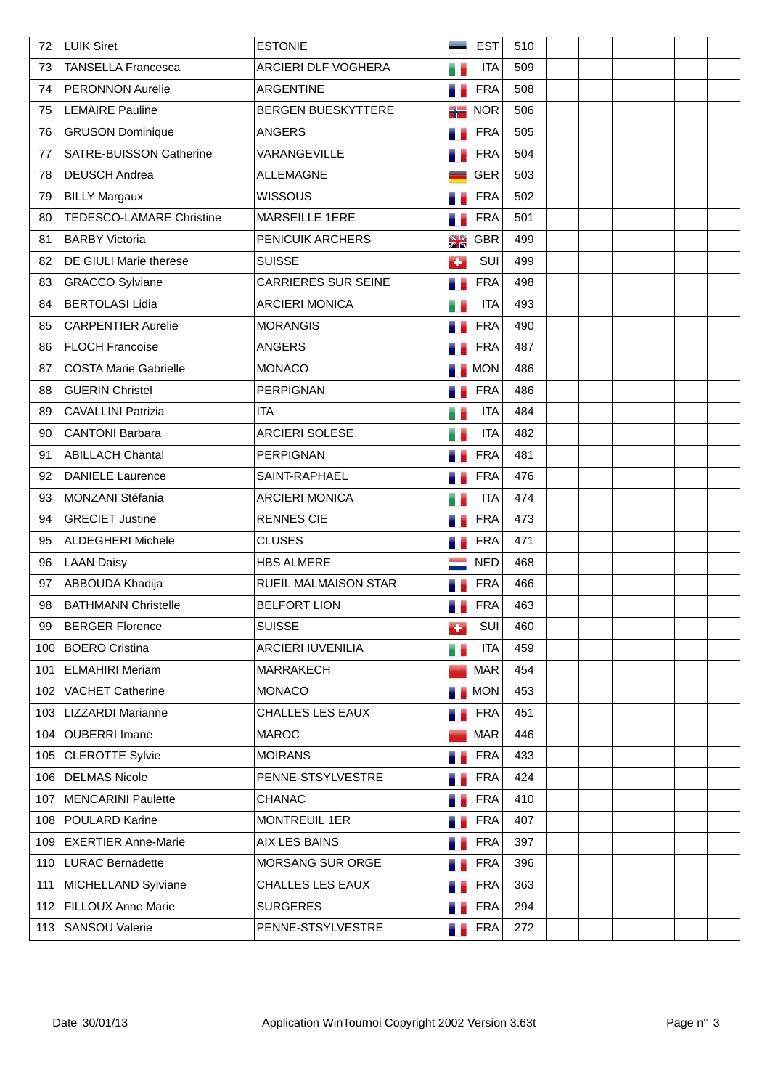| 72  | <b>LUIK Siret</b>               | <b>ESTONIE</b>             |     | <b>EST</b> | 510 |  |  |  |
|-----|---------------------------------|----------------------------|-----|------------|-----|--|--|--|
| 73  | <b>TANSELLA Francesca</b>       | ARCIERI DLF VOGHERA        |     | <b>ITA</b> | 509 |  |  |  |
| 74  | <b>PERONNON Aurelie</b>         | ARGENTINE                  |     | <b>FRA</b> | 508 |  |  |  |
| 75  | <b>LEMAIRE Pauline</b>          | <b>BERGEN BUESKYTTERE</b>  | 岩岩  | <b>NOR</b> | 506 |  |  |  |
| 76  | <b>GRUSON Dominique</b>         | <b>ANGERS</b>              |     | <b>FRA</b> | 505 |  |  |  |
| 77  | SATRE-BUISSON Catherine         | VARANGEVILLE               |     | <b>FRA</b> | 504 |  |  |  |
| 78  | <b>DEUSCH Andrea</b>            | <b>ALLEMAGNE</b>           |     | <b>GER</b> | 503 |  |  |  |
| 79  | <b>BILLY Margaux</b>            | <b>WISSOUS</b>             |     | <b>FRA</b> | 502 |  |  |  |
| 80  | <b>TEDESCO-LAMARE Christine</b> | <b>MARSEILLE 1ERE</b>      |     | <b>FRA</b> | 501 |  |  |  |
| 81  | <b>BARBY Victoria</b>           | PENICUIK ARCHERS           | NØ  | <b>GBR</b> | 499 |  |  |  |
| 82  | DE GIULI Marie therese          | <b>SUISSE</b>              | ٠   | SUI        | 499 |  |  |  |
| 83  | <b>GRACCO Sylviane</b>          | <b>CARRIERES SUR SEINE</b> |     | <b>FRA</b> | 498 |  |  |  |
| 84  | <b>BERTOLASI Lidia</b>          | <b>ARCIERI MONICA</b>      |     | <b>ITA</b> | 493 |  |  |  |
| 85  | <b>CARPENTIER Aurelie</b>       | <b>MORANGIS</b>            |     | <b>FRA</b> | 490 |  |  |  |
| 86  | <b>FLOCH Francoise</b>          | <b>ANGERS</b>              |     | <b>FRA</b> | 487 |  |  |  |
| 87  | <b>COSTA Marie Gabrielle</b>    | <b>MONACO</b>              |     | <b>MON</b> | 486 |  |  |  |
| 88  | <b>GUERIN Christel</b>          | <b>PERPIGNAN</b>           |     | <b>FRA</b> | 486 |  |  |  |
| 89  | <b>CAVALLINI Patrizia</b>       | <b>ITA</b>                 |     | <b>ITA</b> | 484 |  |  |  |
| 90  | <b>CANTONI Barbara</b>          | <b>ARCIERI SOLESE</b>      |     | <b>ITA</b> | 482 |  |  |  |
| 91  | <b>ABILLACH Chantal</b>         | <b>PERPIGNAN</b>           |     | <b>FRA</b> | 481 |  |  |  |
| 92  | <b>DANIELE Laurence</b>         | SAINT-RAPHAEL              |     | <b>FRA</b> | 476 |  |  |  |
| 93  | MONZANI Stéfania                | <b>ARCIERI MONICA</b>      |     | <b>ITA</b> | 474 |  |  |  |
| 94  | <b>GRECIET Justine</b>          | <b>RENNES CIE</b>          |     | <b>FRA</b> | 473 |  |  |  |
| 95  | <b>ALDEGHERI Michele</b>        | <b>CLUSES</b>              |     | <b>FRA</b> | 471 |  |  |  |
| 96  | <b>LAAN Daisy</b>               | <b>HBS ALMERE</b>          |     | <b>NED</b> | 468 |  |  |  |
| 97  | ABBOUDA Khadija                 | RUEIL MALMAISON STAR       |     | <b>FRA</b> | 466 |  |  |  |
| 98  | <b>BATHMANN Christelle</b>      | <b>BELFORT LION</b>        |     | <b>FRA</b> | 463 |  |  |  |
| 99  | <b>BERGER Florence</b>          | <b>SUISSE</b>              | бÞ. | SUI        | 460 |  |  |  |
| 100 | <b>BOERO Cristina</b>           | <b>ARCIERI IUVENILIA</b>   | ä,  | <b>ITA</b> | 459 |  |  |  |
| 101 | <b>ELMAHIRI Meriam</b>          | MARRAKECH                  |     | <b>MAR</b> | 454 |  |  |  |
| 102 | <b>VACHET Catherine</b>         | <b>MONACO</b>              |     | <b>MON</b> | 453 |  |  |  |
| 103 | LIZZARDI Marianne               | <b>CHALLES LES EAUX</b>    |     | <b>FRA</b> | 451 |  |  |  |
| 104 | <b>OUBERRI Imane</b>            | <b>MAROC</b>               |     | <b>MAR</b> | 446 |  |  |  |
| 105 | <b>CLEROTTE Sylvie</b>          | <b>MOIRANS</b>             |     | <b>FRA</b> | 433 |  |  |  |
| 106 | <b>DELMAS Nicole</b>            | PENNE-STSYLVESTRE          |     | <b>FRA</b> | 424 |  |  |  |
| 107 | MENCARINI Paulette              | <b>CHANAC</b>              |     | <b>FRA</b> | 410 |  |  |  |
| 108 | <b>POULARD Karine</b>           | <b>MONTREUIL 1ER</b>       |     | <b>FRA</b> | 407 |  |  |  |
| 109 | <b>EXERTIER Anne-Marie</b>      | AIX LES BAINS              |     | <b>FRA</b> | 397 |  |  |  |
| 110 | <b>LURAC Bernadette</b>         | MORSANG SUR ORGE           |     | <b>FRA</b> | 396 |  |  |  |
| 111 | MICHELLAND Sylviane             | CHALLES LES EAUX           |     | <b>FRA</b> | 363 |  |  |  |
| 112 | <b>FILLOUX Anne Marie</b>       | <b>SURGERES</b>            |     | <b>FRA</b> | 294 |  |  |  |
| 113 | <b>SANSOU Valerie</b>           | PENNE-STSYLVESTRE          | a a | <b>FRA</b> | 272 |  |  |  |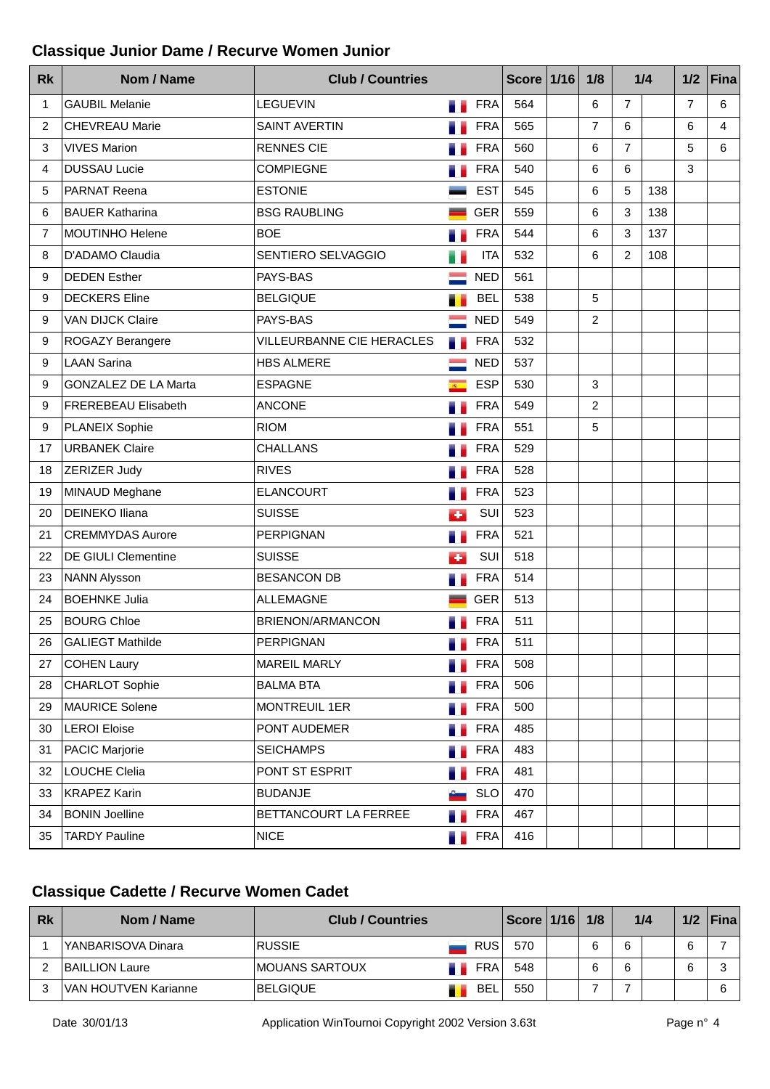#### **Classique Junior Dame / Recurve Women Junior**

| <b>Rk</b> | Nom / Name                  | <b>Club / Countries</b>   |                        |                 | Score $1/16$ | 1/8            | 1/4            |     | 1/2            | <b>Fina</b> |
|-----------|-----------------------------|---------------------------|------------------------|-----------------|--------------|----------------|----------------|-----|----------------|-------------|
| 1         | <b>GAUBIL Melanie</b>       | <b>LEGUEVIN</b>           | . .                    | <b>FRA</b>      | 564          | 6              | 7              |     | $\overline{7}$ | 6           |
| 2         | <b>CHEVREAU Marie</b>       | <b>SAINT AVERTIN</b>      |                        | <b>FRA</b>      | 565          | $\overline{7}$ | 6              |     | 6              | 4           |
| 3         | <b>VIVES Marion</b>         | <b>RENNES CIE</b>         |                        | <b>FRA</b>      | 560          | 6              | $\overline{7}$ |     | 5              | 6           |
| 4         | <b>DUSSAU Lucie</b>         | <b>COMPIEGNE</b>          |                        | <b>FRA</b>      | 540          | 6              | 6              |     | 3              |             |
| 5         | <b>PARNAT Reena</b>         | <b>ESTONIE</b>            |                        | <b>EST</b>      | 545          | 6              | 5              | 138 |                |             |
| 6         | <b>BAUER Katharina</b>      | <b>BSG RAUBLING</b>       |                        | <b>GER</b>      | 559          | 6              | 3              | 138 |                |             |
| 7         | MOUTINHO Helene             | <b>BOE</b>                |                        | <b>FRA</b>      | 544          | 6              | 3              | 137 |                |             |
| 8         | D'ADAMO Claudia             | SENTIERO SELVAGGIO        |                        | <b>ITA</b>      | 532          | 6              | $\overline{2}$ | 108 |                |             |
| 9         | <b>DEDEN Esther</b>         | PAYS-BAS                  |                        | <b>NED</b>      | 561          |                |                |     |                |             |
| 9         | <b>DECKERS</b> Eline        | <b>BELGIQUE</b>           |                        | <b>BEL</b>      | 538          | 5              |                |     |                |             |
| 9         | VAN DIJCK Claire            | PAYS-BAS                  |                        | <b>NED</b>      | 549          | $\overline{2}$ |                |     |                |             |
| 9         | ROGAZY Berangere            | VILLEURBANNE CIE HERACLES | a.                     | <b>FRA</b>      | 532          |                |                |     |                |             |
| 9         | <b>LAAN Sarina</b>          | <b>HBS ALMERE</b>         |                        | <b>NED</b>      | 537          |                |                |     |                |             |
| 9         | <b>GONZALEZ DE LA Marta</b> | <b>ESPAGNE</b>            | $\mathcal{R}^{\times}$ | <b>ESP</b>      | 530          | 3              |                |     |                |             |
| 9         | FREREBEAU Elisabeth         | <b>ANCONE</b>             |                        | <b>FRA</b>      | 549          | $\overline{2}$ |                |     |                |             |
| 9         | PLANEIX Sophie              | <b>RIOM</b>               |                        | <b>FRA</b>      | 551          | 5              |                |     |                |             |
| 17        | <b>URBANEK Claire</b>       | <b>CHALLANS</b>           |                        | <b>FRA</b>      | 529          |                |                |     |                |             |
| 18        | ZERIZER Judy                | <b>RIVES</b>              |                        | <b>FRA</b>      | 528          |                |                |     |                |             |
| 19        | MINAUD Meghane              | <b>ELANCOURT</b>          |                        | <b>FRA</b>      | 523          |                |                |     |                |             |
| 20        | <b>DEINEKO Iliana</b>       | <b>SUISSE</b>             | ÷                      | SUI             | 523          |                |                |     |                |             |
| 21        | <b>CREMMYDAS Aurore</b>     | <b>PERPIGNAN</b>          |                        | <b>FRA</b>      | 521          |                |                |     |                |             |
| 22        | DE GIULI Clementine         | <b>SUISSE</b>             | ٠                      | SUI             | 518          |                |                |     |                |             |
| 23        | NANN Alysson                | <b>BESANCON DB</b>        |                        | <b>FRA</b>      | 514          |                |                |     |                |             |
| 24        | <b>BOEHNKE Julia</b>        | <b>ALLEMAGNE</b>          |                        | <b>GER</b>      | 513          |                |                |     |                |             |
| 25        | <b>BOURG Chloe</b>          | <b>BRIENON/ARMANCON</b>   |                        | <b>FRA</b>      | 511          |                |                |     |                |             |
| 26        | <b>GALIEGT Mathilde</b>     | PERPIGNAN                 |                        | <b>Exercise</b> | 511          |                |                |     |                |             |
| 27        | <b>COHEN Laury</b>          | <b>MAREIL MARLY</b>       | a.                     | <b>FRA</b>      | 508          |                |                |     |                |             |
| 28        | CHARLOT Sophie              | <b>BALMA BTA</b>          |                        | <b>FRA</b>      | 506          |                |                |     |                |             |
| 29        | MAURICE Solene              | MONTREUIL 1ER             | a k                    | <b>FRA</b>      | 500          |                |                |     |                |             |
| 30        | <b>LEROI Eloise</b>         | PONT AUDEMER              | s.                     | <b>FRA</b>      | 485          |                |                |     |                |             |
| 31        | PACIC Marjorie              | <b>SEICHAMPS</b>          |                        | <b>FRA</b>      | 483          |                |                |     |                |             |
| 32        | LOUCHE Clelia               | PONT ST ESPRIT            | a.                     | <b>FRA</b>      | 481          |                |                |     |                |             |
| 33        | <b>KRAPEZ Karin</b>         | <b>BUDANJE</b>            |                        | <b>SLO</b>      | 470          |                |                |     |                |             |
| 34        | <b>BONIN Joelline</b>       | BETTANCOURT LA FERREE     |                        | <b>FRA</b>      | 467          |                |                |     |                |             |
| 35        | <b>TARDY Pauline</b>        | <b>NICE</b>               | а.                     | <b>FRA</b>      | 416          |                |                |     |                |             |

## **Classique Cadette / Recurve Women Cadet**

| <b>Rk</b> | Nom / Name            | <b>Club / Countries</b> |            | <b>Score</b> | 1/16 | 1/8 |   | 1/4 |   | $1/2$   Fina |
|-----------|-----------------------|-------------------------|------------|--------------|------|-----|---|-----|---|--------------|
|           | YANBARISOVA Dinara    | <b>RUSSIE</b>           | <b>RUS</b> | 570          |      | 6   | 6 |     | 6 |              |
|           | <b>BAILLION Laure</b> | <b>IMOUANS SARTOUX</b>  | <b>FRA</b> | 548          |      | 6   | 6 |     | 6 |              |
| ີ         | VAN HOUTVEN Karianne  | <b>BELGIQUE</b>         | BEL        | 550          |      |     |   |     |   |              |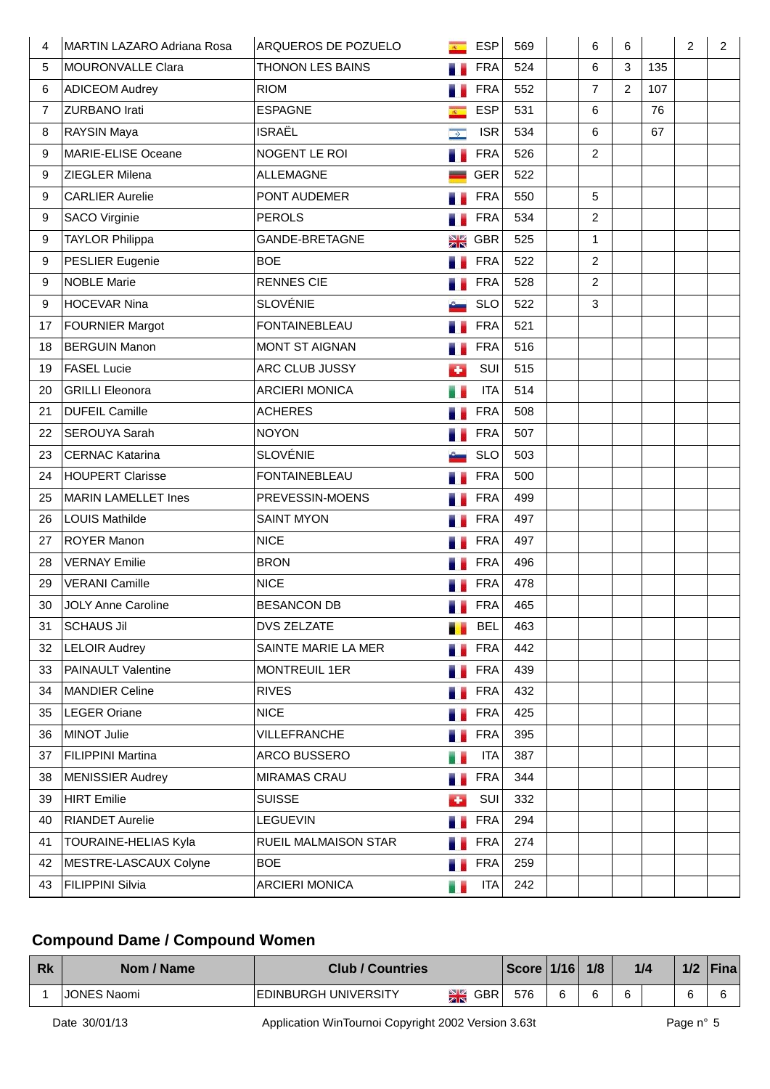| 4              | <b>MARTIN LAZARO Adriana Rosa</b> | ARQUEROS DE POZUELO     | $\overline{R}$ | <b>ESP</b> | 569 | 6              | 6              |     | 2 | $\overline{2}$ |
|----------------|-----------------------------------|-------------------------|----------------|------------|-----|----------------|----------------|-----|---|----------------|
| 5              | MOURONVALLE Clara                 | <b>THONON LES BAINS</b> |                | <b>FRA</b> | 524 | 6              | 3              | 135 |   |                |
| 6              | <b>ADICEOM Audrey</b>             | <b>RIOM</b>             |                | <b>FRA</b> | 552 | $\overline{7}$ | $\overline{2}$ | 107 |   |                |
| $\overline{7}$ | <b>ZURBANO Irati</b>              | <b>ESPAGNE</b>          | $R^{\pm}$      | <b>ESP</b> | 531 | 6              |                | 76  |   |                |
| 8              | <b>RAYSIN Maya</b>                | <b>ISRAËL</b>           | $\bullet$      | <b>ISR</b> | 534 | 6              |                | 67  |   |                |
| 9              | MARIE-ELISE Oceane                | NOGENT LE ROI           | n.             | <b>FRA</b> | 526 | 2              |                |     |   |                |
| 9              | <b>ZIEGLER Milena</b>             | <b>ALLEMAGNE</b>        |                | <b>GER</b> | 522 |                |                |     |   |                |
| 9              | <b>CARLIER Aurelie</b>            | PONT AUDEMER            |                | <b>FRA</b> | 550 | 5              |                |     |   |                |
| 9              | <b>SACO Virginie</b>              | <b>PEROLS</b>           |                | <b>FRA</b> | 534 | $\overline{2}$ |                |     |   |                |
| 9              | <b>TAYLOR Philippa</b>            | GANDE-BRETAGNE          | NK<br>ZN       | <b>GBR</b> | 525 | $\mathbf{1}$   |                |     |   |                |
| 9              | PESLIER Eugenie                   | <b>BOE</b>              |                | <b>FRA</b> | 522 | $\overline{2}$ |                |     |   |                |
| 9              | <b>NOBLE Marie</b>                | <b>RENNES CIE</b>       |                | <b>FRA</b> | 528 | $\overline{2}$ |                |     |   |                |
| 9              | <b>HOCEVAR Nina</b>               | <b>SLOVÉNIE</b>         |                | <b>SLO</b> | 522 | 3              |                |     |   |                |
| 17             | <b>FOURNIER Margot</b>            | <b>FONTAINEBLEAU</b>    |                | <b>FRA</b> | 521 |                |                |     |   |                |
| 18             | <b>BERGUIN Manon</b>              | <b>MONT ST AIGNAN</b>   | a.             | <b>FRA</b> | 516 |                |                |     |   |                |
| 19             | <b>FASEL Lucie</b>                | ARC CLUB JUSSY          | ÷              | SUI        | 515 |                |                |     |   |                |
| 20             | <b>GRILLI Eleonora</b>            | <b>ARCIERI MONICA</b>   | m o            | <b>ITA</b> | 514 |                |                |     |   |                |
| 21             | <b>DUFEIL Camille</b>             | <b>ACHERES</b>          |                | <b>FRA</b> | 508 |                |                |     |   |                |
| 22             | <b>SEROUYA Sarah</b>              | <b>NOYON</b>            |                | <b>FRA</b> | 507 |                |                |     |   |                |
| 23             | <b>CERNAC Katarina</b>            | <b>SLOVÉNIE</b>         |                | <b>SLO</b> | 503 |                |                |     |   |                |
| 24             | <b>HOUPERT Clarisse</b>           | <b>FONTAINEBLEAU</b>    |                | <b>FRA</b> | 500 |                |                |     |   |                |
| 25             | <b>MARIN LAMELLET Ines</b>        | PREVESSIN-MOENS         |                | <b>FRA</b> | 499 |                |                |     |   |                |
| 26             | <b>LOUIS Mathilde</b>             | <b>SAINT MYON</b>       |                | <b>FRA</b> | 497 |                |                |     |   |                |
| 27             | <b>ROYER Manon</b>                | <b>NICE</b>             |                | <b>FRA</b> | 497 |                |                |     |   |                |
| 28             | <b>VERNAY Emilie</b>              | <b>BRON</b>             |                | <b>FRA</b> | 496 |                |                |     |   |                |
| 29             | <b>VERANI Camille</b>             | <b>NICE</b>             |                | <b>FRA</b> | 478 |                |                |     |   |                |
| 30             | <b>JOLY Anne Caroline</b>         | <b>BESANCON DB</b>      |                | <b>FRA</b> | 465 |                |                |     |   |                |
| 31             | <b>SCHAUS Jil</b>                 | <b>DVS ZELZATE</b>      |                | <b>BEL</b> | 463 |                |                |     |   |                |
| 32             | <b>LELOIR Audrey</b>              | SAINTE MARIE LA MER     | a b            | <b>FRA</b> | 442 |                |                |     |   |                |
| 33             | <b>PAINAULT Valentine</b>         | <b>MONTREUIL 1ER</b>    |                | <b>FRA</b> | 439 |                |                |     |   |                |
| 34             | <b>MANDIER Celine</b>             | <b>RIVES</b>            |                | <b>FRA</b> | 432 |                |                |     |   |                |
| 35             | <b>LEGER Oriane</b>               | <b>NICE</b>             | a s            | <b>FRA</b> | 425 |                |                |     |   |                |
| 36             | MINOT Julie                       | VILLEFRANCHE            | в.             | <b>FRA</b> | 395 |                |                |     |   |                |
| 37             | <b>FILIPPINI Martina</b>          | ARCO BUSSERO            | m e            | <b>ITA</b> | 387 |                |                |     |   |                |
| 38             | <b>MENISSIER Audrey</b>           | <b>MIRAMAS CRAU</b>     | a a            | <b>FRA</b> | 344 |                |                |     |   |                |
| 39             | HIRT Emilie                       | <b>SUISSE</b>           | ÷              | SUI        | 332 |                |                |     |   |                |
| 40             | <b>RIANDET Aurelie</b>            | <b>LEGUEVIN</b>         | a e            | <b>FRA</b> | 294 |                |                |     |   |                |
| 41             | <b>TOURAINE-HELIAS Kyla</b>       | RUEIL MALMAISON STAR    |                | <b>FRA</b> | 274 |                |                |     |   |                |
| 42             | MESTRE-LASCAUX Colyne             | <b>BOE</b>              | n.             | <b>FRA</b> | 259 |                |                |     |   |                |
| 43             | <b>FILIPPINI Silvia</b>           | <b>ARCIERI MONICA</b>   | a e            | <b>ITA</b> | 242 |                |                |     |   |                |

## **Compound Dame / Compound Women**

| <b>Rk</b> | Nom / Name         | <b>Club / Countries</b>      |         |            | Score | 114C   | 1/8 |   | 1/4 | <b>Fina</b> |
|-----------|--------------------|------------------------------|---------|------------|-------|--------|-----|---|-----|-------------|
|           | <b>JONES Naomi</b> | <b>IEDINBURGH UNIVERSITY</b> | NB 1921 | <b>GBR</b> | 576   | $\sim$ |     | c |     |             |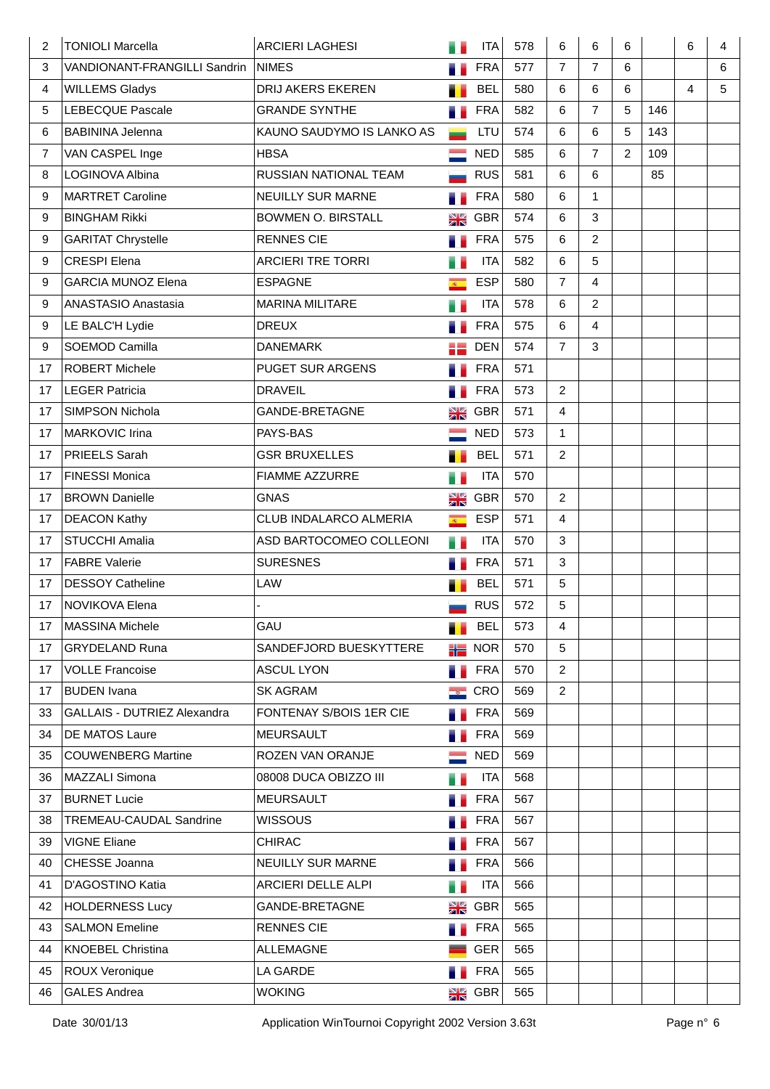| 2              | <b>TONIOLI Marcella</b>            | <b>ARCIERI LAGHESI</b>    |                             | <b>ITA</b>         | 578 | 6              | 6              | 6              |     | 6 | 4 |
|----------------|------------------------------------|---------------------------|-----------------------------|--------------------|-----|----------------|----------------|----------------|-----|---|---|
| 3              | VANDIONANT-FRANGILLI Sandrin       | <b>NIMES</b>              |                             | <b>FRA</b>         | 577 | $\overline{7}$ | $\overline{7}$ | 6              |     |   | 6 |
| $\overline{4}$ | <b>WILLEMS Gladys</b>              | DRIJ AKERS EKEREN         |                             | <b>BEL</b>         | 580 | 6              | 6              | 6              |     | 4 | 5 |
| 5              | <b>LEBECQUE Pascale</b>            | <b>GRANDE SYNTHE</b>      | 75                          | <b>FRA</b>         | 582 | 6              | $\overline{7}$ | 5              | 146 |   |   |
| 6              | <b>BABININA Jelenna</b>            | KAUNO SAUDYMO IS LANKO AS |                             | LTU                | 574 | 6              | 6              | 5              | 143 |   |   |
| 7              | VAN CASPEL Inge                    | <b>HBSA</b>               |                             | <b>NED</b>         | 585 | 6              | $\overline{7}$ | $\overline{2}$ | 109 |   |   |
| 8              | LOGINOVA Albina                    | RUSSIAN NATIONAL TEAM     |                             | <b>RUS</b>         | 581 | 6              | 6              |                | 85  |   |   |
| 9              | <b>MARTRET Caroline</b>            | <b>NEUILLY SUR MARNE</b>  | H.                          | <b>FRA</b>         | 580 | 6              | $\mathbf{1}$   |                |     |   |   |
| 9              | <b>BINGHAM Rikki</b>               | <b>BOWMEN O. BIRSTALL</b> | NØ<br>ZN                    | <b>GBR</b>         | 574 | 6              | 3              |                |     |   |   |
| 9              | <b>GARITAT Chrystelle</b>          | <b>RENNES CIE</b>         | a.                          | <b>FRA</b>         | 575 | 6              | $\overline{2}$ |                |     |   |   |
| 9              | <b>CRESPI Elena</b>                | <b>ARCIERI TRE TORRI</b>  | u s                         | <b>ITA</b>         | 582 | 6              | 5              |                |     |   |   |
| 9              | <b>GARCIA MUNOZ Elena</b>          | <b>ESPAGNE</b>            | $\overline{S}$              | <b>ESP</b>         | 580 | $\overline{7}$ | $\overline{4}$ |                |     |   |   |
| 9              | ANASTASIO Anastasia                | <b>MARINA MILITARE</b>    |                             | <b>ITA</b>         | 578 | 6              | $\overline{2}$ |                |     |   |   |
| 9              | LE BALC'H Lydie                    | <b>DREUX</b>              | a.                          | <b>FRA</b>         | 575 | 6              | $\overline{4}$ |                |     |   |   |
| 9              | SOEMOD Camilla                     | <b>DANEMARK</b>           |                             | <b>DEN</b>         | 574 | $\overline{7}$ | 3              |                |     |   |   |
| 17             | <b>ROBERT Michele</b>              | PUGET SUR ARGENS          | в.                          | <b>FRA</b>         | 571 |                |                |                |     |   |   |
| 17             | <b>LEGER Patricia</b>              | <b>DRAVEIL</b>            |                             | <b>FRA</b>         | 573 | $\overline{2}$ |                |                |     |   |   |
| 17             | <b>SIMPSON Nichola</b>             | <b>GANDE-BRETAGNE</b>     | NØ<br>ZIN                   | <b>GBR</b>         | 571 | 4              |                |                |     |   |   |
| 17             | MARKOVIC Irina                     | PAYS-BAS                  |                             | <b>NED</b>         | 573 | 1              |                |                |     |   |   |
| 17             | PRIEELS Sarah                      | <b>GSR BRUXELLES</b>      | ٠.                          | <b>BEL</b>         | 571 | $\overline{2}$ |                |                |     |   |   |
| 17             | FINESSI Monica                     | <b>FIAMME AZZURRE</b>     | e.                          | <b>ITA</b>         | 570 |                |                |                |     |   |   |
| 17             | <b>BROWN Danielle</b>              | <b>GNAS</b>               | NØ<br>ZIN                   | <b>GBR</b>         | 570 | $\overline{2}$ |                |                |     |   |   |
| 17             | <b>DEACON Kathy</b>                | CLUB INDALARCO ALMERIA    | $\overline{R_{\rm{min}}}$   | <b>ESP</b>         | 571 | 4              |                |                |     |   |   |
| 17             | <b>STUCCHI Amalia</b>              | ASD BARTOCOMEO COLLEONI   | u e                         | <b>ITA</b>         | 570 | 3              |                |                |     |   |   |
| 17             | <b>FABRE Valerie</b>               | <b>SURESNES</b>           | a.                          | <b>FRA</b>         | 571 | 3              |                |                |     |   |   |
| 17             | <b>DESSOY Catheline</b>            | LAW                       |                             | <b>BEL</b>         | 571 | $\sqrt{5}$     |                |                |     |   |   |
| 17             | <b>NOVIKOVA Elena</b>              |                           |                             | <b>RUS</b>         | 572 | 5              |                |                |     |   |   |
| 17             | <b>MASSINA Michele</b>             | GAU                       | ۰.                          | <b>BEL</b>         | 573 | 4              |                |                |     |   |   |
| 17             | <b>GRYDELAND Runa</b>              | SANDEFJORD BUESKYTTERE    |                             | $\frac{1}{10}$ NOR | 570 | 5              |                |                |     |   |   |
| 17             | <b>VOLLE Francoise</b>             | <b>ASCUL LYON</b>         | a a                         | FRA                | 570 | $\overline{2}$ |                |                |     |   |   |
| 17             | <b>BUDEN Ivana</b>                 | <b>SK AGRAM</b>           | $\mathcal{L}_{\mathcal{S}}$ | CRO                | 569 | $\overline{2}$ |                |                |     |   |   |
| 33             | <b>GALLAIS - DUTRIEZ Alexandra</b> | FONTENAY S/BOIS 1ER CIE   |                             | <b>FRA</b>         | 569 |                |                |                |     |   |   |
| 34             | <b>DE MATOS Laure</b>              | <b>MEURSAULT</b>          |                             | <b>FRA</b>         | 569 |                |                |                |     |   |   |
| 35             | <b>COUWENBERG Martine</b>          | ROZEN VAN ORANJE          |                             | <b>NED</b>         | 569 |                |                |                |     |   |   |
| 36             | MAZZALI Simona                     | 08008 DUCA OBIZZO III     |                             | <b>ITA</b>         | 568 |                |                |                |     |   |   |
| 37             | <b>BURNET Lucie</b>                | <b>MEURSAULT</b>          |                             | <b>FRA</b>         | 567 |                |                |                |     |   |   |
| 38             | TREMEAU-CAUDAL Sandrine            | <b>WISSOUS</b>            |                             | <b>FRA</b>         | 567 |                |                |                |     |   |   |
| 39             | <b>VIGNE Eliane</b>                | <b>CHIRAC</b>             |                             | <b>FRA</b>         | 567 |                |                |                |     |   |   |
| 40             | CHESSE Joanna                      | NEUILLY SUR MARNE         |                             | <b>FRA</b>         | 566 |                |                |                |     |   |   |
| 41             | D'AGOSTINO Katia                   | ARCIERI DELLE ALPI        | a.                          | <b>ITA</b>         | 566 |                |                |                |     |   |   |
| 42             | <b>HOLDERNESS Lucy</b>             | GANDE-BRETAGNE            | N Z<br>Z R                  | GBR                | 565 |                |                |                |     |   |   |
| 43             | <b>SALMON Emeline</b>              | <b>RENNES CIE</b>         | a.                          | <b>FRA</b>         | 565 |                |                |                |     |   |   |
| 44             | <b>KNOEBEL Christina</b>           | <b>ALLEMAGNE</b>          |                             | <b>GER</b>         | 565 |                |                |                |     |   |   |
| 45             | ROUX Veronique                     | LA GARDE                  |                             | <b>FRA</b>         | 565 |                |                |                |     |   |   |
| 46             | <b>GALES Andrea</b>                | <b>WOKING</b>             | XK                          | <b>GBR</b>         | 565 |                |                |                |     |   |   |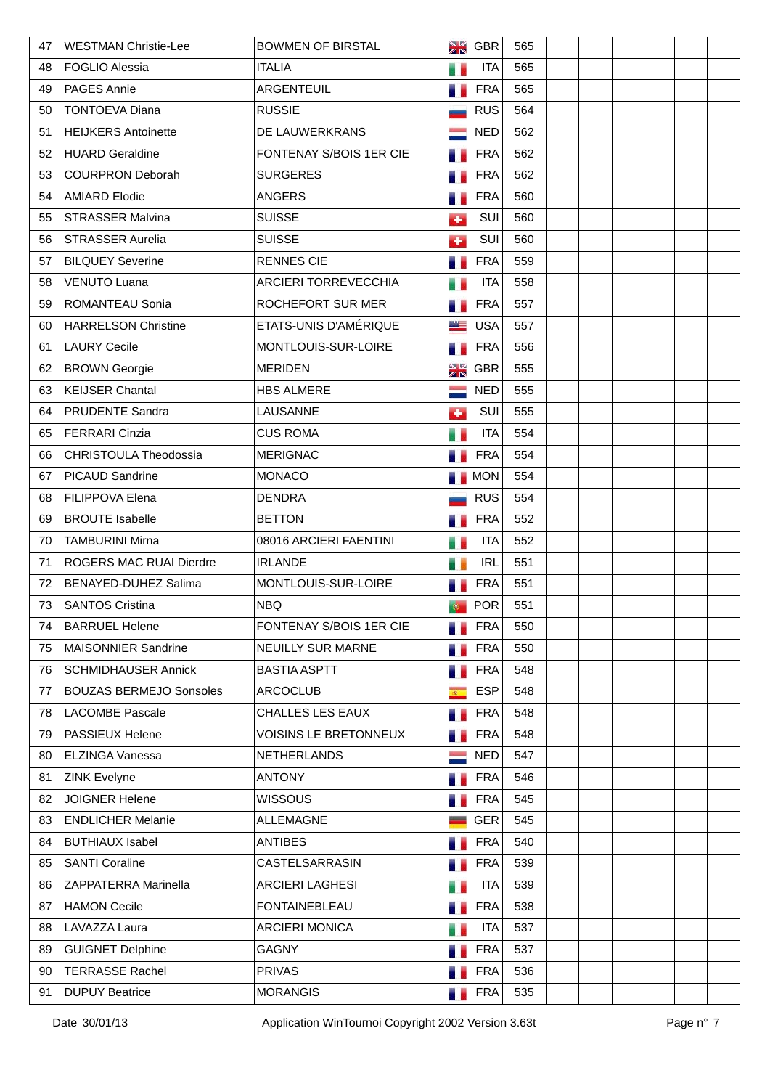| 47 | <b>WESTMAN Christie-Lee</b>    | <b>BOWMEN OF BIRSTAL</b>     | NK<br>ZR               | <b>GBR</b> | 565 |  |  |  |
|----|--------------------------------|------------------------------|------------------------|------------|-----|--|--|--|
| 48 | <b>FOGLIO Alessia</b>          | <b>ITALIA</b>                | a p                    | <b>ITA</b> | 565 |  |  |  |
| 49 | <b>PAGES Annie</b>             | ARGENTEUIL                   | a.                     | <b>FRA</b> | 565 |  |  |  |
| 50 | <b>TONTOEVA Diana</b>          | <b>RUSSIE</b>                |                        | <b>RUS</b> | 564 |  |  |  |
| 51 | <b>HEIJKERS Antoinette</b>     | DE LAUWERKRANS               |                        | <b>NED</b> | 562 |  |  |  |
| 52 | <b>HUARD Geraldine</b>         | FONTENAY S/BOIS 1ER CIE      |                        | <b>FRA</b> | 562 |  |  |  |
| 53 | <b>COURPRON Deborah</b>        | <b>SURGERES</b>              | н.                     | <b>FRA</b> | 562 |  |  |  |
| 54 | <b>AMIARD Elodie</b>           | <b>ANGERS</b>                |                        | <b>FRA</b> | 560 |  |  |  |
| 55 | <b>STRASSER Malvina</b>        | <b>SUISSE</b>                | d.                     | SUI        | 560 |  |  |  |
| 56 | <b>STRASSER Aurelia</b>        | <b>SUISSE</b>                | d.                     | SUI        | 560 |  |  |  |
| 57 | <b>BILQUEY Severine</b>        | <b>RENNES CIE</b>            | a e                    | <b>FRA</b> | 559 |  |  |  |
| 58 | <b>VENUTO Luana</b>            | ARCIERI TORREVECCHIA         | H.                     | <b>ITA</b> | 558 |  |  |  |
| 59 | <b>ROMANTEAU Sonia</b>         | ROCHEFORT SUR MER            | ۰.                     | <b>FRA</b> | 557 |  |  |  |
| 60 | HARRELSON Christine            | ETATS-UNIS D'AMÉRIQUE        | <u>sta</u>             | <b>USA</b> | 557 |  |  |  |
| 61 | <b>LAURY Cecile</b>            | MONTLOUIS-SUR-LOIRE          | a.                     | <b>FRA</b> | 556 |  |  |  |
| 62 | <b>BROWN</b> Georgie           | <b>MERIDEN</b>               | N Z<br>Z R             | <b>GBR</b> | 555 |  |  |  |
| 63 | <b>KEIJSER Chantal</b>         | <b>HBS ALMERE</b>            |                        | <b>NED</b> | 555 |  |  |  |
| 64 | PRUDENTE Sandra                | LAUSANNE                     | d.                     | SUI        | 555 |  |  |  |
| 65 | <b>FERRARI Cinzia</b>          | <b>CUS ROMA</b>              |                        | <b>ITA</b> | 554 |  |  |  |
| 66 | <b>CHRISTOULA Theodossia</b>   | <b>MERIGNAC</b>              |                        | <b>FRA</b> | 554 |  |  |  |
| 67 | <b>PICAUD Sandrine</b>         | <b>MONACO</b>                |                        | <b>MON</b> | 554 |  |  |  |
| 68 | <b>FILIPPOVA Elena</b>         | <b>DENDRA</b>                |                        | <b>RUS</b> | 554 |  |  |  |
| 69 | <b>BROUTE Isabelle</b>         | <b>BETTON</b>                |                        | <b>FRA</b> | 552 |  |  |  |
| 70 | <b>TAMBURINI Mirna</b>         | 08016 ARCIERI FAENTINI       | e.                     | <b>ITA</b> | 552 |  |  |  |
| 71 | <b>ROGERS MAC RUAI Dierdre</b> | <b>IRLANDE</b>               | a i                    | <b>IRL</b> | 551 |  |  |  |
| 72 | BENAYED-DUHEZ Salima           | MONTLOUIS-SUR-LOIRE          |                        | <b>FRA</b> | 551 |  |  |  |
| 73 | <b>SANTOS Cristina</b>         | <b>NBQ</b>                   |                        | <b>POR</b> | 551 |  |  |  |
| 74 | <b>BARRUEL Helene</b>          | FONTENAY S/BOIS 1ER CIE      |                        | <b>FRA</b> | 550 |  |  |  |
| 75 | <b>MAISONNIER Sandrine</b>     | NEUILLY SUR MARNE            | в.                     | <b>FRA</b> | 550 |  |  |  |
| 76 | <b>SCHMIDHAUSER Annick</b>     | <b>BASTIA ASPTT</b>          | a.                     | <b>FRA</b> | 548 |  |  |  |
| 77 | <b>BOUZAS BERMEJO Sonsoles</b> | <b>ARCOCLUB</b>              | $\mathcal{R}^{\times}$ | <b>ESP</b> | 548 |  |  |  |
| 78 | <b>LACOMBE Pascale</b>         | <b>CHALLES LES EAUX</b>      | a.                     | <b>FRA</b> | 548 |  |  |  |
| 79 | <b>PASSIEUX Helene</b>         | <b>VOISINS LE BRETONNEUX</b> | ۰.                     | <b>FRA</b> | 548 |  |  |  |
| 80 | ELZINGA Vanessa                | NETHERLANDS                  |                        | <b>NED</b> | 547 |  |  |  |
| 81 | <b>ZINK Evelyne</b>            | <b>ANTONY</b>                |                        | <b>FRA</b> | 546 |  |  |  |
| 82 | <b>JOIGNER Helene</b>          | <b>WISSOUS</b>               |                        | <b>FRA</b> | 545 |  |  |  |
| 83 | <b>ENDLICHER Melanie</b>       | <b>ALLEMAGNE</b>             |                        | <b>GER</b> | 545 |  |  |  |
| 84 | <b>BUTHIAUX Isabel</b>         | <b>ANTIBES</b>               |                        | <b>FRA</b> | 540 |  |  |  |
| 85 | <b>SANTI Coraline</b>          | CASTELSARRASIN               |                        | <b>FRA</b> | 539 |  |  |  |
| 86 | ZAPPATERRA Marinella           | <b>ARCIERI LAGHESI</b>       | e e                    | <b>ITA</b> | 539 |  |  |  |
| 87 | <b>HAMON Cecile</b>            | <b>FONTAINEBLEAU</b>         | a.                     | <b>FRA</b> | 538 |  |  |  |
| 88 | LAVAZZA Laura                  | <b>ARCIERI MONICA</b>        | a a                    | <b>ITA</b> | 537 |  |  |  |
| 89 | <b>GUIGNET Delphine</b>        | <b>GAGNY</b>                 |                        | <b>FRA</b> | 537 |  |  |  |
| 90 | <b>TERRASSE Rachel</b>         | <b>PRIVAS</b>                |                        | <b>FRA</b> | 536 |  |  |  |
| 91 | <b>DUPUY Beatrice</b>          | <b>MORANGIS</b>              | u e                    | <b>FRA</b> | 535 |  |  |  |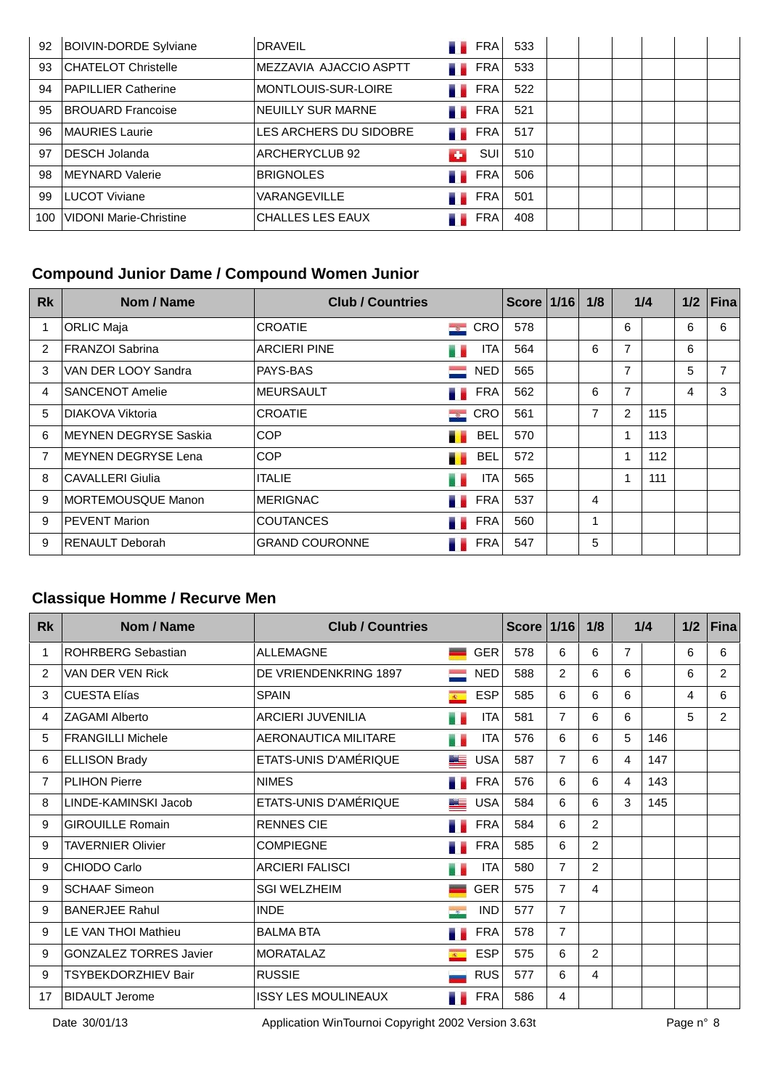| 92  | <b>BOIVIN-DORDE Sylviane</b> | <b>DRAVEIL</b>          |          | FRA        | 533 |  |  |  |
|-----|------------------------------|-------------------------|----------|------------|-----|--|--|--|
| 93  | CHATELOT Christelle          | IMEZZAVIA AJACCIO ASPTT |          | FRA        | 533 |  |  |  |
| 94  | <b>PAPILLIER Catherine</b>   | MONTLOUIS-SUR-LOIRE     |          | FRA        | 522 |  |  |  |
| 95  | <b>BROUARD Francoise</b>     | NEUILLY SUR MARNE       | . .      | FRA        | 521 |  |  |  |
| 96  | MAURIES Laurie               | LES ARCHERS DU SIDOBRE  | . .      | FRA        | 517 |  |  |  |
| 97  | DESCH Jolanda                | ARCHERYCLUB 92          | <b>C</b> | SUI        | 510 |  |  |  |
| 98  | MEYNARD Valerie              | <b>BRIGNOLES</b>        |          | <b>FRA</b> | 506 |  |  |  |
| 99  | LUCOT Viviane                | VARANGEVILLE            |          | <b>FRA</b> | 501 |  |  |  |
| 100 | VIDONI Marie-Christine       | <b>CHALLES LES EAUX</b> |          | <b>FRA</b> | 408 |  |  |  |

## **Compound Junior Dame / Compound Women Junior**

| <b>Rk</b>     | Nom / Name                   | <b>Club / Countries</b> |                 |                    | Score   1/16 | 1/8 |   | 1/4 |   | $1/2$ Fina |
|---------------|------------------------------|-------------------------|-----------------|--------------------|--------------|-----|---|-----|---|------------|
| 1             | ORLIC Maja                   | <b>CROATIE</b>          |                 | $\blacksquare$ CRO | 578          |     | 6 |     | 6 | 6          |
| $\mathcal{P}$ | <b>FRANZOI Sabrina</b>       | <b>ARCIERI PINE</b>     |                 | ITA                | 564          | 6   | 7 |     | 6 |            |
| 3             | VAN DER LOOY Sandra          | PAYS-BAS                | <b>Contract</b> | <b>NED</b>         | 565          |     | 7 |     | 5 | 7          |
| 4             | <b>SANCENOT Amelie</b>       | <b>MEURSAULT</b>        |                 | <b>FRA</b>         | 562          | 6   | 7 |     | 4 | 3          |
| 5             | DIAKOVA Viktoria             | <b>CROATIE</b>          | $\rightarrow$   | <b>CRO</b>         | 561          | 7   | 2 | 115 |   |            |
| 6             | <b>MEYNEN DEGRYSE Saskia</b> | <b>COP</b>              | . .             | <b>BEL</b>         | 570          |     | 1 | 113 |   |            |
| 7             | <b>MEYNEN DEGRYSE Lena</b>   | <b>COP</b>              | . .             | <b>BEL</b>         | 572          |     | 1 | 112 |   |            |
| 8             | CAVALLERI Giulia             | <b>ITALIE</b>           | . .             | <b>ITA</b>         | 565          |     | 1 | 111 |   |            |
| 9             | MORTEMOUSQUE Manon           | <b>MERIGNAC</b>         |                 | <b>FRA</b>         | 537          | 4   |   |     |   |            |
| 9             | <b>PEVENT Marion</b>         | <b>COUTANCES</b>        |                 | <b>FRA</b>         | 560          |     |   |     |   |            |
| 9             | <b>RENAULT Deborah</b>       | <b>GRAND COURONNE</b>   |                 | FRA                | 547          | 5   |   |     |   |            |

## **Classique Homme / Recurve Men**

| <b>Rk</b>      | Nom / Name                    | <b>Club / Countries</b>    |                          |            | <b>Score</b> | 1/16           | 1/8            |                | 1/4 | 1/2 | <b>Fina</b>    |
|----------------|-------------------------------|----------------------------|--------------------------|------------|--------------|----------------|----------------|----------------|-----|-----|----------------|
| 1              | <b>ROHRBERG Sebastian</b>     | ALLEMAGNE                  |                          | <b>GER</b> | 578          | 6              | 6              | $\overline{7}$ |     | 6   | 6              |
| 2              | VAN DER VEN Rick              | DE VRIENDENKRING 1897      |                          | <b>NED</b> | 588          | $\overline{2}$ | 6              | 6              |     | 6   | $\overline{2}$ |
| 3              | <b>CUESTA Elías</b>           | <b>SPAIN</b>               | $\mathcal{R}^{\times}$ . | <b>ESP</b> | 585          | 6              | 6              | 6              |     | 4   | 6              |
| 4              | ZAGAMI Alberto                | <b>ARCIERI JUVENILIA</b>   | a.                       | <b>ITA</b> | 581          | $\overline{7}$ | 6              | 6              |     | 5   | $\overline{2}$ |
| 5              | <b>FRANGILLI Michele</b>      | AERONAUTICA MILITARE       | . .                      | <b>ITA</b> | 576          | 6              | 6              | 5              | 146 |     |                |
| 6              | <b>ELLISON Brady</b>          | ETATS-UNIS D'AMÉRIQUE      | Æ                        | <b>USA</b> | 587          | $\overline{7}$ | 6              | 4              | 147 |     |                |
| $\overline{7}$ | <b>PLIHON Pierre</b>          | <b>NIMES</b>               |                          | <b>FRA</b> | 576          | 6              | 6              | 4              | 143 |     |                |
| 8              | LINDE-KAMINSKI Jacob          | ETATS-UNIS D'AMÉRIQUE      | كتنا                     | <b>USA</b> | 584          | 6              | 6              | 3              | 145 |     |                |
| 9              | <b>GIROUILLE Romain</b>       | <b>RENNES CIE</b>          |                          | <b>FRA</b> | 584          | 6              | $\overline{2}$ |                |     |     |                |
| 9              | <b>TAVERNIER Olivier</b>      | <b>COMPIEGNE</b>           |                          | <b>FRA</b> | 585          | 6              | $\overline{c}$ |                |     |     |                |
| 9              | CHIODO Carlo                  | <b>ARCIERI FALISCI</b>     | и.                       | <b>ITA</b> | 580          | $\overline{7}$ | $\overline{2}$ |                |     |     |                |
| 9              | <b>SCHAAF Simeon</b>          | <b>SGI WELZHEIM</b>        |                          | <b>GER</b> | 575          | $\overline{7}$ | 4              |                |     |     |                |
| 9              | <b>BANERJEE Rahul</b>         | <b>INDE</b>                | $\sim$                   | <b>IND</b> | 577          | $\overline{7}$ |                |                |     |     |                |
| 9              | LE VAN THOI Mathieu           | <b>BALMA BTA</b>           |                          | <b>FRA</b> | 578          | $\overline{7}$ |                |                |     |     |                |
| 9              | <b>GONZALEZ TORRES Javier</b> | <b>MORATALAZ</b>           | $-40$                    | <b>ESP</b> | 575          | 6              | $\overline{2}$ |                |     |     |                |
| 9              | TSYBEKDORZHIEV Bair           | <b>RUSSIE</b>              |                          | <b>RUS</b> | 577          | 6              | 4              |                |     |     |                |
| 17             | <b>BIDAULT Jerome</b>         | <b>ISSY LES MOULINEAUX</b> |                          | <b>FRA</b> | 586          | 4              |                |                |     |     |                |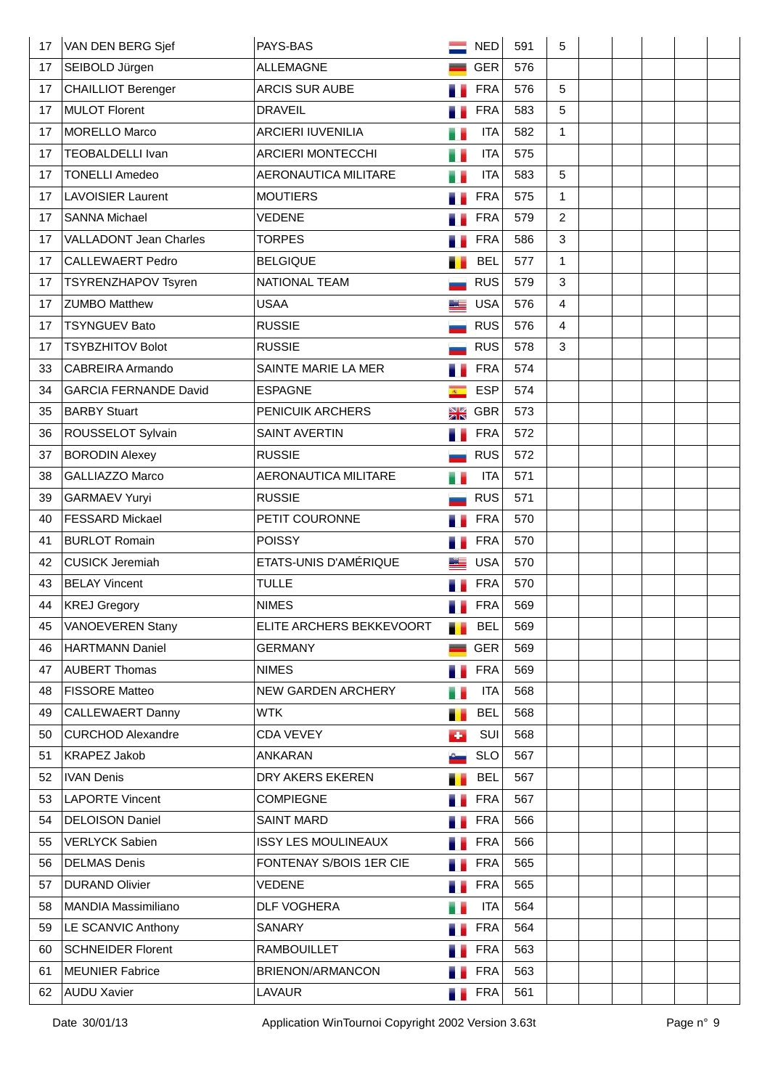| 17 | VAN DEN BERG Sjef             | PAYS-BAS                   |                | <b>NED</b> | 591 | 5              |  |  |  |
|----|-------------------------------|----------------------------|----------------|------------|-----|----------------|--|--|--|
| 17 | SEIBOLD Jürgen                | <b>ALLEMAGNE</b>           |                | <b>GER</b> | 576 |                |  |  |  |
| 17 | <b>CHAILLIOT Berenger</b>     | <b>ARCIS SUR AUBE</b>      |                | <b>FRA</b> | 576 | 5              |  |  |  |
| 17 | MULOT Florent                 | <b>DRAVEIL</b>             |                | <b>FRA</b> | 583 | 5              |  |  |  |
| 17 | MORELLO Marco                 | <b>ARCIERI IUVENILIA</b>   | 53             | <b>ITA</b> | 582 | $\mathbf{1}$   |  |  |  |
| 17 | <b>TEOBALDELLI Ivan</b>       | <b>ARCIERI MONTECCHI</b>   | m e            | <b>ITA</b> | 575 |                |  |  |  |
| 17 | <b>TONELLI Amedeo</b>         | AERONAUTICA MILITARE       | e e            | <b>ITA</b> | 583 | 5              |  |  |  |
| 17 | <b>LAVOISIER Laurent</b>      | <b>MOUTIERS</b>            |                | <b>FRA</b> | 575 | $\mathbf 1$    |  |  |  |
| 17 | <b>SANNA Michael</b>          | <b>VEDENE</b>              |                | <b>FRA</b> | 579 | $\overline{2}$ |  |  |  |
| 17 | <b>VALLADONT Jean Charles</b> | <b>TORPES</b>              |                | <b>FRA</b> | 586 | 3              |  |  |  |
| 17 | <b>CALLEWAERT Pedro</b>       | <b>BELGIQUE</b>            |                | <b>BEL</b> | 577 | $\mathbf{1}$   |  |  |  |
| 17 | TSYRENZHAPOV Tsyren           | NATIONAL TEAM              |                | <b>RUS</b> | 579 | 3              |  |  |  |
| 17 | <b>ZUMBO Matthew</b>          | <b>USAA</b>                | ص ب            | <b>USA</b> | 576 | 4              |  |  |  |
| 17 | <b>TSYNGUEV Bato</b>          | <b>RUSSIE</b>              |                | <b>RUS</b> | 576 | $\overline{4}$ |  |  |  |
| 17 | <b>TSYBZHITOV Bolot</b>       | <b>RUSSIE</b>              |                | <b>RUS</b> | 578 | 3              |  |  |  |
| 33 | <b>CABREIRA Armando</b>       | SAINTE MARIE LA MER        |                | <b>FRA</b> | 574 |                |  |  |  |
| 34 | <b>GARCIA FERNANDE David</b>  | <b>ESPAGNE</b>             | $\overline{R}$ | <b>ESP</b> | 574 |                |  |  |  |
| 35 | <b>BARBY Stuart</b>           | PENICUIK ARCHERS           | NØ<br>ZK       | <b>GBR</b> | 573 |                |  |  |  |
| 36 | ROUSSELOT Sylvain             | <b>SAINT AVERTIN</b>       |                | <b>FRA</b> | 572 |                |  |  |  |
| 37 | <b>BORODIN Alexey</b>         | <b>RUSSIE</b>              |                | <b>RUS</b> | 572 |                |  |  |  |
| 38 | GALLIAZZO Marco               | AERONAUTICA MILITARE       |                | <b>ITA</b> | 571 |                |  |  |  |
| 39 | <b>GARMAEV Yuryi</b>          | <b>RUSSIE</b>              |                | <b>RUS</b> | 571 |                |  |  |  |
| 40 | <b>FESSARD Mickael</b>        | PETIT COURONNE             |                | <b>FRA</b> | 570 |                |  |  |  |
| 41 | <b>BURLOT Romain</b>          | <b>POISSY</b>              |                | <b>FRA</b> | 570 |                |  |  |  |
| 42 | <b>CUSICK Jeremiah</b>        | ETATS-UNIS D'AMÉRIQUE      |                | <b>USA</b> | 570 |                |  |  |  |
| 43 | <b>BELAY Vincent</b>          | <b>TULLE</b>               |                | <b>FRA</b> | 570 |                |  |  |  |
| 44 | <b>KREJ Gregory</b>           | <b>NIMES</b>               |                | <b>FRA</b> | 569 |                |  |  |  |
| 45 | <b>VANOEVEREN Stany</b>       | ELITE ARCHERS BEKKEVOORT   | a y            | <b>BEL</b> | 569 |                |  |  |  |
| 46 | <b>HARTMANN Daniel</b>        | <b>GERMANY</b>             |                | <b>GER</b> | 569 |                |  |  |  |
| 47 | <b>AUBERT Thomas</b>          | <b>NIMES</b>               | e e            | <b>FRA</b> | 569 |                |  |  |  |
| 48 | <b>FISSORE Matteo</b>         | NEW GARDEN ARCHERY         |                | <b>ITA</b> | 568 |                |  |  |  |
| 49 | <b>CALLEWAERT Danny</b>       | <b>WTK</b>                 | .,             | <b>BEL</b> | 568 |                |  |  |  |
| 50 | <b>CURCHOD Alexandre</b>      | <b>CDA VEVEY</b>           | ÷              | SUI        | 568 |                |  |  |  |
| 51 | <b>KRAPEZ Jakob</b>           | <b>ANKARAN</b>             |                | <b>SLO</b> | 567 |                |  |  |  |
| 52 | <b>IVAN Denis</b>             | DRY AKERS EKEREN           |                | <b>BEL</b> | 567 |                |  |  |  |
| 53 | <b>LAPORTE Vincent</b>        | <b>COMPIEGNE</b>           |                | <b>FRA</b> | 567 |                |  |  |  |
| 54 | <b>DELOISON Daniel</b>        | <b>SAINT MARD</b>          |                | <b>FRA</b> | 566 |                |  |  |  |
| 55 | <b>VERLYCK Sabien</b>         | <b>ISSY LES MOULINEAUX</b> |                | <b>FRA</b> | 566 |                |  |  |  |
| 56 | <b>DELMAS Denis</b>           | FONTENAY S/BOIS 1ER CIE    |                | <b>FRA</b> | 565 |                |  |  |  |
| 57 | <b>DURAND Olivier</b>         | <b>VEDENE</b>              | a a            | <b>FRA</b> | 565 |                |  |  |  |
| 58 | <b>MANDIA Massimiliano</b>    | <b>DLF VOGHERA</b>         |                | <b>ITA</b> | 564 |                |  |  |  |
| 59 | LE SCANVIC Anthony            | SANARY                     | a.             | <b>FRA</b> | 564 |                |  |  |  |
| 60 | <b>SCHNEIDER Florent</b>      | <b>RAMBOUILLET</b>         |                | <b>FRA</b> | 563 |                |  |  |  |
| 61 | MEUNIER Fabrice               | BRIENON/ARMANCON           |                | <b>FRA</b> | 563 |                |  |  |  |
| 62 | <b>AUDU Xavier</b>            | <b>LAVAUR</b>              | a e            | <b>FRA</b> | 561 |                |  |  |  |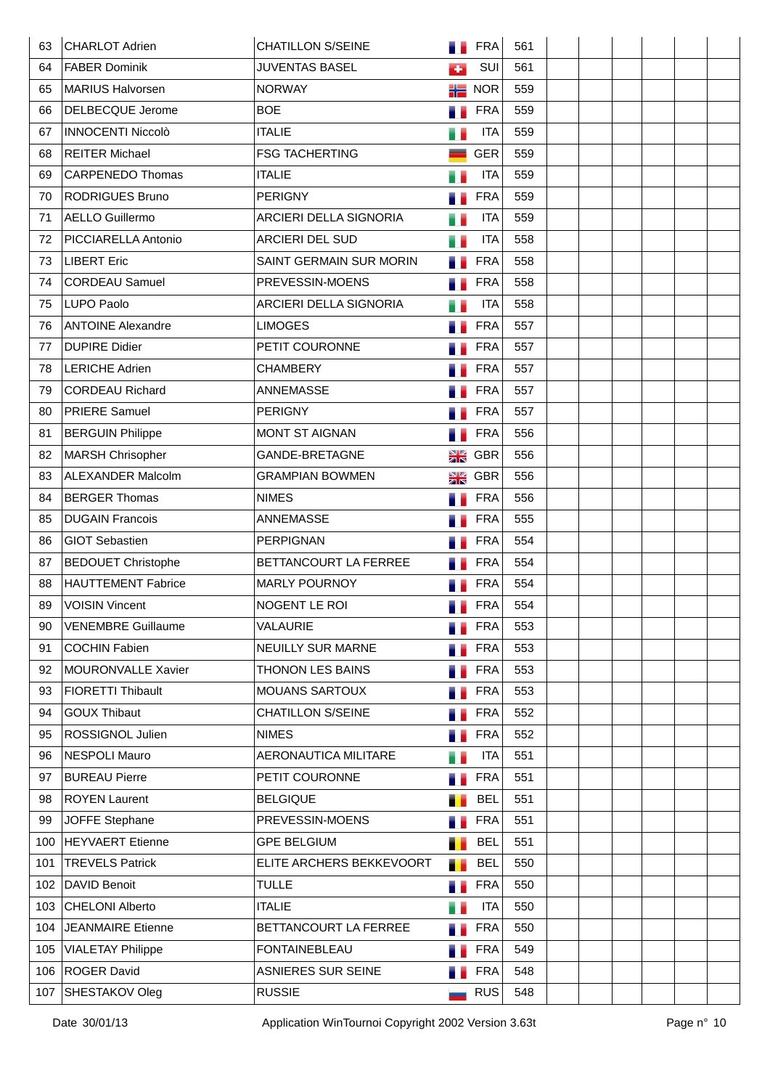| 63  | CHARLOT Adrien            | <b>CHATILLON S/SEINE</b>  |          | <b>FRA</b> | 561 |  |  |  |
|-----|---------------------------|---------------------------|----------|------------|-----|--|--|--|
| 64  | <b>FABER Dominik</b>      | <b>JUVENTAS BASEL</b>     | ÷        | SUI        | 561 |  |  |  |
| 65  | MARIUS Halvorsen          | <b>NORWAY</b>             | 詣        | <b>NOR</b> | 559 |  |  |  |
| 66  | DELBECQUE Jerome          | <b>BOE</b>                |          | <b>FRA</b> | 559 |  |  |  |
| 67  | <b>INNOCENTI Niccolò</b>  | <b>ITALIE</b>             |          | <b>ITA</b> | 559 |  |  |  |
| 68  | <b>REITER Michael</b>     | <b>FSG TACHERTING</b>     |          | <b>GER</b> | 559 |  |  |  |
| 69  | <b>CARPENEDO Thomas</b>   | <b>ITALIE</b>             | H        | <b>ITA</b> | 559 |  |  |  |
| 70  | <b>RODRIGUES Bruno</b>    | <b>PERIGNY</b>            |          | <b>FRA</b> | 559 |  |  |  |
| 71  | AELLO Guillermo           | ARCIERI DELLA SIGNORIA    | e e      | <b>ITA</b> | 559 |  |  |  |
| 72  | PICCIARELLA Antonio       | ARCIERI DEL SUD           | e e      | <b>ITA</b> | 558 |  |  |  |
| 73  | LIBERT Eric               | SAINT GERMAIN SUR MORIN   | u e      | <b>FRA</b> | 558 |  |  |  |
| 74  | <b>CORDEAU Samuel</b>     | PREVESSIN-MOENS           |          | <b>FRA</b> | 558 |  |  |  |
| 75  | <b>LUPO Paolo</b>         | ARCIERI DELLA SIGNORIA    |          | <b>ITA</b> | 558 |  |  |  |
| 76  | <b>ANTOINE Alexandre</b>  | <b>LIMOGES</b>            |          | <b>FRA</b> | 557 |  |  |  |
| 77  | <b>DUPIRE Didier</b>      | PETIT COURONNE            |          | <b>FRA</b> | 557 |  |  |  |
| 78  | LERICHE Adrien            | <b>CHAMBERY</b>           |          | <b>FRA</b> | 557 |  |  |  |
| 79  | <b>CORDEAU Richard</b>    | ANNEMASSE                 |          | <b>FRA</b> | 557 |  |  |  |
| 80  | <b>PRIERE Samuel</b>      | <b>PERIGNY</b>            |          | <b>FRA</b> | 557 |  |  |  |
| 81  | <b>BERGUIN Philippe</b>   | MONT ST AIGNAN            |          | <b>FRA</b> | 556 |  |  |  |
| 82  | MARSH Chrisopher          | GANDE-BRETAGNE            | NØ       | <b>GBR</b> | 556 |  |  |  |
| 83  | <b>ALEXANDER Malcolm</b>  | <b>GRAMPIAN BOWMEN</b>    | NØ       | GBR        | 556 |  |  |  |
| 84  | <b>BERGER Thomas</b>      | <b>NIMES</b>              |          | <b>FRA</b> | 556 |  |  |  |
| 85  | <b>DUGAIN Francois</b>    | ANNEMASSE                 |          | <b>FRA</b> | 555 |  |  |  |
| 86  | <b>GIOT Sebastien</b>     | <b>PERPIGNAN</b>          |          | <b>FRA</b> | 554 |  |  |  |
| 87  | <b>BEDOUET Christophe</b> | BETTANCOURT LA FERREE     |          | <b>FRA</b> | 554 |  |  |  |
| 88  | <b>HAUTTEMENT Fabrice</b> | <b>MARLY POURNOY</b>      |          | <b>FRA</b> | 554 |  |  |  |
| 89  | <b>VOISIN Vincent</b>     | NOGENT LE ROI             |          | <b>FRA</b> | 554 |  |  |  |
| 90  | <b>VENEMBRE Guillaume</b> | VALAURIE                  |          | <b>FRA</b> | 553 |  |  |  |
| 91  | <b>COCHIN Fabien</b>      | NEUILLY SUR MARNE         |          | <b>FRA</b> | 553 |  |  |  |
| 92  | MOURONVALLE Xavier        | THONON LES BAINS          |          | <b>FRA</b> | 553 |  |  |  |
| 93  | <b>FIORETTI Thibault</b>  | <b>MOUANS SARTOUX</b>     |          | <b>FRA</b> | 553 |  |  |  |
| 94  | <b>GOUX Thibaut</b>       | <b>CHATILLON S/SEINE</b>  |          | <b>FRA</b> | 552 |  |  |  |
| 95  | ROSSIGNOL Julien          | <b>NIMES</b>              | a.       | <b>FRA</b> | 552 |  |  |  |
| 96  | <b>NESPOLI Mauro</b>      | AERONAUTICA MILITARE      | Ħ.       | <b>ITA</b> | 551 |  |  |  |
| 97  | <b>BUREAU Pierre</b>      | PETIT COURONNE            |          | <b>FRA</b> | 551 |  |  |  |
| 98  | <b>ROYEN Laurent</b>      | <b>BELGIQUE</b>           |          | <b>BEL</b> | 551 |  |  |  |
| 99  | JOFFE Stephane            | PREVESSIN-MOENS           | u e      | <b>FRA</b> | 551 |  |  |  |
| 100 | <b>HEYVAERT Etienne</b>   | <b>GPE BELGIUM</b>        | <b>I</b> | <b>BEL</b> | 551 |  |  |  |
| 101 | <b>TREVELS Patrick</b>    | ELITE ARCHERS BEKKEVOORT  | т.       | <b>BEL</b> | 550 |  |  |  |
| 102 | <b>DAVID Benoit</b>       | <b>TULLE</b>              | a.       | <b>FRA</b> | 550 |  |  |  |
| 103 | <b>CHELONI Alberto</b>    | <b>ITALIE</b>             |          | <b>ITA</b> | 550 |  |  |  |
| 104 | <b>JEANMAIRE</b> Etienne  | BETTANCOURT LA FERREE     | a.       | <b>FRA</b> | 550 |  |  |  |
| 105 | <b>VIALETAY Philippe</b>  | <b>FONTAINEBLEAU</b>      | . .      | <b>FRA</b> | 549 |  |  |  |
| 106 | <b>ROGER David</b>        | <b>ASNIERES SUR SEINE</b> | ۰.       | <b>FRA</b> | 548 |  |  |  |
| 107 | SHESTAKOV Oleg            | <b>RUSSIE</b>             |          | <b>RUS</b> | 548 |  |  |  |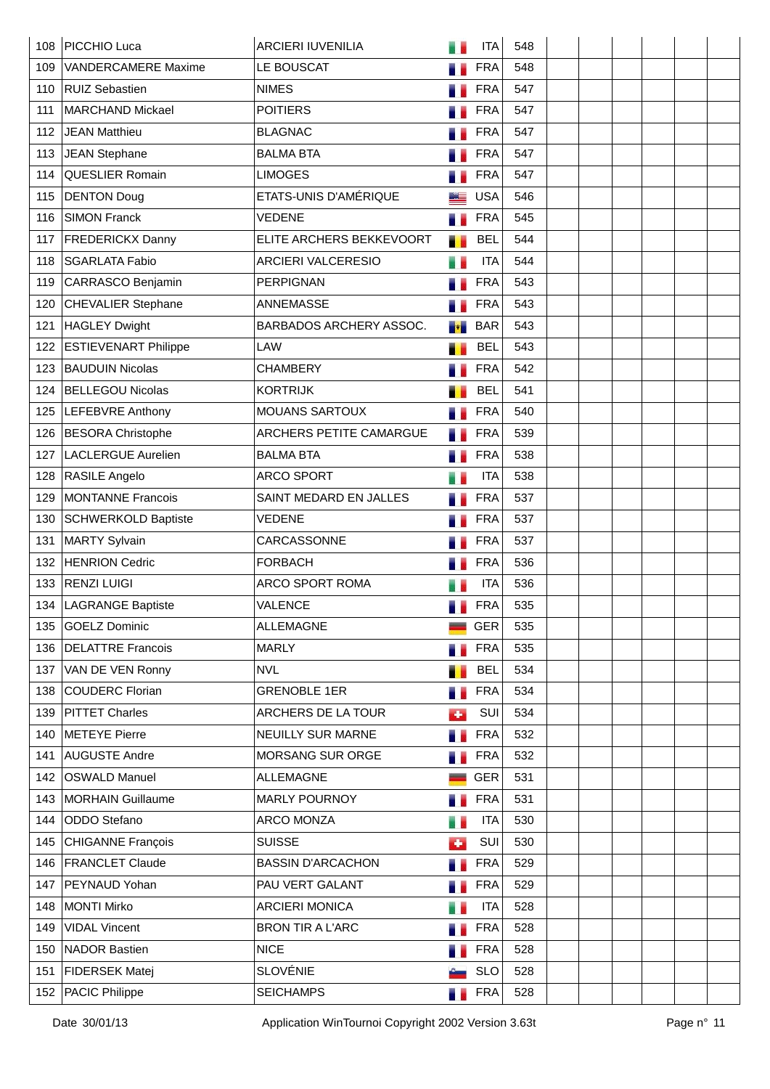| 108 | PICCHIO Luca                | <b>ARCIERI IUVENILIA</b>  |     | <b>ITA</b> | 548 |  |  |  |
|-----|-----------------------------|---------------------------|-----|------------|-----|--|--|--|
| 109 | <b>VANDERCAMERE Maxime</b>  | LE BOUSCAT                |     | <b>FRA</b> | 548 |  |  |  |
| 110 | <b>RUIZ Sebastien</b>       | <b>NIMES</b>              |     | <b>FRA</b> | 547 |  |  |  |
| 111 | <b>MARCHAND Mickael</b>     | <b>POITIERS</b>           |     | <b>FRA</b> | 547 |  |  |  |
| 112 | <b>JEAN Matthieu</b>        | <b>BLAGNAC</b>            |     | <b>FRA</b> | 547 |  |  |  |
| 113 | JEAN Stephane               | <b>BALMA BTA</b>          |     | <b>FRA</b> | 547 |  |  |  |
| 114 | QUESLIER Romain             | <b>LIMOGES</b>            |     | <b>FRA</b> | 547 |  |  |  |
| 115 | <b>DENTON Doug</b>          | ETATS-UNIS D'AMÉRIQUE     |     | <b>USA</b> | 546 |  |  |  |
| 116 | <b>SIMON Franck</b>         | <b>VEDENE</b>             |     | <b>FRA</b> | 545 |  |  |  |
| 117 | <b>FREDERICKX Danny</b>     | ELITE ARCHERS BEKKEVOORT  | . . | <b>BEL</b> | 544 |  |  |  |
| 118 | <b>SGARLATA Fabio</b>       | <b>ARCIERI VALCERESIO</b> | н.  | <b>ITA</b> | 544 |  |  |  |
| 119 | CARRASCO Benjamin           | <b>PERPIGNAN</b>          |     | <b>FRA</b> | 543 |  |  |  |
| 120 | <b>CHEVALIER Stephane</b>   | <b>ANNEMASSE</b>          |     | <b>FRA</b> | 543 |  |  |  |
| 121 | HAGLEY Dwight               | BARBADOS ARCHERY ASSOC.   |     | <b>BAR</b> | 543 |  |  |  |
| 122 | <b>ESTIEVENART Philippe</b> | <b>LAW</b>                |     | <b>BEL</b> | 543 |  |  |  |
| 123 | <b>BAUDUIN Nicolas</b>      | <b>CHAMBERY</b>           |     | <b>FRA</b> | 542 |  |  |  |
| 124 | <b>BELLEGOU Nicolas</b>     | <b>KORTRIJK</b>           |     | <b>BEL</b> | 541 |  |  |  |
| 125 | LEFEBVRE Anthony            | MOUANS SARTOUX            |     | <b>FRA</b> | 540 |  |  |  |
| 126 | <b>BESORA Christophe</b>    | ARCHERS PETITE CAMARGUE   |     | <b>FRA</b> | 539 |  |  |  |
| 127 | <b>LACLERGUE Aurelien</b>   | <b>BALMA BTA</b>          | n.  | <b>FRA</b> | 538 |  |  |  |
| 128 | RASILE Angelo               | <b>ARCO SPORT</b>         |     | <b>ITA</b> | 538 |  |  |  |
| 129 | <b>MONTANNE Francois</b>    | SAINT MEDARD EN JALLES    |     | <b>FRA</b> | 537 |  |  |  |
| 130 | <b>SCHWERKOLD Baptiste</b>  | <b>VEDENE</b>             |     | <b>FRA</b> | 537 |  |  |  |
| 131 | <b>MARTY Sylvain</b>        | CARCASSONNE               |     | <b>FRA</b> | 537 |  |  |  |
| 132 | <b>HENRION Cedric</b>       | <b>FORBACH</b>            |     | <b>FRA</b> | 536 |  |  |  |
| 133 | <b>RENZI LUIGI</b>          | <b>ARCO SPORT ROMA</b>    |     | <b>ITA</b> | 536 |  |  |  |
| 134 | <b>LAGRANGE Baptiste</b>    | VALENCE                   |     | <b>FRA</b> | 535 |  |  |  |
| 135 | GOELZ Dominic               | <b>ALLEMAGNE</b>          |     | <b>GER</b> | 535 |  |  |  |
| 136 | <b>DELATTRE Francois</b>    | <b>MARLY</b>              | ш   | <b>FRA</b> | 535 |  |  |  |
| 137 | VAN DE VEN Ronny            | <b>NVL</b>                | т   | <b>BEL</b> | 534 |  |  |  |
| 138 | <b>COUDERC Florian</b>      | <b>GRENOBLE 1ER</b>       | и.  | <b>FRA</b> | 534 |  |  |  |
| 139 | <b>PITTET Charles</b>       | ARCHERS DE LA TOUR        | ÷   | SUI        | 534 |  |  |  |
| 140 | METEYE Pierre               | NEUILLY SUR MARNE         | a B | <b>FRA</b> | 532 |  |  |  |
| 141 | <b>AUGUSTE Andre</b>        | MORSANG SUR ORGE          | ۰.  | <b>FRA</b> | 532 |  |  |  |
| 142 | <b>OSWALD Manuel</b>        | <b>ALLEMAGNE</b>          |     | <b>GER</b> | 531 |  |  |  |
| 143 | MORHAIN Guillaume           | <b>MARLY POURNOY</b>      | ۰.  | <b>FRA</b> | 531 |  |  |  |
| 144 | ODDO Stefano                | <b>ARCO MONZA</b>         | u.  | <b>ITA</b> | 530 |  |  |  |
| 145 | CHIGANNE François           | <b>SUISSE</b>             | œ   | SUI        | 530 |  |  |  |
| 146 | <b>FRANCLET Claude</b>      | <b>BASSIN D'ARCACHON</b>  | 71  | <b>FRA</b> | 529 |  |  |  |
| 147 | PEYNAUD Yohan               | PAU VERT GALANT           | a.  | <b>FRA</b> | 529 |  |  |  |
| 148 | MONTI Mirko                 | <b>ARCIERI MONICA</b>     |     | <b>ITA</b> | 528 |  |  |  |
| 149 | <b>VIDAL Vincent</b>        | <b>BRON TIR A L'ARC</b>   | a.  | <b>FRA</b> | 528 |  |  |  |
| 150 | NADOR Bastien               | <b>NICE</b>               |     | <b>FRA</b> | 528 |  |  |  |
| 151 | FIDERSEK Matej              | <b>SLOVÉNIE</b>           |     | <b>SLO</b> | 528 |  |  |  |
|     | 152   PACIC Philippe        | <b>SEICHAMPS</b>          |     | <b>FRA</b> | 528 |  |  |  |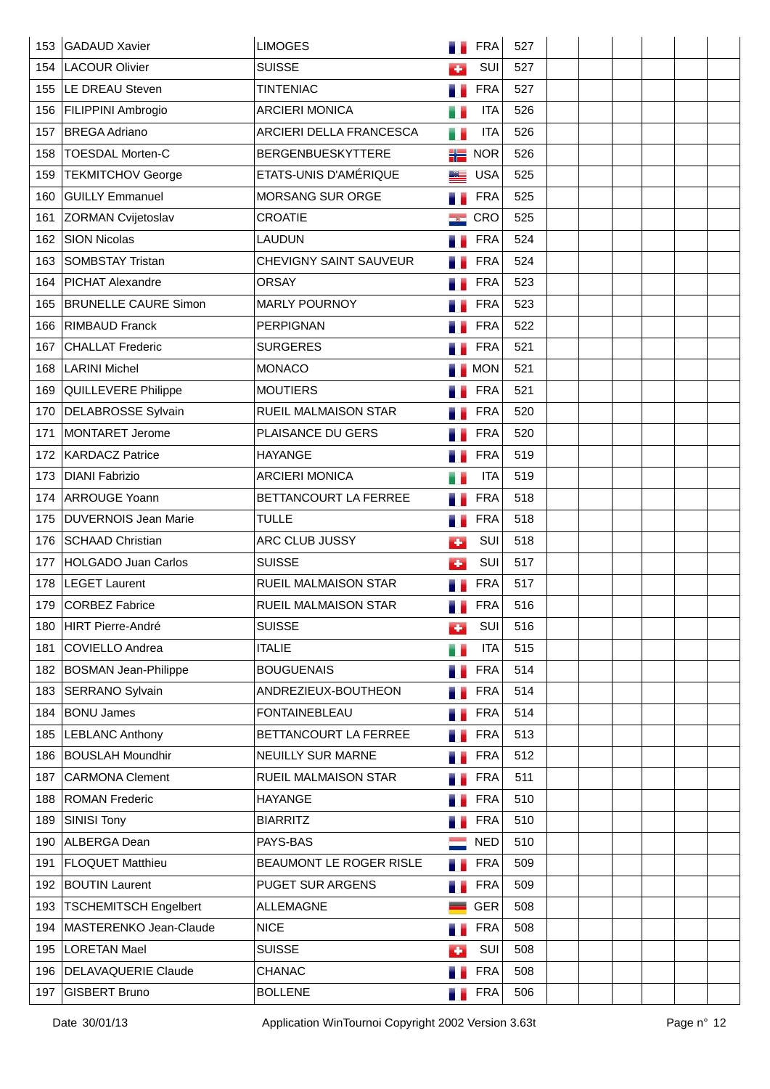| 153 | GADAUD Xavier                | <b>LIMOGES</b>              |     | <b>FRA</b> | 527 |  |  |  |
|-----|------------------------------|-----------------------------|-----|------------|-----|--|--|--|
| 154 | LACOUR Olivier               | <b>SUISSE</b>               | ٠   | SUI        | 527 |  |  |  |
| 155 | LE DREAU Steven              | <b>TINTENIAC</b>            |     | <b>FRA</b> | 527 |  |  |  |
| 156 | <b>FILIPPINI Ambrogio</b>    | <b>ARCIERI MONICA</b>       |     | <b>ITA</b> | 526 |  |  |  |
| 157 | <b>BREGA Adriano</b>         | ARCIERI DELLA FRANCESCA     | u e | <b>ITA</b> | 526 |  |  |  |
| 158 | <b>TOESDAL Morten-C</b>      | <b>BERGENBUESKYTTERE</b>    | 詣   | <b>NOR</b> | 526 |  |  |  |
| 159 | <b>TEKMITCHOV George</b>     | ETATS-UNIS D'AMÉRIQUE       | ME  | <b>USA</b> | 525 |  |  |  |
| 160 | <b>GUILLY Emmanuel</b>       | MORSANG SUR ORGE            |     | <b>FRA</b> | 525 |  |  |  |
| 161 | <b>ZORMAN Cvijetoslav</b>    | <b>CROATIE</b>              |     | CRO        | 525 |  |  |  |
| 162 | <b>SION Nicolas</b>          | <b>LAUDUN</b>               |     | <b>FRA</b> | 524 |  |  |  |
| 163 | SOMBSTAY Tristan             | CHEVIGNY SAINT SAUVEUR      |     | <b>FRA</b> | 524 |  |  |  |
| 164 | PICHAT Alexandre             | <b>ORSAY</b>                |     | <b>FRA</b> | 523 |  |  |  |
| 165 | <b>BRUNELLE CAURE Simon</b>  | MARLY POURNOY               |     | <b>FRA</b> | 523 |  |  |  |
| 166 | <b>RIMBAUD Franck</b>        | <b>PERPIGNAN</b>            |     | <b>FRA</b> | 522 |  |  |  |
| 167 | <b>CHALLAT Frederic</b>      | <b>SURGERES</b>             |     | <b>FRA</b> | 521 |  |  |  |
| 168 | <b>LARINI Michel</b>         | <b>MONACO</b>               |     | <b>MON</b> | 521 |  |  |  |
| 169 | QUILLEVERE Philippe          | <b>MOUTIERS</b>             |     | <b>FRA</b> | 521 |  |  |  |
| 170 | <b>DELABROSSE Sylvain</b>    | RUEIL MALMAISON STAR        |     | <b>FRA</b> | 520 |  |  |  |
| 171 | MONTARET Jerome              | PLAISANCE DU GERS           |     | <b>FRA</b> | 520 |  |  |  |
| 172 | <b>KARDACZ Patrice</b>       | <b>HAYANGE</b>              |     | <b>FRA</b> | 519 |  |  |  |
| 173 | <b>DIANI Fabrizio</b>        | <b>ARCIERI MONICA</b>       |     | <b>ITA</b> | 519 |  |  |  |
| 174 | <b>ARROUGE Yoann</b>         | BETTANCOURT LA FERREE       |     | <b>FRA</b> | 518 |  |  |  |
| 175 | <b>DUVERNOIS Jean Marie</b>  | <b>TULLE</b>                |     | <b>FRA</b> | 518 |  |  |  |
| 176 | <b>SCHAAD Christian</b>      | ARC CLUB JUSSY              | ٠   | SUI        | 518 |  |  |  |
| 177 | <b>HOLGADO Juan Carlos</b>   | <b>SUISSE</b>               | ÷   | SUI        | 517 |  |  |  |
| 178 | <b>LEGET Laurent</b>         | <b>RUEIL MALMAISON STAR</b> |     | <b>FRA</b> | 517 |  |  |  |
| 179 | <b>CORBEZ Fabrice</b>        | <b>RUEIL MALMAISON STAR</b> |     | <b>FRA</b> | 516 |  |  |  |
| 180 | HIRT Pierre-André            | <b>SUISSE</b>               | ÷   | SUI        | 516 |  |  |  |
| 181 | <b>COVIELLO Andrea</b>       | <b>ITALIE</b>               | H.  | <b>ITA</b> | 515 |  |  |  |
| 182 | <b>BOSMAN Jean-Philippe</b>  | <b>BOUGUENAIS</b>           |     | <b>FRA</b> | 514 |  |  |  |
| 183 | <b>SERRANO Sylvain</b>       | ANDREZIEUX-BOUTHEON         |     | <b>FRA</b> | 514 |  |  |  |
| 184 | <b>BONU James</b>            | <b>FONTAINEBLEAU</b>        |     | <b>FRA</b> | 514 |  |  |  |
| 185 | <b>LEBLANC Anthony</b>       | BETTANCOURT LA FERREE       | п.  | <b>FRA</b> | 513 |  |  |  |
| 186 | <b>BOUSLAH Moundhir</b>      | NEUILLY SUR MARNE           |     | <b>FRA</b> | 512 |  |  |  |
| 187 | <b>CARMONA Clement</b>       | RUEIL MALMAISON STAR        |     | <b>FRA</b> | 511 |  |  |  |
| 188 | <b>ROMAN Frederic</b>        | <b>HAYANGE</b>              |     | <b>FRA</b> | 510 |  |  |  |
| 189 | <b>SINISI Tony</b>           | <b>BIARRITZ</b>             |     | <b>FRA</b> | 510 |  |  |  |
| 190 | ALBERGA Dean                 | PAYS-BAS                    |     | <b>NED</b> | 510 |  |  |  |
| 191 | <b>FLOQUET Matthieu</b>      | BEAUMONT LE ROGER RISLE     |     | <b>FRA</b> | 509 |  |  |  |
| 192 | <b>BOUTIN Laurent</b>        | PUGET SUR ARGENS            |     | <b>FRA</b> | 509 |  |  |  |
| 193 | <b>TSCHEMITSCH Engelbert</b> | <b>ALLEMAGNE</b>            |     | <b>GER</b> | 508 |  |  |  |
| 194 | MASTERENKO Jean-Claude       | <b>NICE</b>                 | ۰.  | <b>FRA</b> | 508 |  |  |  |
| 195 | <b>LORETAN Mael</b>          | <b>SUISSE</b>               | ÷   | SUI        | 508 |  |  |  |
| 196 | <b>DELAVAQUERIE Claude</b>   | <b>CHANAC</b>               |     | <b>FRA</b> | 508 |  |  |  |
| 197 | <b>GISBERT Bruno</b>         | <b>BOLLENE</b>              |     | <b>FRA</b> | 506 |  |  |  |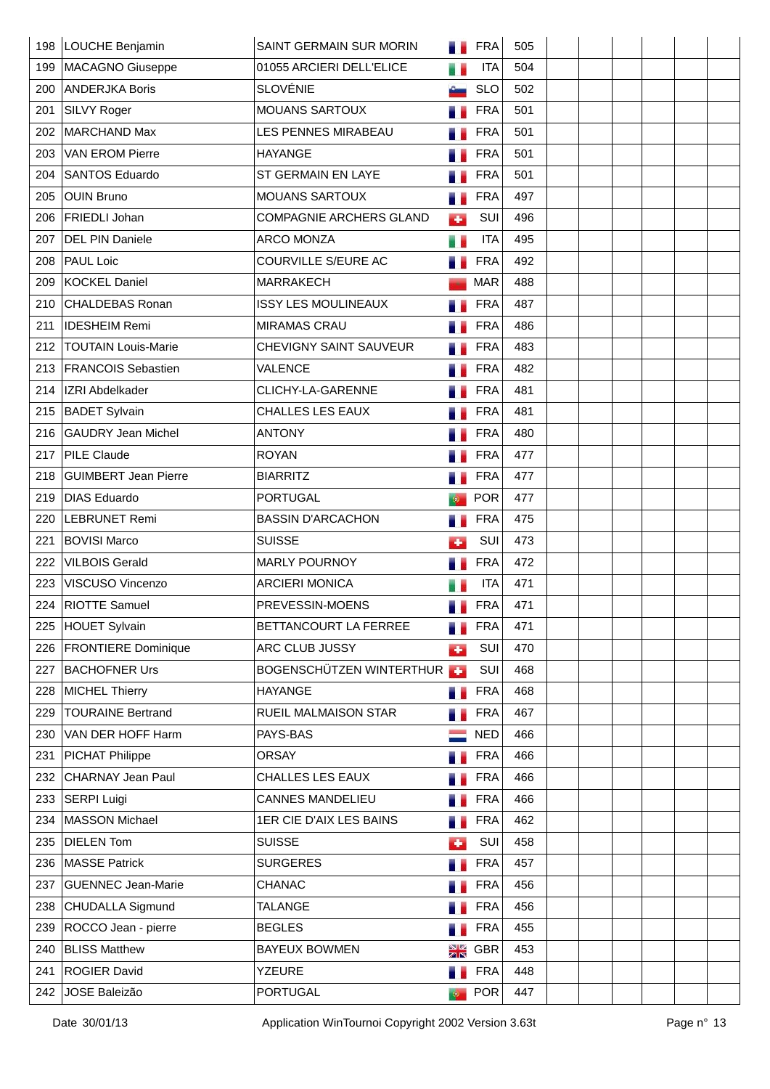| 198 | LOUCHE Benjamin             | SAINT GERMAIN SUR MORIN        |      | <b>FRA</b> | 505 |  |  |  |
|-----|-----------------------------|--------------------------------|------|------------|-----|--|--|--|
| 199 | MACAGNO Giuseppe            | 01055 ARCIERI DELL'ELICE       | u    | <b>ITA</b> | 504 |  |  |  |
| 200 | <b>ANDERJKA Boris</b>       | <b>SLOVÉNIE</b>                |      | <b>SLO</b> | 502 |  |  |  |
| 201 | SILVY Roger                 | MOUANS SARTOUX                 |      | <b>FRA</b> | 501 |  |  |  |
| 202 | MARCHAND Max                | LES PENNES MIRABEAU            |      | <b>FRA</b> | 501 |  |  |  |
| 203 | <b>VAN EROM Pierre</b>      | <b>HAYANGE</b>                 |      | <b>FRA</b> | 501 |  |  |  |
| 204 | SANTOS Eduardo              | ST GERMAIN EN LAYE             |      | <b>FRA</b> | 501 |  |  |  |
| 205 | <b>OUIN Bruno</b>           | <b>MOUANS SARTOUX</b>          |      | <b>FRA</b> | 497 |  |  |  |
| 206 | <b>FRIEDLI Johan</b>        | <b>COMPAGNIE ARCHERS GLAND</b> | к.   | SUI        | 496 |  |  |  |
| 207 | <b>DEL PIN Daniele</b>      | <b>ARCO MONZA</b>              | e e  | <b>ITA</b> | 495 |  |  |  |
| 208 | <b>PAUL Loic</b>            | COURVILLE S/EURE AC            | .,   | <b>FRA</b> | 492 |  |  |  |
| 209 | KOCKEL Daniel               | MARRAKECH                      |      | <b>MAR</b> | 488 |  |  |  |
| 210 | <b>CHALDEBAS Ronan</b>      | <b>ISSY LES MOULINEAUX</b>     |      | <b>FRA</b> | 487 |  |  |  |
| 211 | <b>IDESHEIM Remi</b>        | <b>MIRAMAS CRAU</b>            |      | <b>FRA</b> | 486 |  |  |  |
| 212 | <b>TOUTAIN Louis-Marie</b>  | CHEVIGNY SAINT SAUVEUR         |      | <b>FRA</b> | 483 |  |  |  |
| 213 | <b>FRANCOIS Sebastien</b>   | <b>VALENCE</b>                 |      | <b>FRA</b> | 482 |  |  |  |
| 214 | <b>IZRI Abdelkader</b>      | CLICHY-LA-GARENNE              |      | <b>FRA</b> | 481 |  |  |  |
| 215 | <b>BADET Sylvain</b>        | <b>CHALLES LES EAUX</b>        |      | <b>FRA</b> | 481 |  |  |  |
| 216 | <b>GAUDRY Jean Michel</b>   | <b>ANTONY</b>                  |      | <b>FRA</b> | 480 |  |  |  |
| 217 | PILE Claude                 | <b>ROYAN</b>                   |      | <b>FRA</b> | 477 |  |  |  |
| 218 | <b>GUIMBERT Jean Pierre</b> | <b>BIARRITZ</b>                |      | <b>FRA</b> | 477 |  |  |  |
| 219 | <b>DIAS Eduardo</b>         | <b>PORTUGAL</b>                |      | <b>POR</b> | 477 |  |  |  |
| 220 | <b>LEBRUNET Remi</b>        | <b>BASSIN D'ARCACHON</b>       |      | <b>FRA</b> | 475 |  |  |  |
| 221 | <b>BOVISI Marco</b>         | <b>SUISSE</b>                  | ٠    | SUI        | 473 |  |  |  |
| 222 | <b>VILBOIS Gerald</b>       | <b>MARLY POURNOY</b>           |      | <b>FRA</b> | 472 |  |  |  |
| 223 | VISCUSO Vincenzo            | <b>ARCIERI MONICA</b>          |      | <b>ITA</b> | 471 |  |  |  |
| 224 | <b>RIOTTE Samuel</b>        | PREVESSIN-MOENS                |      | <b>FRA</b> | 471 |  |  |  |
| 225 | HOUET Sylvain               | BETTANCOURT LA FERREE          |      | <b>FRA</b> | 471 |  |  |  |
| 226 | <b>FRONTIERE</b> Dominique  | ARC CLUB JUSSY                 | Œ    | SUI        | 470 |  |  |  |
| 227 | <b>BACHOFNER Urs</b>        | BOGENSCHÜTZEN WINTERTHUR       |      | SUI        | 468 |  |  |  |
| 228 | MICHEL Thierry              | <b>HAYANGE</b>                 |      | <b>FRA</b> | 468 |  |  |  |
| 229 | <b>TOURAINE Bertrand</b>    | RUEIL MALMAISON STAR           |      | <b>FRA</b> | 467 |  |  |  |
| 230 | VAN DER HOFF Harm           | PAYS-BAS                       |      | <b>NED</b> | 466 |  |  |  |
| 231 | <b>PICHAT Philippe</b>      | <b>ORSAY</b>                   |      | <b>FRA</b> | 466 |  |  |  |
| 232 | <b>CHARNAY Jean Paul</b>    | <b>CHALLES LES EAUX</b>        |      | <b>FRA</b> | 466 |  |  |  |
| 233 | SERPI Luigi                 | <b>CANNES MANDELIEU</b>        |      | <b>FRA</b> | 466 |  |  |  |
| 234 | MASSON Michael              | 1ER CIE D'AIX LES BAINS        | a.   | <b>FRA</b> | 462 |  |  |  |
| 235 | <b>DIELEN Tom</b>           | <b>SUISSE</b>                  | d.   | SUI        | 458 |  |  |  |
| 236 | MASSE Patrick               | <b>SURGERES</b>                |      | <b>FRA</b> | 457 |  |  |  |
| 237 | <b>GUENNEC Jean-Marie</b>   | <b>CHANAC</b>                  |      | <b>FRA</b> | 456 |  |  |  |
| 238 | CHUDALLA Sigmund            | TALANGE                        |      | <b>FRA</b> | 456 |  |  |  |
| 239 | ROCCO Jean - pierre         | <b>BEGLES</b>                  |      | <b>FRA</b> | 455 |  |  |  |
| 240 | <b>BLISS Matthew</b>        | <b>BAYEUX BOWMEN</b>           | NØ   | <b>GBR</b> | 453 |  |  |  |
| 241 | <b>ROGIER David</b>         | <b>YZEURE</b>                  | ۰.   | <b>FRA</b> | 448 |  |  |  |
| 242 | JOSE Baleizão               | <b>PORTUGAL</b>                | i (b | <b>POR</b> | 447 |  |  |  |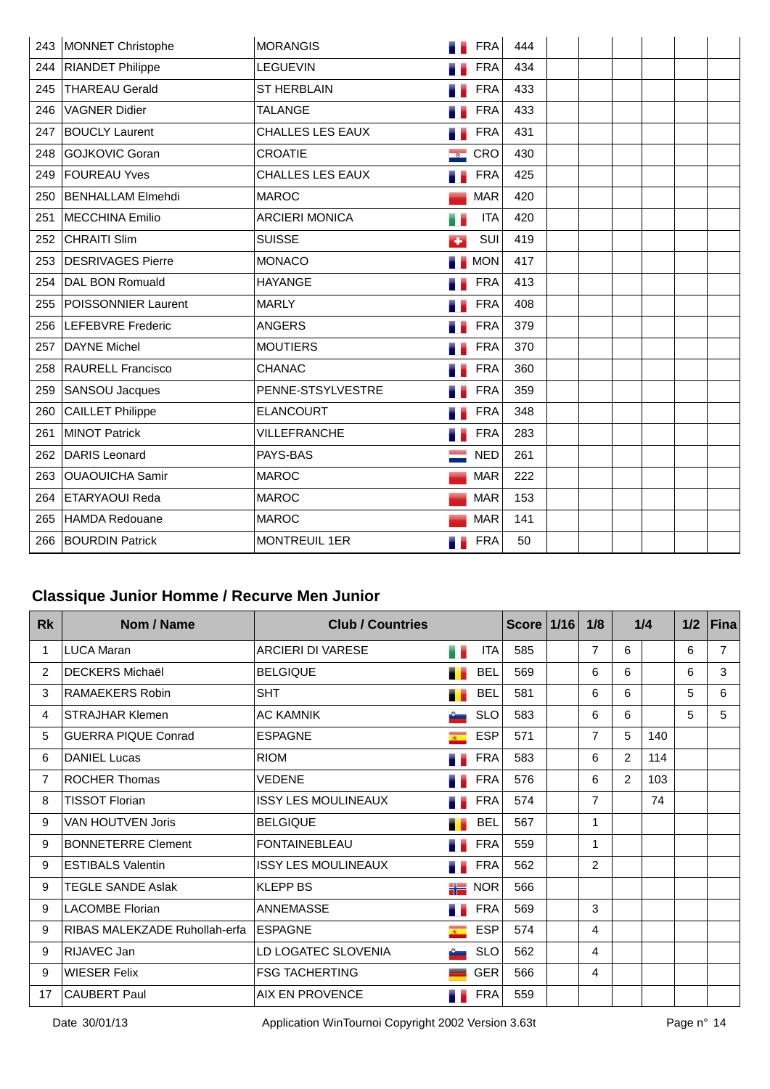| 243 | MONNET Christophe        | <b>MORANGIS</b>         |                            | <b>FRA</b> | 444 |  |  |  |
|-----|--------------------------|-------------------------|----------------------------|------------|-----|--|--|--|
| 244 | <b>RIANDET Philippe</b>  | <b>LEGUEVIN</b>         |                            | <b>FRA</b> | 434 |  |  |  |
| 245 | <b>THAREAU Gerald</b>    | <b>ST HERBLAIN</b>      |                            | <b>FRA</b> | 433 |  |  |  |
| 246 | <b>VAGNER Didier</b>     | <b>TALANGE</b>          |                            | <b>FRA</b> | 433 |  |  |  |
| 247 | <b>BOUCLY Laurent</b>    | <b>CHALLES LES EAUX</b> |                            | <b>FRA</b> | 431 |  |  |  |
| 248 | <b>GOJKOVIC Goran</b>    | <b>CROATIE</b>          | <b><i><u> 1950</u></i></b> | CRO        | 430 |  |  |  |
| 249 | <b>FOUREAU Yves</b>      | <b>CHALLES LES EAUX</b> |                            | <b>FRA</b> | 425 |  |  |  |
| 250 | BENHALLAM Elmehdi        | <b>MAROC</b>            |                            | <b>MAR</b> | 420 |  |  |  |
| 251 | MECCHINA Emilio          | <b>ARCIERI MONICA</b>   |                            | <b>ITA</b> | 420 |  |  |  |
| 252 | <b>CHRAITI Slim</b>      | <b>SUISSE</b>           | ÷                          | SUI        | 419 |  |  |  |
| 253 | <b>DESRIVAGES Pierre</b> | <b>MONACO</b>           |                            | <b>MON</b> | 417 |  |  |  |
| 254 | DAL BON Romuald          | <b>HAYANGE</b>          |                            | <b>FRA</b> | 413 |  |  |  |
| 255 | POISSONNIER Laurent      | <b>MARLY</b>            |                            | <b>FRA</b> | 408 |  |  |  |
| 256 | <b>LEFEBVRE</b> Frederic | <b>ANGERS</b>           |                            | <b>FRA</b> | 379 |  |  |  |
| 257 | <b>DAYNE Michel</b>      | <b>MOUTIERS</b>         |                            | <b>FRA</b> | 370 |  |  |  |
| 258 | <b>RAURELL Francisco</b> | <b>CHANAC</b>           |                            | <b>FRA</b> | 360 |  |  |  |
| 259 | SANSOU Jacques           | PENNE-STSYLVESTRE       |                            | <b>FRA</b> | 359 |  |  |  |
| 260 | <b>CAILLET Philippe</b>  | <b>ELANCOURT</b>        |                            | <b>FRA</b> | 348 |  |  |  |
| 261 | <b>MINOT Patrick</b>     | VILLEFRANCHE            |                            | <b>FRA</b> | 283 |  |  |  |
| 262 | <b>DARIS Leonard</b>     | PAYS-BAS                |                            | <b>NED</b> | 261 |  |  |  |
| 263 | <b>OUAOUICHA Samir</b>   | <b>MAROC</b>            |                            | <b>MAR</b> | 222 |  |  |  |
| 264 | <b>ETARYAOUI Reda</b>    | <b>MAROC</b>            |                            | <b>MAR</b> | 153 |  |  |  |
| 265 | <b>HAMDA Redouane</b>    | <b>MAROC</b>            |                            | <b>MAR</b> | 141 |  |  |  |
| 266 | <b>BOURDIN Patrick</b>   | MONTREUIL 1ER           |                            | <b>FRA</b> | 50  |  |  |  |

# **Classique Junior Homme / Recurve Men Junior**

| <b>Rk</b>      | Nom / Name                    | <b>Club / Countries</b>    |                |            | <b>Score</b> | $1/16$ | 1/8            |   | 1/4 | 1/2 | Fina |
|----------------|-------------------------------|----------------------------|----------------|------------|--------------|--------|----------------|---|-----|-----|------|
| 1              | <b>LUCA Maran</b>             | <b>ARCIERI DI VARESE</b>   | . .            | <b>ITA</b> | 585          |        | 7              | 6 |     | 6   | 7    |
| 2              | <b>DECKERS Michaël</b>        | <b>BELGIQUE</b>            |                | <b>BEL</b> | 569          |        | 6              | 6 |     | 6   | 3    |
| 3              | RAMAEKERS Robin               | <b>SHT</b>                 |                | <b>BEL</b> | 581          |        | 6              | 6 |     | 5   | 6    |
| 4              | <b>STRAJHAR Klemen</b>        | <b>AC KAMNIK</b>           |                | <b>SLO</b> | 583          |        | 6              | 6 |     | 5   | 5    |
| 5              | <b>GUERRA PIQUE Conrad</b>    | <b>ESPAGNE</b>             | $R =$          | <b>ESP</b> | 571          |        | $\overline{7}$ | 5 | 140 |     |      |
| 6              | <b>DANIEL Lucas</b>           | <b>RIOM</b>                |                | <b>FRA</b> | 583          |        | 6              | 2 | 114 |     |      |
| $\overline{7}$ | <b>ROCHER Thomas</b>          | <b>VEDENE</b>              |                | FRA        | 576          |        | 6              | 2 | 103 |     |      |
| 8              | <b>TISSOT Florian</b>         | <b>ISSY LES MOULINEAUX</b> |                | <b>FRA</b> | 574          |        | 7              |   | 74  |     |      |
| 9              | <b>VAN HOUTVEN Joris</b>      | <b>BELGIQUE</b>            |                | <b>BEL</b> | 567          |        | 1              |   |     |     |      |
| 9              | <b>BONNETERRE Clement</b>     | <b>FONTAINEBLEAU</b>       |                | <b>FRA</b> | 559          |        | 1              |   |     |     |      |
| 9              | <b>ESTIBALS Valentin</b>      | <b>ISSY LES MOULINEAUX</b> |                | <b>FRA</b> | 562          |        | $\overline{2}$ |   |     |     |      |
| 9              | <b>TEGLE SANDE Aslak</b>      | <b>KLEPP BS</b>            | al a           | <b>NOR</b> | 566          |        |                |   |     |     |      |
| 9              | <b>LACOMBE Florian</b>        | ANNEMASSE                  |                | FRA        | 569          |        | 3              |   |     |     |      |
| 9              | RIBAS MALEKZADE Ruhollah-erfa | <b>ESPAGNE</b>             | $\overline{R}$ | <b>ESP</b> | 574          |        | 4              |   |     |     |      |
| 9              | RIJAVEC Jan                   | LD LOGATEC SLOVENIA        |                | <b>SLO</b> | 562          |        | 4              |   |     |     |      |
| 9              | <b>WIESER Felix</b>           | <b>FSG TACHERTING</b>      |                | <b>GER</b> | 566          |        | 4              |   |     |     |      |
| 17             | CAUBERT Paul                  | AIX EN PROVENCE            |                | <b>FRA</b> | 559          |        |                |   |     |     |      |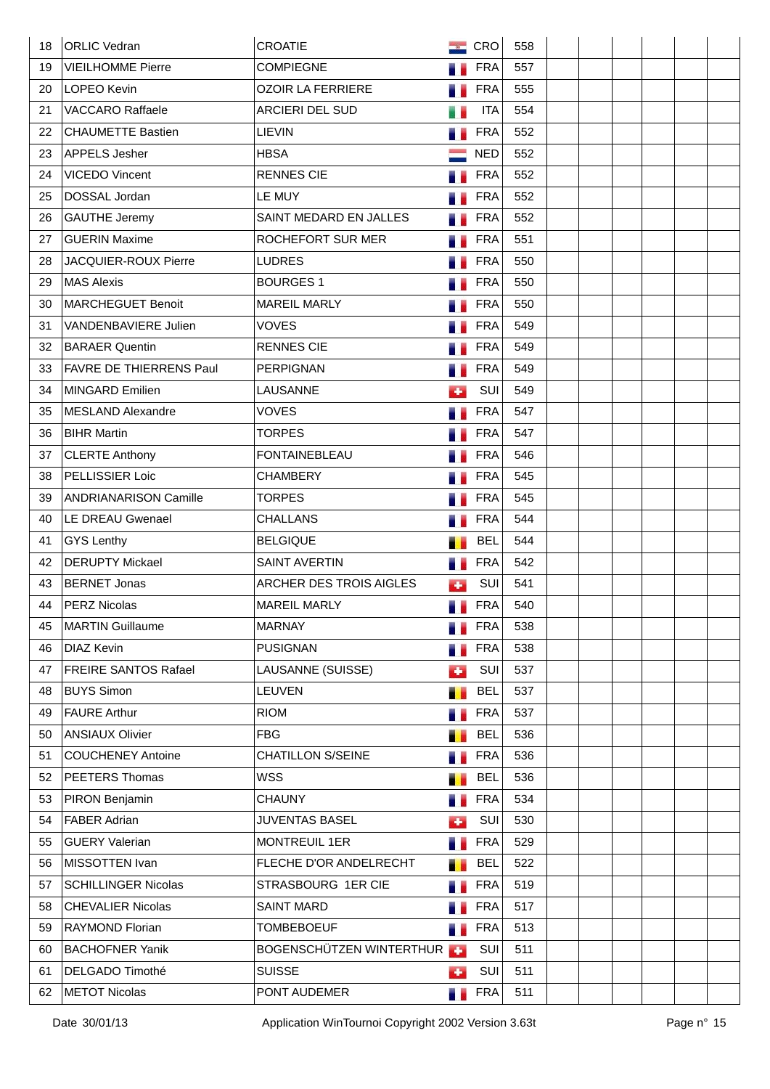| 18  | <b>ORLIC Vedran</b>            | CROATIE                  | $\sim$ | CRO        | 558 |  |  |  |
|-----|--------------------------------|--------------------------|--------|------------|-----|--|--|--|
| 19  | <b>VIEILHOMME Pierre</b>       | <b>COMPIEGNE</b>         |        | <b>FRA</b> | 557 |  |  |  |
| 20  | LOPEO Kevin                    | <b>OZOIR LA FERRIERE</b> |        | <b>FRA</b> | 555 |  |  |  |
| 21  | <b>VACCARO Raffaele</b>        | <b>ARCIERI DEL SUD</b>   |        | <b>ITA</b> | 554 |  |  |  |
| 22. | <b>CHAUMETTE Bastien</b>       | LIEVIN                   |        | <b>FRA</b> | 552 |  |  |  |
| 23  | APPELS Jesher                  | <b>HBSA</b>              |        | <b>NED</b> | 552 |  |  |  |
| 24  | VICEDO Vincent                 | <b>RENNES CIE</b>        |        | <b>FRA</b> | 552 |  |  |  |
| 25  | DOSSAL Jordan                  | LE MUY                   |        | <b>FRA</b> | 552 |  |  |  |
| 26  | <b>GAUTHE Jeremy</b>           | SAINT MEDARD EN JALLES   |        | <b>FRA</b> | 552 |  |  |  |
| 27  | <b>GUERIN Maxime</b>           | ROCHEFORT SUR MER        |        | <b>FRA</b> | 551 |  |  |  |
| 28  | JACQUIER-ROUX Pierre           | <b>LUDRES</b>            |        | <b>FRA</b> | 550 |  |  |  |
| 29. | MAS Alexis                     | <b>BOURGES 1</b>         |        | <b>FRA</b> | 550 |  |  |  |
| 30  | MARCHEGUET Benoit              | <b>MAREIL MARLY</b>      |        | <b>FRA</b> | 550 |  |  |  |
| 31  | VANDENBAVIERE Julien           | <b>VOVES</b>             |        | <b>FRA</b> | 549 |  |  |  |
| 32  | <b>BARAER Quentin</b>          | <b>RENNES CIE</b>        |        | <b>FRA</b> | 549 |  |  |  |
| 33  | <b>FAVRE DE THIERRENS Paul</b> | <b>PERPIGNAN</b>         |        | <b>FRA</b> | 549 |  |  |  |
| 34  | MINGARD Emilien                | LAUSANNE                 | ٠      | SUI        | 549 |  |  |  |
| 35  | MESLAND Alexandre              | <b>VOVES</b>             |        | <b>FRA</b> | 547 |  |  |  |
| 36  | <b>BIHR Martin</b>             | <b>TORPES</b>            |        | <b>FRA</b> | 547 |  |  |  |
| 37  | <b>CLERTE Anthony</b>          | <b>FONTAINEBLEAU</b>     |        | <b>FRA</b> | 546 |  |  |  |
| 38  | PELLISSIER Loic                | <b>CHAMBERY</b>          |        | <b>FRA</b> | 545 |  |  |  |
| 39  | <b>ANDRIANARISON Camille</b>   | <b>TORPES</b>            |        | <b>FRA</b> | 545 |  |  |  |
| 40  | LE DREAU Gwenael               | <b>CHALLANS</b>          |        | <b>FRA</b> | 544 |  |  |  |
| 41  | <b>GYS Lenthy</b>              | <b>BELGIQUE</b>          |        | <b>BEL</b> | 544 |  |  |  |
| 42  | <b>DERUPTY Mickael</b>         | <b>SAINT AVERTIN</b>     | s.     | <b>FRA</b> | 542 |  |  |  |
| 43  | <b>BERNET Jonas</b>            | ARCHER DES TROIS AIGLES  | ÷      | SUI        | 541 |  |  |  |
| 44  | PERZ Nicolas                   | <b>MAREIL MARLY</b>      |        | <b>FRA</b> | 540 |  |  |  |
| 45  | <b>MARTIN Guillaume</b>        | <b>MARNAY</b>            |        | <b>FRA</b> | 538 |  |  |  |
| 46  | <b>DIAZ Kevin</b>              | <b>PUSIGNAN</b>          | ш      | <b>FRA</b> | 538 |  |  |  |
| 47  | <b>FREIRE SANTOS Rafael</b>    | LAUSANNE (SUISSE)        | ÷      | SUI        | 537 |  |  |  |
| 48  | <b>BUYS Simon</b>              | LEUVEN                   | .,     | <b>BEL</b> | 537 |  |  |  |
| 49  | <b>FAURE Arthur</b>            | <b>RIOM</b>              | a.     | <b>FRA</b> | 537 |  |  |  |
| 50  | <b>ANSIAUX Olivier</b>         | <b>FBG</b>               | ш      | <b>BEL</b> | 536 |  |  |  |
| 51  | <b>COUCHENEY Antoine</b>       | <b>CHATILLON S/SEINE</b> |        | <b>FRA</b> | 536 |  |  |  |
| 52  | PEETERS Thomas                 | <b>WSS</b>               | п      | <b>BEL</b> | 536 |  |  |  |
| 53  | PIRON Benjamin                 | <b>CHAUNY</b>            |        | <b>FRA</b> | 534 |  |  |  |
| 54  | <b>FABER Adrian</b>            | <b>JUVENTAS BASEL</b>    | œ      | SUI        | 530 |  |  |  |
| 55  | <b>GUERY Valerian</b>          | <b>MONTREUIL 1ER</b>     | 7      | <b>FRA</b> | 529 |  |  |  |
| 56  | MISSOTTEN Ivan                 | FLECHE D'OR ANDELRECHT   | т      | <b>BEL</b> | 522 |  |  |  |
| 57  | <b>SCHILLINGER Nicolas</b>     | STRASBOURG 1ER CIE       | u e    | <b>FRA</b> | 519 |  |  |  |
| 58  | <b>CHEVALIER Nicolas</b>       | <b>SAINT MARD</b>        |        | <b>FRA</b> | 517 |  |  |  |
| 59  | <b>RAYMOND Florian</b>         | <b>TOMBEBOEUF</b>        | a.     | <b>FRA</b> | 513 |  |  |  |
| 60  | <b>BACHOFNER Yanik</b>         | BOGENSCHÜTZEN WINTERTHUR |        | SUI        | 511 |  |  |  |
| 61  | DELGADO Timothé                | <b>SUISSE</b>            | а.     | SUI        | 511 |  |  |  |
| 62  | <b>METOT Nicolas</b>           | PONT AUDEMER             | u e    | <b>FRA</b> | 511 |  |  |  |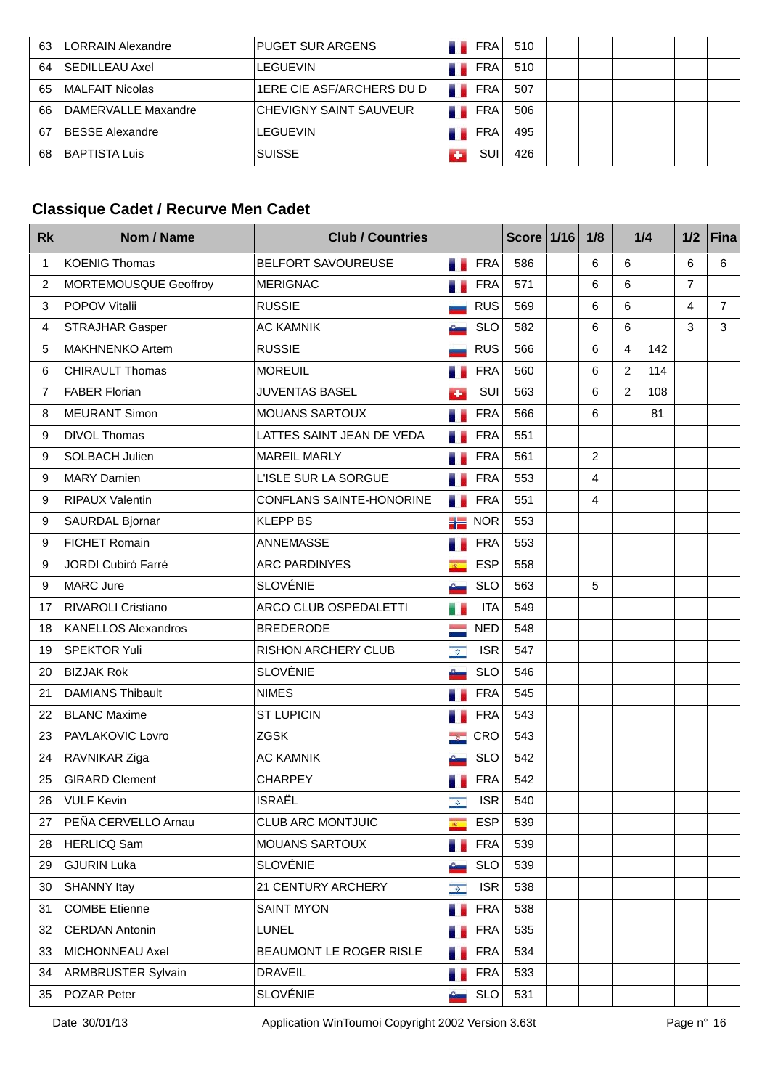| 63 | LORRAIN Alexandre       | <b>PUGET SUR ARGENS</b>       |             | <b>FRA</b> | 510 |  |  |  |
|----|-------------------------|-------------------------------|-------------|------------|-----|--|--|--|
| 64 | <b>SEDILLEAU Axel</b>   | ILEGUEVIN                     |             | <b>FRA</b> | 510 |  |  |  |
| 65 | <b>IMALFAIT Nicolas</b> | 1ERE CIE ASF/ARCHERS DU D     | - 5         | <b>FRA</b> | 507 |  |  |  |
| 66 | DAMERVALLE Maxandre     | <b>CHEVIGNY SAINT SAUVEUR</b> | <b>M</b> 20 | <b>FRA</b> | 506 |  |  |  |
| 67 | <b>BESSE Alexandre</b>  | LEGUEVIN                      |             | <b>FRA</b> | 495 |  |  |  |
| 68 | BAPTISTA Luis           | <b>SUISSE</b>                 |             | SUI        | 426 |  |  |  |

## **Classique Cadet / Recurve Men Cadet**

| <b>Rk</b>      | Nom / Name                 | <b>Club / Countries</b>   |                           |            | Score $1/16$ | 1/8            |                | 1/4 | 1/2            | <b>Fina</b>    |
|----------------|----------------------------|---------------------------|---------------------------|------------|--------------|----------------|----------------|-----|----------------|----------------|
| 1              | <b>KOENIG Thomas</b>       | BELFORT SAVOUREUSE        | П.                        | <b>FRA</b> | 586          | 6              | 6              |     | 6              | 6              |
| $\overline{c}$ | MORTEMOUSQUE Geoffroy      | <b>MERIGNAC</b>           | . .                       | <b>FRA</b> | 571          | 6              | 6              |     | $\overline{7}$ |                |
| 3              | <b>POPOV Vitalii</b>       | <b>RUSSIE</b>             |                           | <b>RUS</b> | 569          | 6              | 6              |     | 4              | $\overline{7}$ |
| 4              | <b>STRAJHAR Gasper</b>     | <b>AC KAMNIK</b>          |                           | <b>SLO</b> | 582          | 6              | 6              |     | 3              | 3              |
| 5              | <b>MAKHNENKO Artem</b>     | <b>RUSSIE</b>             |                           | <b>RUS</b> | 566          | 6              | 4              | 142 |                |                |
| 6              | <b>CHIRAULT Thomas</b>     | <b>MOREUIL</b>            |                           | <b>FRA</b> | 560          | 6              | $\overline{2}$ | 114 |                |                |
| 7              | <b>FABER Florian</b>       | <b>JUVENTAS BASEL</b>     | ÷                         | SUI        | 563          | 6              | $\overline{2}$ | 108 |                |                |
| 8              | <b>MEURANT Simon</b>       | MOUANS SARTOUX            |                           | <b>FRA</b> | 566          | 6              |                | 81  |                |                |
| 9              | <b>DIVOL Thomas</b>        | LATTES SAINT JEAN DE VEDA |                           | <b>FRA</b> | 551          |                |                |     |                |                |
| 9              | SOLBACH Julien             | <b>MAREIL MARLY</b>       | ä.                        | <b>FRA</b> | 561          | 2              |                |     |                |                |
| 9              | <b>MARY Damien</b>         | L'ISLE SUR LA SORGUE      |                           | <b>FRA</b> | 553          | $\overline{4}$ |                |     |                |                |
| 9              | <b>RIPAUX Valentin</b>     | CONFLANS SAINTE-HONORINE  |                           | <b>FRA</b> | 551          | 4              |                |     |                |                |
| 9              | <b>SAURDAL Bjornar</b>     | <b>KLEPP BS</b>           | 詣                         | <b>NOR</b> | 553          |                |                |     |                |                |
| 9              | <b>FICHET Romain</b>       | ANNEMASSE                 | a.                        | <b>FRA</b> | 553          |                |                |     |                |                |
| 9              | JORDI Cubiró Farré         | <b>ARC PARDINYES</b>      | $\mathbb{R}^+$            | <b>ESP</b> | 558          |                |                |     |                |                |
| 9              | MARC Jure                  | <b>SLOVÉNIE</b>           |                           | <b>SLO</b> | 563          | 5              |                |     |                |                |
| 17             | <b>RIVAROLI Cristiano</b>  | ARCO CLUB OSPEDALETTI     |                           | <b>ITA</b> | 549          |                |                |     |                |                |
| 18             | <b>KANELLOS Alexandros</b> | <b>BREDERODE</b>          |                           | <b>NED</b> | 548          |                |                |     |                |                |
| 19             | <b>SPEKTOR Yuli</b>        | RISHON ARCHERY CLUB       | $\sqrt{2}$                | <b>ISR</b> | 547          |                |                |     |                |                |
| 20             | <b>BIZJAK Rok</b>          | <b>SLOVÉNIE</b>           |                           | <b>SLO</b> | 546          |                |                |     |                |                |
| 21             | <b>DAMIANS Thibault</b>    | <b>NIMES</b>              |                           | <b>FRA</b> | 545          |                |                |     |                |                |
| 22             | <b>BLANC Maxime</b>        | <b>ST LUPICIN</b>         |                           | <b>FRA</b> | 543          |                |                |     |                |                |
| 23             | PAVLAKOVIC Lovro           | <b>ZGSK</b>               | <b>Section</b>            | CRO        | 543          |                |                |     |                |                |
| 24             | RAVNIKAR Ziga              | <b>AC KAMNIK</b>          |                           | <b>SLO</b> | 542          |                |                |     |                |                |
| 25             | <b>GIRARD Clement</b>      | <b>CHARPEY</b>            |                           | <b>FRA</b> | 542          |                |                |     |                |                |
| 26             | VULF Kevin                 | <b>ISRAËL</b>             | $\overline{\phi}$         | <b>ISR</b> | 540          |                |                |     |                |                |
| 27             | PEÑA CERVELLO Arnau        | <b>CLUB ARC MONTJUIC</b>  | $\overline{R}$ .          | <b>ESP</b> | 539          |                |                |     |                |                |
| 28             | HERLICQ Sam                | <b>MOUANS SARTOUX</b>     | a a                       | <b>FRA</b> | 539          |                |                |     |                |                |
| 29             | <b>GJURIN Luka</b>         | <b>SLOVÉNIE</b>           |                           | <b>SLO</b> | 539          |                |                |     |                |                |
| 30             | <b>SHANNY Itay</b>         | 21 CENTURY ARCHERY        | $\langle \hat{Q} \rangle$ | <b>ISR</b> | 538          |                |                |     |                |                |
| 31             | <b>COMBE Etienne</b>       | <b>SAINT MYON</b>         | a e                       | <b>FRA</b> | 538          |                |                |     |                |                |
| 32             | <b>CERDAN Antonin</b>      | <b>LUNEL</b>              | в.                        | <b>FRA</b> | 535          |                |                |     |                |                |
| 33             | MICHONNEAU Axel            | BEAUMONT LE ROGER RISLE   | a e                       | <b>FRA</b> | 534          |                |                |     |                |                |
| 34             | <b>ARMBRUSTER Sylvain</b>  | <b>DRAVEIL</b>            | ш                         | <b>FRA</b> | 533          |                |                |     |                |                |
| 35             | POZAR Peter                | <b>SLOVÉNIE</b>           |                           | <b>SLO</b> | 531          |                |                |     |                |                |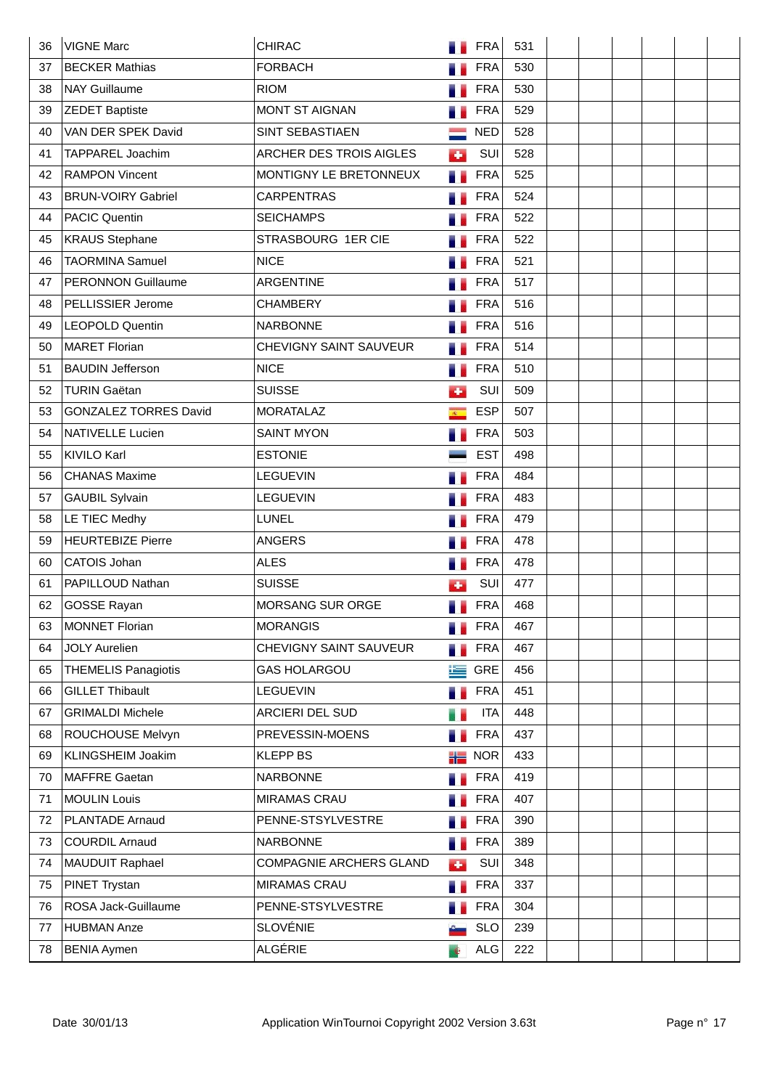| 36 | <b>VIGNE Marc</b>            | <b>CHIRAC</b>                 |                | <b>FRA</b> | 531 |  |  |  |
|----|------------------------------|-------------------------------|----------------|------------|-----|--|--|--|
| 37 | <b>BECKER Mathias</b>        | <b>FORBACH</b>                |                | <b>FRA</b> | 530 |  |  |  |
| 38 | <b>NAY Guillaume</b>         | <b>RIOM</b>                   |                | <b>FRA</b> | 530 |  |  |  |
| 39 | <b>ZEDET Baptiste</b>        | <b>MONT ST AIGNAN</b>         |                | <b>FRA</b> | 529 |  |  |  |
| 40 | VAN DER SPEK David           | <b>SINT SEBASTIAEN</b>        |                | <b>NED</b> | 528 |  |  |  |
| 41 | TAPPAREL Joachim             | ARCHER DES TROIS AIGLES       | Ø.             | SUI        | 528 |  |  |  |
| 42 | <b>RAMPON Vincent</b>        | MONTIGNY LE BRETONNEUX        | a e            | <b>FRA</b> | 525 |  |  |  |
| 43 | <b>BRUN-VOIRY Gabriel</b>    | <b>CARPENTRAS</b>             |                | <b>FRA</b> | 524 |  |  |  |
| 44 | <b>PACIC Quentin</b>         | <b>SEICHAMPS</b>              |                | <b>FRA</b> | 522 |  |  |  |
| 45 | <b>KRAUS Stephane</b>        | STRASBOURG 1ER CIE            |                | <b>FRA</b> | 522 |  |  |  |
| 46 | <b>TAORMINA Samuel</b>       | <b>NICE</b>                   |                | <b>FRA</b> | 521 |  |  |  |
| 47 | <b>PERONNON Guillaume</b>    | ARGENTINE                     |                | <b>FRA</b> | 517 |  |  |  |
| 48 | PELLISSIER Jerome            | <b>CHAMBERY</b>               |                | <b>FRA</b> | 516 |  |  |  |
| 49 | <b>LEOPOLD Quentin</b>       | <b>NARBONNE</b>               |                | <b>FRA</b> | 516 |  |  |  |
| 50 | <b>MARET Florian</b>         | <b>CHEVIGNY SAINT SAUVEUR</b> |                | <b>FRA</b> | 514 |  |  |  |
| 51 | <b>BAUDIN Jefferson</b>      | <b>NICE</b>                   |                | <b>FRA</b> | 510 |  |  |  |
| 52 | <b>TURIN Gaëtan</b>          | <b>SUISSE</b>                 | ÷              | SUI        | 509 |  |  |  |
| 53 | <b>GONZALEZ TORRES David</b> | <b>MORATALAZ</b>              | $\overline{R}$ | <b>ESP</b> | 507 |  |  |  |
| 54 | <b>NATIVELLE Lucien</b>      | <b>SAINT MYON</b>             |                | <b>FRA</b> | 503 |  |  |  |
| 55 | KIVILO Karl                  | <b>ESTONIE</b>                |                | <b>EST</b> | 498 |  |  |  |
| 56 | <b>CHANAS Maxime</b>         | <b>LEGUEVIN</b>               |                | <b>FRA</b> | 484 |  |  |  |
| 57 | <b>GAUBIL Sylvain</b>        | <b>LEGUEVIN</b>               |                | <b>FRA</b> | 483 |  |  |  |
| 58 | LE TIEC Medhy                | LUNEL                         |                | <b>FRA</b> | 479 |  |  |  |
| 59 | <b>HEURTEBIZE Pierre</b>     | <b>ANGERS</b>                 |                | <b>FRA</b> | 478 |  |  |  |
| 60 | CATOIS Johan                 | <b>ALES</b>                   | 51             | <b>FRA</b> | 478 |  |  |  |
| 61 | PAPILLOUD Nathan             | <b>SUISSE</b>                 | ٠              | SUI        | 477 |  |  |  |
| 62 | <b>GOSSE Rayan</b>           | <b>MORSANG SUR ORGE</b>       |                | <b>FRA</b> | 468 |  |  |  |
| 63 | <b>MONNET Florian</b>        | <b>MORANGIS</b>               |                | <b>FRA</b> | 467 |  |  |  |
| 64 | <b>JOLY Aurelien</b>         | CHEVIGNY SAINT SAUVEUR        | a.             | <b>FRA</b> | 467 |  |  |  |
| 65 | <b>THEMELIS Panagiotis</b>   | <b>GAS HOLARGOU</b>           | 生              | GRE        | 456 |  |  |  |
| 66 | <b>GILLET Thibault</b>       | LEGUEVIN                      |                | <b>FRA</b> | 451 |  |  |  |
| 67 | <b>GRIMALDI Michele</b>      | ARCIERI DEL SUD               | e e            | <b>ITA</b> | 448 |  |  |  |
| 68 | ROUCHOUSE Melvyn             | PREVESSIN-MOENS               |                | <b>FRA</b> | 437 |  |  |  |
| 69 | KLINGSHEIM Joakim            | <b>KLEPP BS</b>               | 詣              | <b>NOR</b> | 433 |  |  |  |
| 70 | MAFFRE Gaetan                | <b>NARBONNE</b>               |                | <b>FRA</b> | 419 |  |  |  |
| 71 | <b>MOULIN Louis</b>          | <b>MIRAMAS CRAU</b>           |                | <b>FRA</b> | 407 |  |  |  |
| 72 | <b>PLANTADE Arnaud</b>       | PENNE-STSYLVESTRE             |                | <b>FRA</b> | 390 |  |  |  |
| 73 | <b>COURDIL Arnaud</b>        | <b>NARBONNE</b>               | a.             | <b>FRA</b> | 389 |  |  |  |
| 74 | MAUDUIT Raphael              | COMPAGNIE ARCHERS GLAND       | к.             | SUI        | 348 |  |  |  |
| 75 | PINET Trystan                | <b>MIRAMAS CRAU</b>           | a.             | <b>FRA</b> | 337 |  |  |  |
| 76 | ROSA Jack-Guillaume          | PENNE-STSYLVESTRE             |                | <b>FRA</b> | 304 |  |  |  |
| 77 | <b>HUBMAN Anze</b>           | <b>SLOVÉNIE</b>               |                | <b>SLO</b> | 239 |  |  |  |
| 78 | <b>BENIA Aymen</b>           | ALGÉRIE                       | n,             | ALG        | 222 |  |  |  |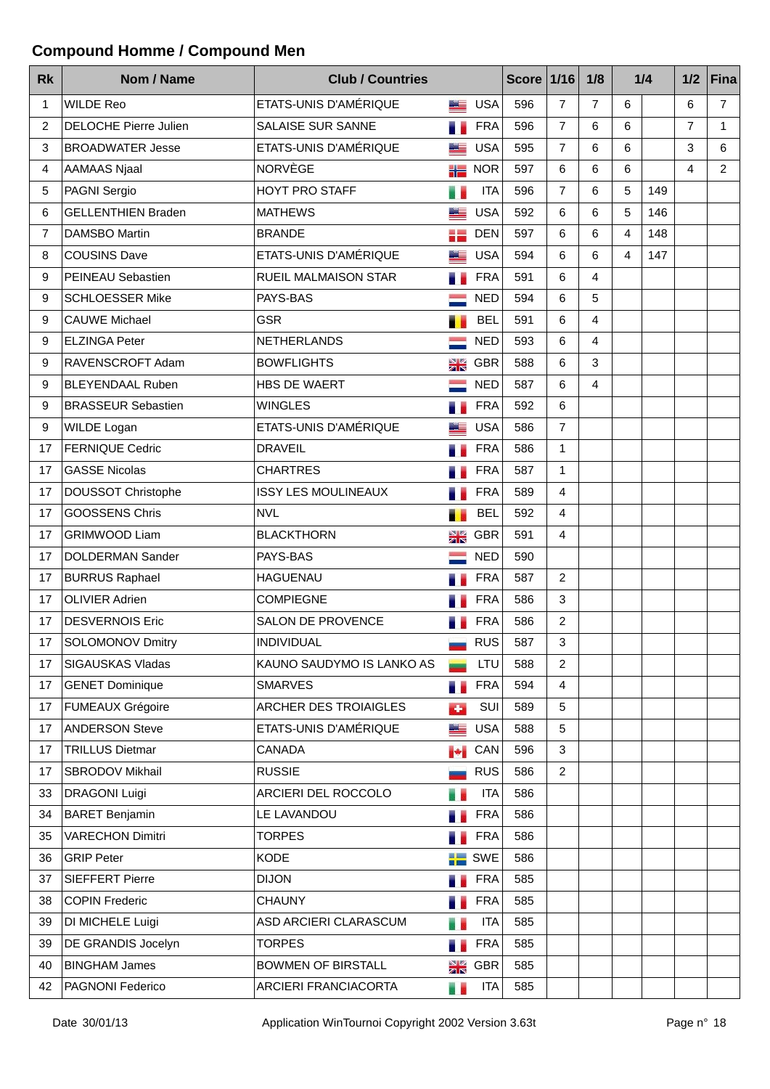## **Compound Homme / Compound Men**

| <b>Rk</b> | Nom / Name                   | <b>Club / Countries</b>    |              |            | Score $1/16$ |                         | 1/8            |   | 1/4 | 1/2            | <b>Fina</b>    |
|-----------|------------------------------|----------------------------|--------------|------------|--------------|-------------------------|----------------|---|-----|----------------|----------------|
| 1         | <b>WILDE Reo</b>             | ETATS-UNIS D'AMÉRIQUE      | 드            | <b>USA</b> | 596          | $\overline{7}$          | $\overline{7}$ | 6 |     | 6              | $\overline{7}$ |
| 2         | <b>DELOCHE Pierre Julien</b> | SALAISE SUR SANNE          | a e          | <b>FRA</b> | 596          | $\overline{7}$          | 6              | 6 |     | $\overline{7}$ | $\mathbf 1$    |
| 3         | <b>BROADWATER Jesse</b>      | ETATS-UNIS D'AMÉRIQUE      | Lim          | <b>USA</b> | 595          | $\overline{7}$          | 6              | 6 |     | 3              | 6              |
| 4         | <b>AAMAAS Njaal</b>          | <b>NORVÈGE</b>             | äle          | <b>NOR</b> | 597          | 6                       | 6              | 6 |     | 4              | 2              |
| 5         | PAGNI Sergio                 | <b>HOYT PRO STAFF</b>      | e e          | <b>ITA</b> | 596          | $\overline{7}$          | 6              | 5 | 149 |                |                |
| 6         | <b>GELLENTHIEN Braden</b>    | <b>MATHEWS</b>             |              | <b>USA</b> | 592          | 6                       | 6              | 5 | 146 |                |                |
| 7         | <b>DAMSBO Martin</b>         | <b>BRANDE</b>              | 을 들리         | <b>DEN</b> | 597          | 6                       | 6              | 4 | 148 |                |                |
| 8         | <b>COUSINS Dave</b>          | ETATS-UNIS D'AMÉRIQUE      | <u> Sila</u> | <b>USA</b> | 594          | 6                       | 6              | 4 | 147 |                |                |
| 9         | PEINEAU Sebastien            | RUEIL MALMAISON STAR       | a a          | <b>FRA</b> | 591          | 6                       | 4              |   |     |                |                |
| 9         | <b>SCHLOESSER Mike</b>       | PAYS-BAS                   |              | <b>NED</b> | 594          | 6                       | 5              |   |     |                |                |
| 9         | <b>CAUWE Michael</b>         | <b>GSR</b>                 | п.           | <b>BEL</b> | 591          | 6                       | 4              |   |     |                |                |
| 9         | <b>ELZINGA Peter</b>         | <b>NETHERLANDS</b>         |              | <b>NED</b> | 593          | 6                       | $\overline{4}$ |   |     |                |                |
| 9         | RAVENSCROFT Adam             | <b>BOWFLIGHTS</b>          | N V<br>ZI N  | <b>GBR</b> | 588          | 6                       | 3              |   |     |                |                |
| 9         | <b>BLEYENDAAL Ruben</b>      | HBS DE WAERT               |              | <b>NED</b> | 587          | 6                       | 4              |   |     |                |                |
| 9         | <b>BRASSEUR Sebastien</b>    | <b>WINGLES</b>             |              | <b>FRA</b> | 592          | 6                       |                |   |     |                |                |
| 9         | <b>WILDE Logan</b>           | ETATS-UNIS D'AMÉRIQUE      |              | <b>USA</b> | 586          | $\overline{7}$          |                |   |     |                |                |
| 17        | <b>FERNIQUE Cedric</b>       | <b>DRAVEIL</b>             |              | <b>FRA</b> | 586          | $\mathbf{1}$            |                |   |     |                |                |
| 17        | <b>GASSE Nicolas</b>         | <b>CHARTRES</b>            |              | <b>FRA</b> | 587          | $\mathbf{1}$            |                |   |     |                |                |
| 17        | DOUSSOT Christophe           | <b>ISSY LES MOULINEAUX</b> |              | <b>FRA</b> | 589          | $\overline{4}$          |                |   |     |                |                |
| 17        | <b>GOOSSENS Chris</b>        | <b>NVL</b>                 | Т.           | <b>BEL</b> | 592          | 4                       |                |   |     |                |                |
| 17        | <b>GRIMWOOD Liam</b>         | <b>BLACKTHORN</b>          | NØ<br>ZK     | <b>GBR</b> | 591          | $\overline{4}$          |                |   |     |                |                |
| 17        | <b>DOLDERMAN Sander</b>      | PAYS-BAS                   |              | <b>NED</b> | 590          |                         |                |   |     |                |                |
| 17        | <b>BURRUS Raphael</b>        | <b>HAGUENAU</b>            |              | <b>FRA</b> | 587          | $\overline{c}$          |                |   |     |                |                |
| 17        | <b>OLIVIER Adrien</b>        | <b>COMPIEGNE</b>           |              | <b>FRA</b> | 586          | $\mathbf{3}$            |                |   |     |                |                |
| 17        | <b>DESVERNOIS Eric</b>       | SALON DE PROVENCE          |              | <b>FRA</b> | 586          | $\overline{c}$          |                |   |     |                |                |
| 17        | SOLOMONOV Dmitry             | <b>INDIVIDUAL</b>          |              | <b>RUS</b> | 587          | 3                       |                |   |     |                |                |
| 17        | <b>SIGAUSKAS Vladas</b>      | KAUNO SAUDYMO IS LANKO AS  |              | LTU        | 588          | $\overline{c}$          |                |   |     |                |                |
| 17        | <b>GENET Dominique</b>       | <b>SMARVES</b>             | a.           | <b>FRA</b> | 594          | $\overline{\mathbf{4}}$ |                |   |     |                |                |
| 17        | <b>FUMEAUX Grégoire</b>      | ARCHER DES TROIAIGLES      | $\bullet$    | SUI        | 589          | 5                       |                |   |     |                |                |
| 17        | <b>ANDERSON Steve</b>        | ETATS-UNIS D'AMÉRIQUE      | <u>sta </u>  | <b>USA</b> | 588          | 5                       |                |   |     |                |                |
| 17        | <b>TRILLUS Dietmar</b>       | CANADA                     | <b>I</b>     | CAN        | 596          | 3                       |                |   |     |                |                |
| 17        | SBRODOV Mikhail              | <b>RUSSIE</b>              |              | <b>RUS</b> | 586          | $\overline{2}$          |                |   |     |                |                |
| 33        | <b>DRAGONI Luigi</b>         | ARCIERI DEL ROCCOLO        | e e          | <b>ITA</b> | 586          |                         |                |   |     |                |                |
| 34        | <b>BARET Benjamin</b>        | LE LAVANDOU                |              | <b>FRA</b> | 586          |                         |                |   |     |                |                |
| 35        | <b>VARECHON Dimitri</b>      | <b>TORPES</b>              |              | <b>FRA</b> | 586          |                         |                |   |     |                |                |
| 36        | <b>GRIP Peter</b>            | <b>KODE</b>                | ۵E           | SWE        | 586          |                         |                |   |     |                |                |
| 37        | <b>SIEFFERT Pierre</b>       | <b>DIJON</b>               | a a          | <b>FRA</b> | 585          |                         |                |   |     |                |                |
| 38        | <b>COPIN Frederic</b>        | <b>CHAUNY</b>              | a.           | <b>FRA</b> | 585          |                         |                |   |     |                |                |
| 39        | DI MICHELE Luigi             | ASD ARCIERI CLARASCUM      |              | <b>ITA</b> | 585          |                         |                |   |     |                |                |
| 39        | DE GRANDIS Jocelyn           | <b>TORPES</b>              | a.           | <b>FRA</b> | 585          |                         |                |   |     |                |                |
| 40        | <b>BINGHAM James</b>         | <b>BOWMEN OF BIRSTALL</b>  | NK<br>ZR     | <b>GBR</b> | 585          |                         |                |   |     |                |                |
| 42        | PAGNONI Federico             | ARCIERI FRANCIACORTA       | s s          | <b>ITA</b> | 585          |                         |                |   |     |                |                |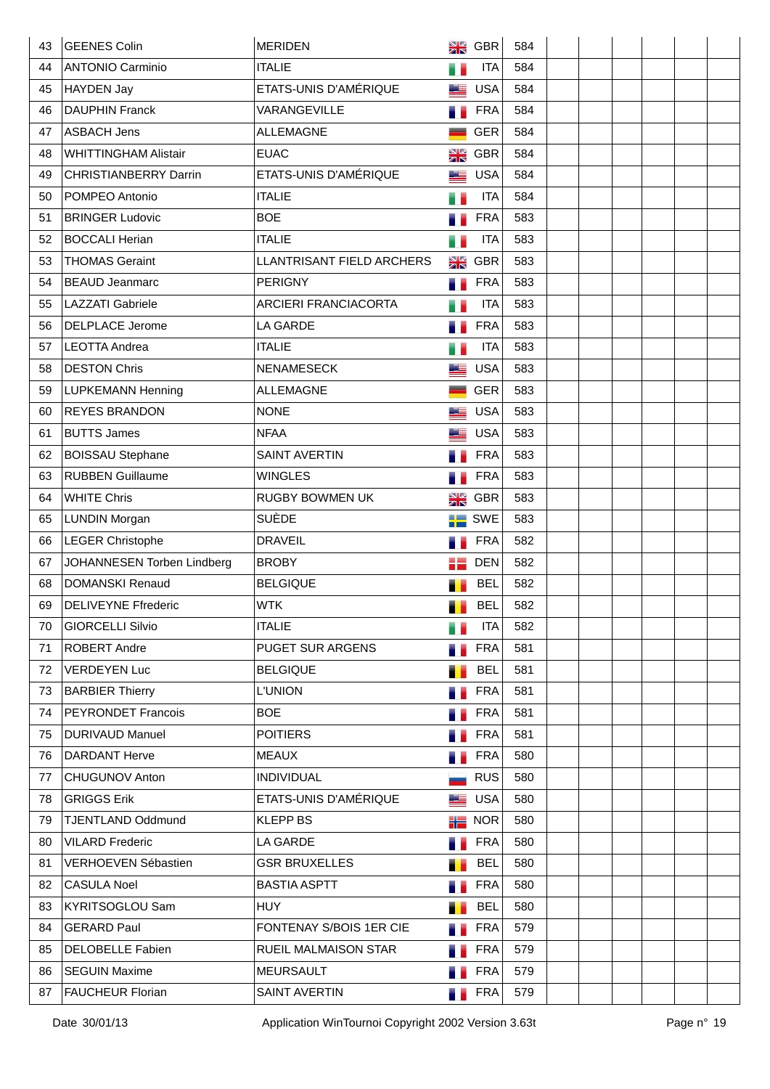| 43 | <b>GEENES Colin</b>          | <b>MERIDEN</b>              | NK         | GBR        | 584 |  |  |  |
|----|------------------------------|-----------------------------|------------|------------|-----|--|--|--|
| 44 | <b>ANTONIO Carminio</b>      | <b>ITALIE</b>               | e e        | <b>ITA</b> | 584 |  |  |  |
| 45 | HAYDEN Jay                   | ETATS-UNIS D'AMÉRIQUE       | Æ          | <b>USA</b> | 584 |  |  |  |
| 46 | <b>DAUPHIN Franck</b>        | VARANGEVILLE                |            | <b>FRA</b> | 584 |  |  |  |
| 47 | <b>ASBACH Jens</b>           | <b>ALLEMAGNE</b>            |            | <b>GER</b> | 584 |  |  |  |
| 48 | <b>WHITTINGHAM Alistair</b>  | <b>EUAC</b>                 | NK         | <b>GBR</b> | 584 |  |  |  |
| 49 | <b>CHRISTIANBERRY Darrin</b> | ETATS-UNIS D'AMÉRIQUE       | كتد        | <b>USA</b> | 584 |  |  |  |
| 50 | POMPEO Antonio               | <b>ITALIE</b>               | Ħ,         | <b>ITA</b> | 584 |  |  |  |
| 51 | <b>BRINGER Ludovic</b>       | <b>BOE</b>                  |            | <b>FRA</b> | 583 |  |  |  |
| 52 | BOCCALI Herian               | <b>ITALIE</b>               | u e        | <b>ITA</b> | 583 |  |  |  |
| 53 | <b>THOMAS Geraint</b>        | LLANTRISANT FIELD ARCHERS   | NK         | <b>GBR</b> | 583 |  |  |  |
| 54 | <b>BEAUD Jeanmarc</b>        | <b>PERIGNY</b>              | ۰.         | <b>FRA</b> | 583 |  |  |  |
| 55 | <b>LAZZATI</b> Gabriele      | <b>ARCIERI FRANCIACORTA</b> |            | <b>ITA</b> | 583 |  |  |  |
| 56 | <b>DELPLACE Jerome</b>       | LA GARDE                    |            | <b>FRA</b> | 583 |  |  |  |
| 57 | <b>LEOTTA Andrea</b>         | <b>ITALIE</b>               | e e        | <b>ITA</b> | 583 |  |  |  |
| 58 | <b>DESTON Chris</b>          | <b>NENAMESECK</b>           |            | <b>USA</b> | 583 |  |  |  |
| 59 | <b>LUPKEMANN Henning</b>     | <b>ALLEMAGNE</b>            |            | <b>GER</b> | 583 |  |  |  |
| 60 | <b>REYES BRANDON</b>         | <b>NONE</b>                 | <u>Ma</u>  | <b>USA</b> | 583 |  |  |  |
| 61 | <b>BUTTS James</b>           | <b>NFAA</b>                 | صح         | <b>USA</b> | 583 |  |  |  |
| 62 | <b>BOISSAU Stephane</b>      | <b>SAINT AVERTIN</b>        | m.         | <b>FRA</b> | 583 |  |  |  |
| 63 | <b>RUBBEN Guillaume</b>      | <b>WINGLES</b>              |            | <b>FRA</b> | 583 |  |  |  |
| 64 | <b>WHITE Chris</b>           | RUGBY BOWMEN UK             | NØ<br>ZK   | <b>GBR</b> | 583 |  |  |  |
| 65 | <b>LUNDIN Morgan</b>         | SUÈDE                       | ۵E         | <b>SWE</b> | 583 |  |  |  |
| 66 | <b>LEGER Christophe</b>      | <b>DRAVEIL</b>              |            | <b>FRA</b> | 582 |  |  |  |
| 67 | JOHANNESEN Torben Lindberg   | <b>BROBY</b>                | 있는<br>이 도움 | <b>DEN</b> | 582 |  |  |  |
| 68 | <b>DOMANSKI Renaud</b>       | <b>BELGIQUE</b>             |            | <b>BEL</b> | 582 |  |  |  |
| 69 | <b>DELIVEYNE Ffrederic</b>   | <b>WTK</b>                  |            | <b>BEL</b> | 582 |  |  |  |
| 70 | <b>GIORCELLI Silvio</b>      | <b>ITALIE</b>               | e e        | <b>ITA</b> | 582 |  |  |  |
| 71 | <b>ROBERT Andre</b>          | PUGET SUR ARGENS            | .,         | <b>FRA</b> | 581 |  |  |  |
| 72 | <b>VERDEYEN Luc</b>          | <b>BELGIQUE</b>             | П          | <b>BEL</b> | 581 |  |  |  |
| 73 | <b>BARBIER Thierry</b>       | <b>L'UNION</b>              |            | <b>FRA</b> | 581 |  |  |  |
| 74 | <b>PEYRONDET Francois</b>    | <b>BOE</b>                  |            | <b>FRA</b> | 581 |  |  |  |
| 75 | <b>DURIVAUD Manuel</b>       | <b>POITIERS</b>             |            | <b>FRA</b> | 581 |  |  |  |
| 76 | <b>DARDANT Herve</b>         | <b>MEAUX</b>                |            | <b>FRA</b> | 580 |  |  |  |
| 77 | <b>CHUGUNOV Anton</b>        | <b>INDIVIDUAL</b>           |            | <b>RUS</b> | 580 |  |  |  |
| 78 | <b>GRIGGS Erik</b>           | ETATS-UNIS D'AMÉRIQUE       | WE         | <b>USA</b> | 580 |  |  |  |
| 79 | <b>TJENTLAND Oddmund</b>     | <b>KLEPP BS</b>             | 詣          | <b>NOR</b> | 580 |  |  |  |
| 80 | <b>VILARD Frederic</b>       | LA GARDE                    | a e        | <b>FRA</b> | 580 |  |  |  |
| 81 | VERHOEVEN Sébastien          | <b>GSR BRUXELLES</b>        | п          | <b>BEL</b> | 580 |  |  |  |
| 82 | <b>CASULA Noel</b>           | <b>BASTIA ASPTT</b>         | a.         | <b>FRA</b> | 580 |  |  |  |
| 83 | KYRITSOGLOU Sam              | <b>HUY</b>                  | ш          | <b>BEL</b> | 580 |  |  |  |
| 84 | <b>GERARD Paul</b>           | FONTENAY S/BOIS 1ER CIE     | a e        | <b>FRA</b> | 579 |  |  |  |
| 85 | <b>DELOBELLE Fabien</b>      | RUEIL MALMAISON STAR        | a b        | <b>FRA</b> | 579 |  |  |  |
| 86 | <b>SEGUIN Maxime</b>         | <b>MEURSAULT</b>            |            | <b>FRA</b> | 579 |  |  |  |
| 87 | <b>FAUCHEUR Florian</b>      | <b>SAINT AVERTIN</b>        | a.         | <b>FRA</b> | 579 |  |  |  |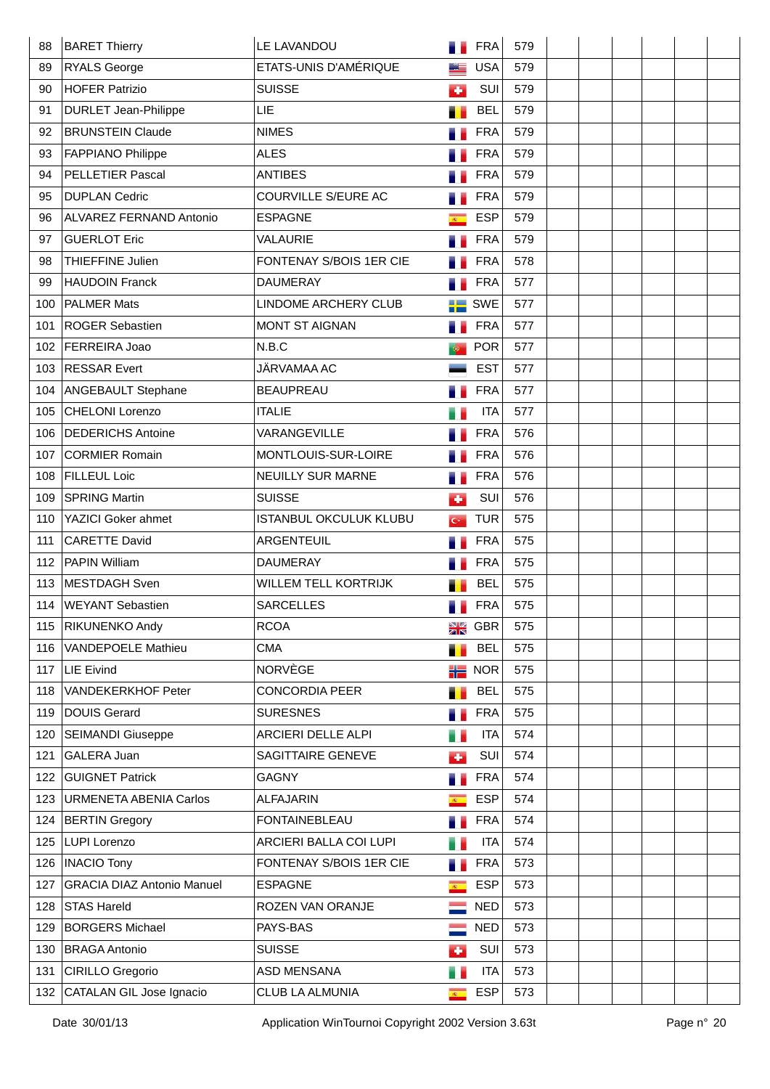| 88  | <b>BARET Thierry</b>              | LE LAVANDOU                   |                         | <b>FRA</b> | 579 |  |  |  |
|-----|-----------------------------------|-------------------------------|-------------------------|------------|-----|--|--|--|
| 89  | <b>RYALS George</b>               | ETATS-UNIS D'AMÉRIQUE         |                         | <b>USA</b> | 579 |  |  |  |
| 90  | <b>HOFER Patrizio</b>             | <b>SUISSE</b>                 | Ø.                      | SUI        | 579 |  |  |  |
| 91  | <b>DURLET Jean-Philippe</b>       | LIE                           |                         | <b>BEL</b> | 579 |  |  |  |
| 92  | <b>BRUNSTEIN Claude</b>           | <b>NIMES</b>                  |                         | <b>FRA</b> | 579 |  |  |  |
| 93  | <b>FAPPIANO Philippe</b>          | <b>ALES</b>                   |                         | <b>FRA</b> | 579 |  |  |  |
| 94  | PELLETIER Pascal                  | <b>ANTIBES</b>                |                         | <b>FRA</b> | 579 |  |  |  |
| 95  | <b>DUPLAN Cedric</b>              | COURVILLE S/EURE AC           |                         | <b>FRA</b> | 579 |  |  |  |
| 96  | ALVAREZ FERNAND Antonio           | <b>ESPAGNE</b>                | $\mathcal{R}^{\times}$  | <b>ESP</b> | 579 |  |  |  |
| 97  | <b>GUERLOT Eric</b>               | VALAURIE                      |                         | <b>FRA</b> | 579 |  |  |  |
| 98  | THIEFFINE Julien                  | FONTENAY S/BOIS 1ER CIE       |                         | <b>FRA</b> | 578 |  |  |  |
| 99  | <b>HAUDOIN Franck</b>             | <b>DAUMERAY</b>               |                         | <b>FRA</b> | 577 |  |  |  |
| 100 | <b>PALMER Mats</b>                | LINDOME ARCHERY CLUB          | ÷                       | <b>SWE</b> | 577 |  |  |  |
| 101 | <b>ROGER Sebastien</b>            | <b>MONT ST AIGNAN</b>         |                         | <b>FRA</b> | 577 |  |  |  |
| 102 | FERREIRA Joao                     | N.B.C                         |                         | <b>POR</b> | 577 |  |  |  |
| 103 | <b>RESSAR Evert</b>               | JÄRVAMAA AC                   |                         | <b>EST</b> | 577 |  |  |  |
| 104 | ANGEBAULT Stephane                | <b>BEAUPREAU</b>              |                         | <b>FRA</b> | 577 |  |  |  |
| 105 | <b>CHELONI Lorenzo</b>            | <b>ITALIE</b>                 |                         | <b>ITA</b> | 577 |  |  |  |
| 106 | <b>DEDERICHS Antoine</b>          | VARANGEVILLE                  |                         | <b>FRA</b> | 576 |  |  |  |
| 107 | <b>CORMIER Romain</b>             | MONTLOUIS-SUR-LOIRE           |                         | <b>FRA</b> | 576 |  |  |  |
| 108 | <b>FILLEUL Loic</b>               | NEUILLY SUR MARNE             |                         | <b>FRA</b> | 576 |  |  |  |
| 109 | <b>SPRING Martin</b>              | <b>SUISSE</b>                 | аÞ.                     | SUI        | 576 |  |  |  |
| 110 | YAZICI Goker ahmet                | <b>ISTANBUL OKCULUK KLUBU</b> | $G^*$                   | <b>TUR</b> | 575 |  |  |  |
| 111 | <b>CARETTE David</b>              | ARGENTEUIL                    |                         | <b>FRA</b> | 575 |  |  |  |
| 112 | PAPIN William                     | <b>DAUMERAY</b>               |                         | <b>FRA</b> | 575 |  |  |  |
| 113 | MESTDAGH Sven                     | <b>WILLEM TELL KORTRIJK</b>   |                         | <b>BEL</b> | 575 |  |  |  |
| 114 | <b>WEYANT Sebastien</b>           | <b>SARCELLES</b>              |                         | <b>FRA</b> | 575 |  |  |  |
| 115 | <b>RIKUNENKO Andy</b>             | <b>RCOA</b>                   | NØ                      | <b>GBR</b> | 575 |  |  |  |
| 116 | <b>VANDEPOELE Mathieu</b>         | <b>CMA</b>                    | п                       | <b>BEL</b> | 575 |  |  |  |
| 117 | LIE Eivind                        | NORVÈGE                       | 計畫                      | <b>NOR</b> | 575 |  |  |  |
| 118 | VANDEKERKHOF Peter                | <b>CONCORDIA PEER</b>         | .,                      | <b>BEL</b> | 575 |  |  |  |
| 119 | <b>DOUIS Gerard</b>               | <b>SURESNES</b>               | a.                      | <b>FRA</b> | 575 |  |  |  |
| 120 | <b>SEIMANDI Giuseppe</b>          | ARCIERI DELLE ALPI            | H.                      | <b>ITA</b> | 574 |  |  |  |
| 121 | GALERA Juan                       | SAGITTAIRE GENEVE             | d.                      | SUI        | 574 |  |  |  |
| 122 | <b>GUIGNET Patrick</b>            | <b>GAGNY</b>                  |                         | <b>FRA</b> | 574 |  |  |  |
| 123 | <b>URMENETA ABENIA Carlos</b>     | <b>ALFAJARIN</b>              | $\overline{R}$          | <b>ESP</b> | 574 |  |  |  |
| 124 | <b>BERTIN Gregory</b>             | <b>FONTAINEBLEAU</b>          | a.                      | <b>FRA</b> | 574 |  |  |  |
| 125 | LUPI Lorenzo                      | ARCIERI BALLA COI LUPI        |                         | <b>ITA</b> | 574 |  |  |  |
| 126 | <b>INACIO Tony</b>                | FONTENAY S/BOIS 1ER CIE       |                         | <b>FRA</b> | 573 |  |  |  |
| 127 | <b>GRACIA DIAZ Antonio Manuel</b> | <b>ESPAGNE</b>                | $\overline{R_{\rm{m}}}$ | <b>ESP</b> | 573 |  |  |  |
| 128 | <b>STAS Hareld</b>                | ROZEN VAN ORANJE              |                         | <b>NED</b> | 573 |  |  |  |
| 129 | <b>BORGERS Michael</b>            | PAYS-BAS                      |                         | <b>NED</b> | 573 |  |  |  |
| 130 | <b>BRAGA Antonio</b>              | <b>SUISSE</b>                 | ÷                       | SUI        | 573 |  |  |  |
| 131 | <b>CIRILLO Gregorio</b>           | ASD MENSANA                   | e.                      | <b>ITA</b> | 573 |  |  |  |
| 132 | CATALAN GIL Jose Ignacio          | CLUB LA ALMUNIA               | $\overline{R}$          | <b>ESP</b> | 573 |  |  |  |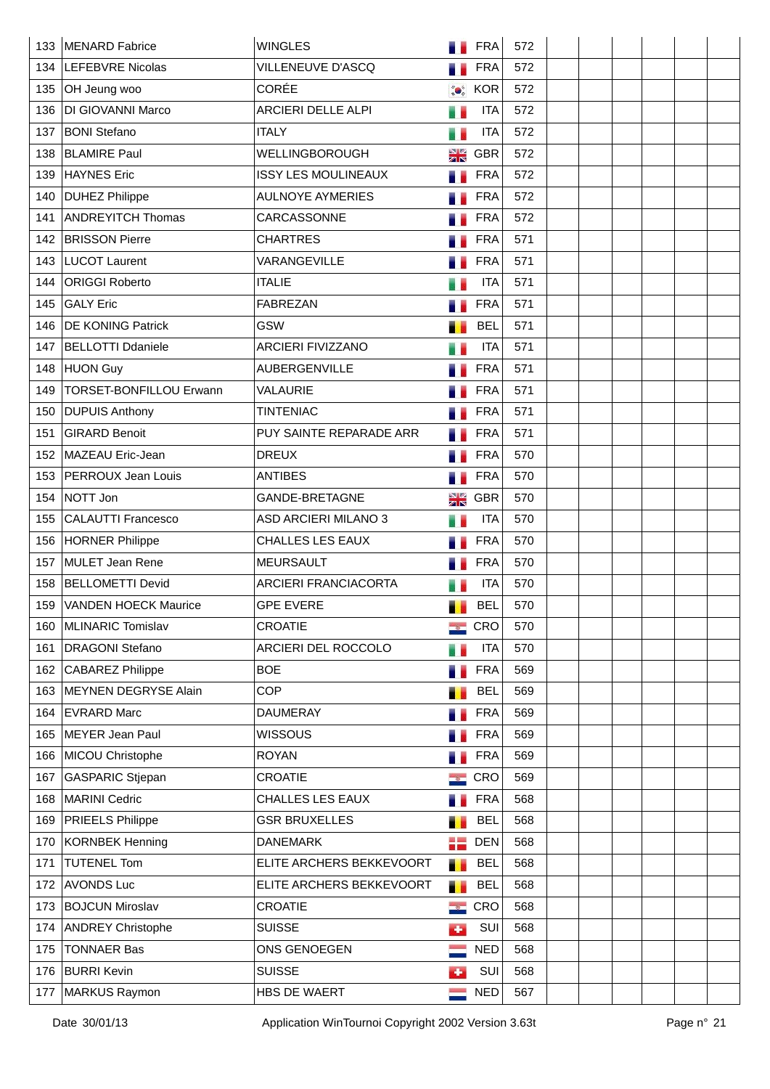| 133 | MENARD Fabrice                 | <b>WINGLES</b>              |               | <b>FRA</b> | 572 |  |  |  |
|-----|--------------------------------|-----------------------------|---------------|------------|-----|--|--|--|
| 134 | <b>LEFEBVRE Nicolas</b>        | VILLENEUVE D'ASCQ           |               | <b>FRA</b> | 572 |  |  |  |
| 135 | OH Jeung woo                   | <b>CORÉE</b>                | $\bullet$     | <b>KOR</b> | 572 |  |  |  |
| 136 | DI GIOVANNI Marco              | ARCIERI DELLE ALPI          | e.            | <b>ITA</b> | 572 |  |  |  |
| 137 | <b>BONI Stefano</b>            | <b>ITALY</b>                | e e           | <b>ITA</b> | 572 |  |  |  |
| 138 | <b>BLAMIRE Paul</b>            | WELLINGBOROUGH              | NØ            | GBR        | 572 |  |  |  |
| 139 | HAYNES Eric                    | <b>ISSY LES MOULINEAUX</b>  | 51            | <b>FRA</b> | 572 |  |  |  |
| 140 | <b>DUHEZ Philippe</b>          | <b>AULNOYE AYMERIES</b>     |               | <b>FRA</b> | 572 |  |  |  |
| 141 | <b>ANDREYITCH Thomas</b>       | CARCASSONNE                 |               | <b>FRA</b> | 572 |  |  |  |
| 142 | <b>BRISSON Pierre</b>          | <b>CHARTRES</b>             |               | <b>FRA</b> | 571 |  |  |  |
| 143 | LUCOT Laurent                  | VARANGEVILLE                |               | <b>FRA</b> | 571 |  |  |  |
| 144 | <b>ORIGGI Roberto</b>          | <b>ITALIE</b>               |               | <b>ITA</b> | 571 |  |  |  |
| 145 | <b>GALY Eric</b>               | <b>FABREZAN</b>             |               | <b>FRA</b> | 571 |  |  |  |
| 146 | <b>DE KONING Patrick</b>       | <b>GSW</b>                  |               | <b>BEL</b> | 571 |  |  |  |
| 147 | <b>BELLOTTI Ddaniele</b>       | ARCIERI FIVIZZANO           | H.            | <b>ITA</b> | 571 |  |  |  |
| 148 | HUON Guy                       | AUBERGENVILLE               |               | <b>FRA</b> | 571 |  |  |  |
| 149 | <b>TORSET-BONFILLOU Erwann</b> | VALAURIE                    |               | <b>FRA</b> | 571 |  |  |  |
| 150 | <b>DUPUIS Anthony</b>          | <b>TINTENIAC</b>            |               | <b>FRA</b> | 571 |  |  |  |
| 151 | <b>GIRARD Benoit</b>           | PUY SAINTE REPARADE ARR     |               | <b>FRA</b> | 571 |  |  |  |
| 152 | MAZEAU Eric-Jean               | <b>DREUX</b>                | ۳.            | <b>FRA</b> | 570 |  |  |  |
| 153 | PERROUX Jean Louis             | <b>ANTIBES</b>              |               | <b>FRA</b> | 570 |  |  |  |
| 154 | NOTT Jon                       | GANDE-BRETAGNE              | NØ<br>ZK      | <b>GBR</b> | 570 |  |  |  |
| 155 | <b>CALAUTTI Francesco</b>      | <b>ASD ARCIERI MILANO 3</b> | и.            | <b>ITA</b> | 570 |  |  |  |
| 156 | <b>HORNER Philippe</b>         | <b>CHALLES LES EAUX</b>     |               | <b>FRA</b> | 570 |  |  |  |
| 157 | MULET Jean Rene                | <b>MEURSAULT</b>            |               | <b>FRA</b> | 570 |  |  |  |
| 158 | <b>BELLOMETTI Devid</b>        | <b>ARCIERI FRANCIACORTA</b> |               | <b>ITA</b> | 570 |  |  |  |
| 159 | <b>VANDEN HOECK Maurice</b>    | <b>GPE EVERE</b>            |               | <b>BEL</b> | 570 |  |  |  |
| 160 | MLINARIC Tomislav              | <b>CROATIE</b>              | $\rightarrow$ | CRO        | 570 |  |  |  |
| 161 | <b>DRAGONI Stefano</b>         | ARCIERI DEL ROCCOLO         | H.            | <b>ITA</b> | 570 |  |  |  |
| 162 | <b>CABAREZ Philippe</b>        | <b>BOE</b>                  |               | <b>FRA</b> | 569 |  |  |  |
| 163 | <b>MEYNEN DEGRYSE Alain</b>    | <b>COP</b>                  |               | <b>BEL</b> | 569 |  |  |  |
| 164 | <b>EVRARD Marc</b>             | <b>DAUMERAY</b>             |               | <b>FRA</b> | 569 |  |  |  |
| 165 | MEYER Jean Paul                | <b>WISSOUS</b>              |               | <b>FRA</b> | 569 |  |  |  |
| 166 | MICOU Christophe               | <b>ROYAN</b>                |               | <b>FRA</b> | 569 |  |  |  |
| 167 | <b>GASPARIC Stjepan</b>        | CROATIE                     |               | <b>CRO</b> | 569 |  |  |  |
| 168 | MARINI Cedric                  | CHALLES LES EAUX            |               | <b>FRA</b> | 568 |  |  |  |
| 169 | <b>PRIEELS Philippe</b>        | <b>GSR BRUXELLES</b>        | Т.            | <b>BEL</b> | 568 |  |  |  |
| 170 | KORNBEK Henning                | <b>DANEMARK</b>             | 을 눈           | <b>DEN</b> | 568 |  |  |  |
| 171 | <b>TUTENEL Tom</b>             | ELITE ARCHERS BEKKEVOORT    | т             | <b>BEL</b> | 568 |  |  |  |
| 172 | <b>AVONDS Luc</b>              | ELITE ARCHERS BEKKEVOORT    | .,            | <b>BEL</b> | 568 |  |  |  |
| 173 | <b>BOJCUN Miroslav</b>         | <b>CROATIE</b>              | $\rightarrow$ | CRO        | 568 |  |  |  |
| 174 | <b>ANDREY Christophe</b>       | <b>SUISSE</b>               | k.            | SUI        | 568 |  |  |  |
| 175 | <b>TONNAER Bas</b>             | ONS GENOEGEN                |               | <b>NED</b> | 568 |  |  |  |
| 176 | <b>BURRI Kevin</b>             | <b>SUISSE</b>               | d.            | SUI        | 568 |  |  |  |
| 177 | MARKUS Raymon                  | HBS DE WAERT                |               | <b>NED</b> | 567 |  |  |  |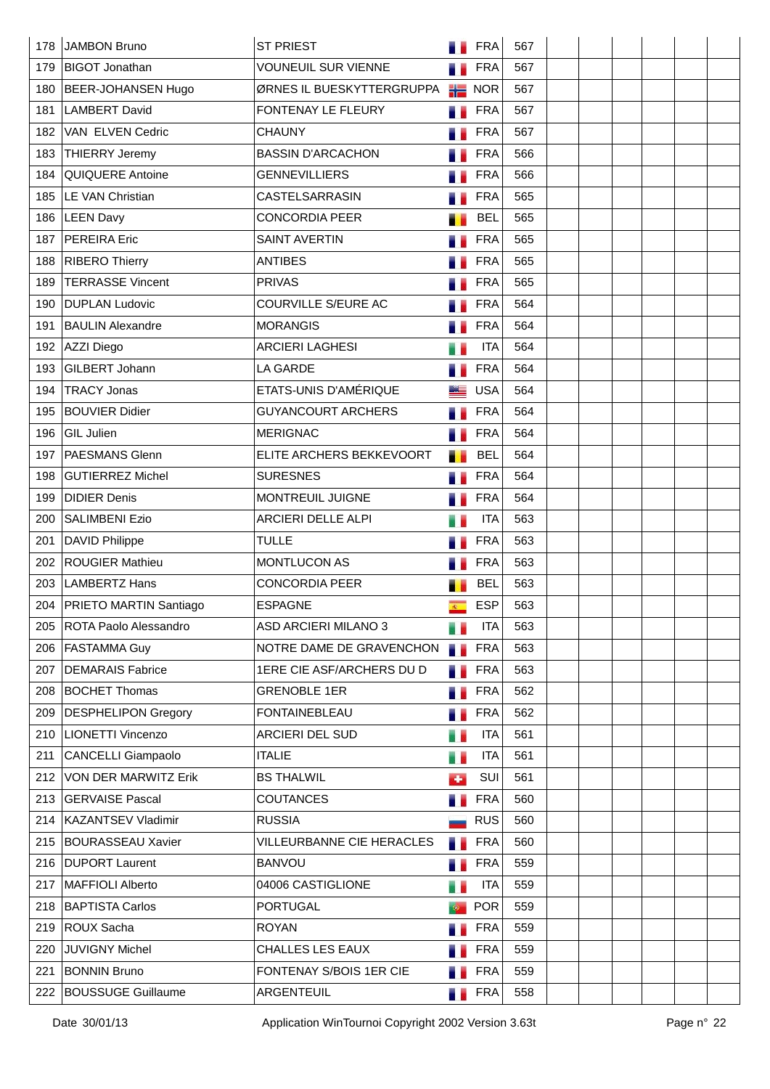| 178 | JAMBON Bruno                 | <b>ST PRIEST</b>            |                | <b>FRA</b>        | 567 |  |  |  |
|-----|------------------------------|-----------------------------|----------------|-------------------|-----|--|--|--|
| 179 | <b>BIGOT Jonathan</b>        | <b>VOUNEUIL SUR VIENNE</b>  |                | <b>FRA</b>        | 567 |  |  |  |
| 180 | BEER-JOHANSEN Hugo           | ØRNES IL BUESKYTTERGRUPPA   |                | $\frac{1}{2}$ NOR | 567 |  |  |  |
| 181 | <b>LAMBERT David</b>         | FONTENAY LE FLEURY          |                | <b>FRA</b>        | 567 |  |  |  |
| 182 | VAN ELVEN Cedric             | <b>CHAUNY</b>               |                | <b>FRA</b>        | 567 |  |  |  |
| 183 | <b>THIERRY Jeremy</b>        | <b>BASSIN D'ARCACHON</b>    |                | <b>FRA</b>        | 566 |  |  |  |
| 184 | QUIQUERE Antoine             | <b>GENNEVILLIERS</b>        |                | <b>FRA</b>        | 566 |  |  |  |
| 185 | LE VAN Christian             | CASTELSARRASIN              |                | <b>FRA</b>        | 565 |  |  |  |
| 186 | <b>LEEN Davy</b>             | <b>CONCORDIA PEER</b>       |                | <b>BEL</b>        | 565 |  |  |  |
| 187 | <b>PEREIRA Eric</b>          | <b>SAINT AVERTIN</b>        |                | <b>FRA</b>        | 565 |  |  |  |
| 188 | <b>RIBERO Thierry</b>        | <b>ANTIBES</b>              |                | <b>FRA</b>        | 565 |  |  |  |
| 189 | <b>TERRASSE Vincent</b>      | <b>PRIVAS</b>               |                | <b>FRA</b>        | 565 |  |  |  |
| 190 | <b>DUPLAN Ludovic</b>        | COURVILLE S/EURE AC         |                | <b>FRA</b>        | 564 |  |  |  |
| 191 | <b>BAULIN Alexandre</b>      | <b>MORANGIS</b>             |                | <b>FRA</b>        | 564 |  |  |  |
| 192 | AZZI Diego                   | <b>ARCIERI LAGHESI</b>      | w              | <b>ITA</b>        | 564 |  |  |  |
| 193 | GILBERT Johann               | <b>LA GARDE</b>             |                | <b>FRA</b>        | 564 |  |  |  |
| 194 | <b>TRACY Jonas</b>           | ETATS-UNIS D'AMÉRIQUE       | ME             | <b>USA</b>        | 564 |  |  |  |
| 195 | <b>BOUVIER Didier</b>        | <b>GUYANCOURT ARCHERS</b>   |                | <b>FRA</b>        | 564 |  |  |  |
| 196 | GIL Julien                   | <b>MERIGNAC</b>             |                | <b>FRA</b>        | 564 |  |  |  |
| 197 | PAESMANS Glenn               | ELITE ARCHERS BEKKEVOORT    | ٠.             | <b>BEL</b>        | 564 |  |  |  |
| 198 | <b>GUTIERREZ Michel</b>      | <b>SURESNES</b>             |                | <b>FRA</b>        | 564 |  |  |  |
| 199 | <b>DIDIER Denis</b>          | MONTREUIL JUIGNE            |                | <b>FRA</b>        | 564 |  |  |  |
| 200 | <b>SALIMBENI Ezio</b>        | ARCIERI DELLE ALPI          |                | <b>ITA</b>        | 563 |  |  |  |
| 201 | <b>DAVID Philippe</b>        | <b>TULLE</b>                |                | <b>FRA</b>        | 563 |  |  |  |
| 202 | <b>ROUGIER Mathieu</b>       | MONTLUCON AS                |                | <b>FRA</b>        | 563 |  |  |  |
| 203 | <b>LAMBERTZ Hans</b>         | <b>CONCORDIA PEER</b>       |                | <b>BEL</b>        | 563 |  |  |  |
| 204 | PRIETO MARTIN Santiago       | <b>ESPAGNE</b>              | $\mathbb{R}^n$ | <b>ESP</b>        | 563 |  |  |  |
| 205 | <b>ROTA Paolo Alessandro</b> | <b>ASD ARCIERI MILANO 3</b> |                | <b>ITA</b>        | 563 |  |  |  |
| 206 | <b>FASTAMMA Guy</b>          | NOTRE DAME DE GRAVENCHON    | . .            | <b>FRA</b>        | 563 |  |  |  |
| 207 | <b>DEMARAIS Fabrice</b>      | 1ERE CIE ASF/ARCHERS DU D   |                | <b>FRA</b>        | 563 |  |  |  |
| 208 | <b>BOCHET Thomas</b>         | <b>GRENOBLE 1ER</b>         | ۰.             | <b>FRA</b>        | 562 |  |  |  |
| 209 | <b>DESPHELIPON Gregory</b>   | <b>FONTAINEBLEAU</b>        | a.             | <b>FRA</b>        | 562 |  |  |  |
| 210 | <b>LIONETTI Vincenzo</b>     | <b>ARCIERI DEL SUD</b>      | e.             | <b>ITA</b>        | 561 |  |  |  |
| 211 | <b>CANCELLI Giampaolo</b>    | <b>ITALIE</b>               | u,             | <b>ITA</b>        | 561 |  |  |  |
| 212 | VON DER MARWITZ Erik         | <b>BS THALWIL</b>           | ÷              | SUI               | 561 |  |  |  |
| 213 | <b>GERVAISE Pascal</b>       | <b>COUTANCES</b>            | a.             | <b>FRA</b>        | 560 |  |  |  |
| 214 | <b>KAZANTSEV Vladimir</b>    | <b>RUSSIA</b>               |                | <b>RUS</b>        | 560 |  |  |  |
| 215 | <b>BOURASSEAU Xavier</b>     | VILLEURBANNE CIE HERACLES   | в.             | <b>FRA</b>        | 560 |  |  |  |
| 216 | <b>DUPORT Laurent</b>        | <b>BANVOU</b>               |                | <b>FRA</b>        | 559 |  |  |  |
| 217 | MAFFIOLI Alberto             | 04006 CASTIGLIONE           | e.             | <b>ITA</b>        | 559 |  |  |  |
| 218 | <b>BAPTISTA Carlos</b>       | <b>PORTUGAL</b>             |                | <b>POR</b>        | 559 |  |  |  |
| 219 | <b>ROUX Sacha</b>            | <b>ROYAN</b>                | a e            | <b>FRA</b>        | 559 |  |  |  |
| 220 | JUVIGNY Michel               | CHALLES LES EAUX            |                | <b>FRA</b>        | 559 |  |  |  |
| 221 | <b>BONNIN Bruno</b>          | FONTENAY S/BOIS 1ER CIE     |                | <b>FRA</b>        | 559 |  |  |  |
| 222 | <b>BOUSSUGE Guillaume</b>    | ARGENTEUIL                  | a.             | <b>FRA</b>        | 558 |  |  |  |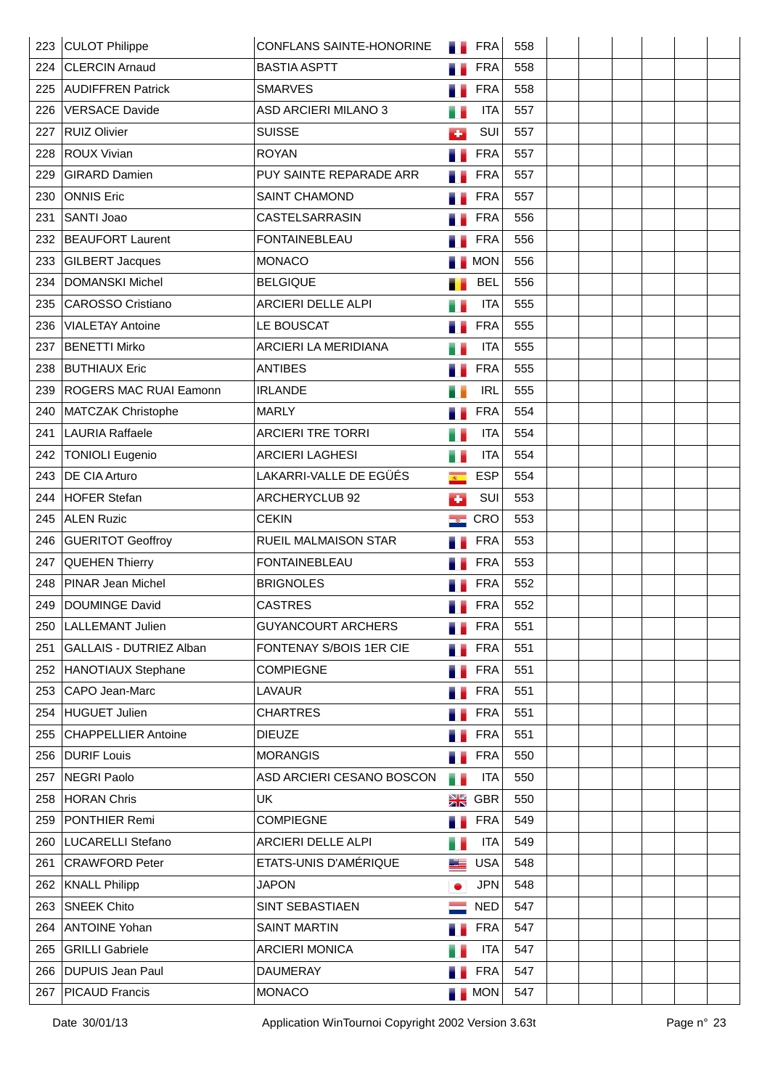| 223 | <b>CULOT Philippe</b>          | <b>CONFLANS SAINTE-HONORINE</b> | a a                         | <b>FRA</b> | 558 |  |  |  |
|-----|--------------------------------|---------------------------------|-----------------------------|------------|-----|--|--|--|
| 224 | <b>CLERCIN Arnaud</b>          | <b>BASTIA ASPTT</b>             |                             | <b>FRA</b> | 558 |  |  |  |
|     | 225 AUDIFFREN Patrick          | <b>SMARVES</b>                  |                             | <b>FRA</b> | 558 |  |  |  |
| 226 | <b>VERSACE Davide</b>          | ASD ARCIERI MILANO 3            |                             | <b>ITA</b> | 557 |  |  |  |
| 227 | <b>RUIZ Olivier</b>            | <b>SUISSE</b>                   | d.                          | SUI        | 557 |  |  |  |
| 228 | <b>ROUX Vivian</b>             | <b>ROYAN</b>                    |                             | <b>FRA</b> | 557 |  |  |  |
| 229 | <b>GIRARD Damien</b>           | PUY SAINTE REPARADE ARR         |                             | <b>FRA</b> | 557 |  |  |  |
| 230 | <b>ONNIS Eric</b>              | SAINT CHAMOND                   |                             | <b>FRA</b> | 557 |  |  |  |
| 231 | SANTI Joao                     | CASTELSARRASIN                  |                             | <b>FRA</b> | 556 |  |  |  |
| 232 | <b>BEAUFORT Laurent</b>        | <b>FONTAINEBLEAU</b>            |                             | <b>FRA</b> | 556 |  |  |  |
| 233 | GILBERT Jacques                | <b>MONACO</b>                   |                             | <b>MON</b> | 556 |  |  |  |
| 234 | <b>DOMANSKI Michel</b>         | <b>BELGIQUE</b>                 |                             | <b>BEL</b> | 556 |  |  |  |
| 235 | <b>CAROSSO Cristiano</b>       | ARCIERI DELLE ALPI              |                             | <b>ITA</b> | 555 |  |  |  |
| 236 | <b>VIALETAY Antoine</b>        | LE BOUSCAT                      |                             | <b>FRA</b> | 555 |  |  |  |
| 237 | <b>BENETTI Mirko</b>           | ARCIERI LA MERIDIANA            |                             | <b>ITA</b> | 555 |  |  |  |
| 238 | <b>BUTHIAUX Eric</b>           | <b>ANTIBES</b>                  |                             | <b>FRA</b> | 555 |  |  |  |
| 239 | <b>ROGERS MAC RUAI Eamonn</b>  | <b>IRLANDE</b>                  |                             | <b>IRL</b> | 555 |  |  |  |
| 240 | MATCZAK Christophe             | <b>MARLY</b>                    |                             | <b>FRA</b> | 554 |  |  |  |
| 241 | <b>LAURIA Raffaele</b>         | <b>ARCIERI TRE TORRI</b>        |                             | <b>ITA</b> | 554 |  |  |  |
| 242 | <b>TONIOLI Eugenio</b>         | <b>ARCIERI LAGHESI</b>          | a.                          | <b>ITA</b> | 554 |  |  |  |
| 243 | <b>DE CIA Arturo</b>           | LAKARRI-VALLE DE EGÜÉS          | $\overline{\mathbb{R}}$     | <b>ESP</b> | 554 |  |  |  |
| 244 | HOFER Stefan                   | ARCHERYCLUB 92                  | o                           | SUI        | 553 |  |  |  |
| 245 | <b>ALEN Ruzic</b>              | <b>CEKIN</b>                    | $\mathcal{L}_{\mathcal{S}}$ | <b>CRO</b> | 553 |  |  |  |
|     | 246 GUERITOT Geoffroy          | <b>RUEIL MALMAISON STAR</b>     |                             | <b>FRA</b> | 553 |  |  |  |
| 247 | <b>QUEHEN Thierry</b>          | <b>FONTAINEBLEAU</b>            |                             | <b>FRA</b> | 553 |  |  |  |
| 248 | PINAR Jean Michel              | <b>BRIGNOLES</b>                |                             | <b>FRA</b> | 552 |  |  |  |
| 249 | <b>DOUMINGE David</b>          | <b>CASTRES</b>                  |                             | <b>FRA</b> | 552 |  |  |  |
| 250 | LALLEMANT Julien               | <b>GUYANCOURT ARCHERS</b>       |                             | <b>FRA</b> | 551 |  |  |  |
| 251 | <b>GALLAIS - DUTRIEZ Alban</b> | FONTENAY S/BOIS 1ER CIE         |                             | <b>FRA</b> | 551 |  |  |  |
| 252 | HANOTIAUX Stephane             | <b>COMPIEGNE</b>                |                             | <b>FRA</b> | 551 |  |  |  |
| 253 | CAPO Jean-Marc                 | <b>LAVAUR</b>                   |                             | <b>FRA</b> | 551 |  |  |  |
| 254 | <b>HUGUET Julien</b>           | <b>CHARTRES</b>                 |                             | <b>FRA</b> | 551 |  |  |  |
| 255 | <b>CHAPPELLIER Antoine</b>     | <b>DIEUZE</b>                   |                             | <b>FRA</b> | 551 |  |  |  |
| 256 | <b>DURIF Louis</b>             | <b>MORANGIS</b>                 |                             | <b>FRA</b> | 550 |  |  |  |
| 257 | <b>NEGRI Paolo</b>             | ASD ARCIERI CESANO BOSCON       | e e                         | <b>ITA</b> | 550 |  |  |  |
| 258 | HORAN Chris                    | <b>UK</b>                       | N Z<br>Z R                  | <b>GBR</b> | 550 |  |  |  |
| 259 | PONTHIER Remi                  | <b>COMPIEGNE</b>                | u e                         | <b>FRA</b> | 549 |  |  |  |
| 260 | LUCARELLI Stefano              | ARCIERI DELLE ALPI              | н.                          | <b>ITA</b> | 549 |  |  |  |
| 261 | <b>CRAWFORD Peter</b>          | ETATS-UNIS D'AMÉRIQUE           | ▁▓▆                         | <b>USA</b> | 548 |  |  |  |
| 262 | <b>KNALL Philipp</b>           | <b>JAPON</b>                    | ۰                           | <b>JPN</b> | 548 |  |  |  |
| 263 | <b>SNEEK Chito</b>             | SINT SEBASTIAEN                 |                             | <b>NED</b> | 547 |  |  |  |
| 264 | <b>ANTOINE Yohan</b>           | <b>SAINT MARTIN</b>             | a.                          | <b>FRA</b> | 547 |  |  |  |
| 265 | <b>GRILLI Gabriele</b>         | <b>ARCIERI MONICA</b>           |                             | <b>ITA</b> | 547 |  |  |  |
| 266 | DUPUIS Jean Paul               | <b>DAUMERAY</b>                 |                             | <b>FRA</b> | 547 |  |  |  |
| 267 | <b>PICAUD Francis</b>          | <b>MONACO</b>                   |                             | <b>MON</b> | 547 |  |  |  |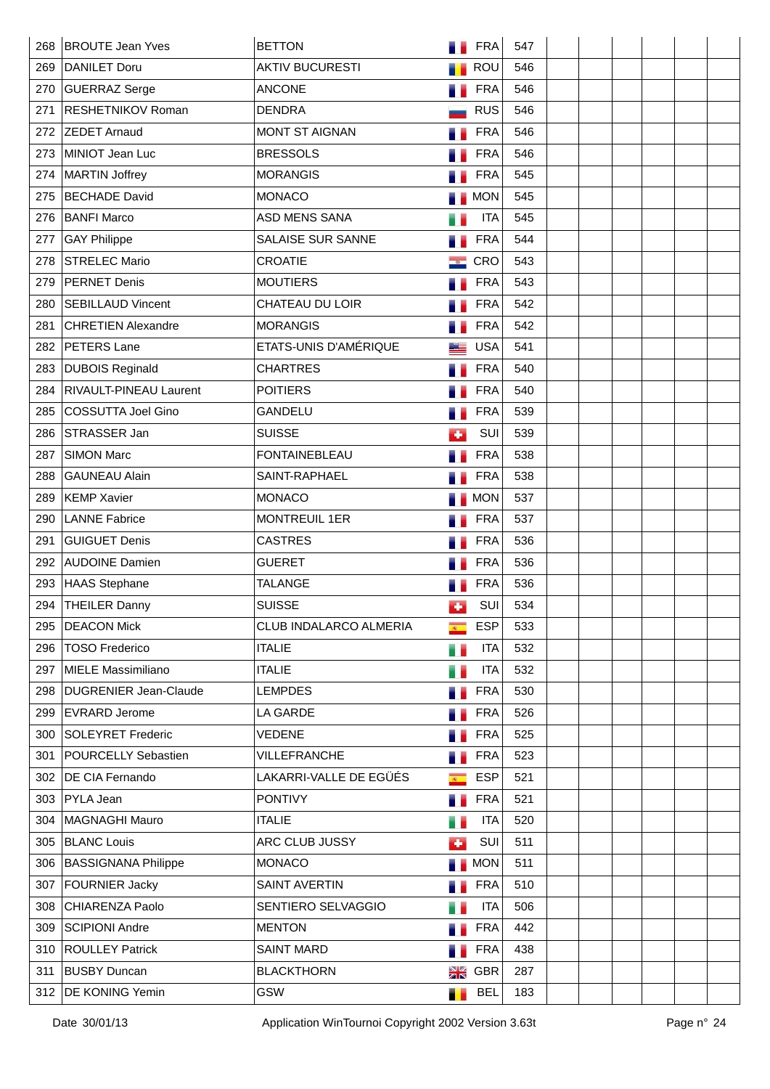| 268 | <b>BROUTE Jean Yves</b>       | <b>BETTON</b>          |                | <b>FRA</b> | 547 |  |  |  |
|-----|-------------------------------|------------------------|----------------|------------|-----|--|--|--|
| 269 | DANILET Doru                  | <b>AKTIV BUCURESTI</b> |                | ROU        | 546 |  |  |  |
| 270 | GUERRAZ Serge                 | <b>ANCONE</b>          | a s            | <b>FRA</b> | 546 |  |  |  |
| 271 | <b>RESHETNIKOV Roman</b>      | <b>DENDRA</b>          |                | <b>RUS</b> | 546 |  |  |  |
| 272 | <b>ZEDET Arnaud</b>           | <b>MONT ST AIGNAN</b>  |                | <b>FRA</b> | 546 |  |  |  |
| 273 | MINIOT Jean Luc               | <b>BRESSOLS</b>        |                | <b>FRA</b> | 546 |  |  |  |
| 274 | MARTIN Joffrey                | <b>MORANGIS</b>        |                | <b>FRA</b> | 545 |  |  |  |
| 275 | <b>BECHADE David</b>          | <b>MONACO</b>          |                | <b>MON</b> | 545 |  |  |  |
| 276 | <b>BANFI Marco</b>            | ASD MENS SANA          |                | <b>ITA</b> | 545 |  |  |  |
| 277 | <b>GAY Philippe</b>           | SALAISE SUR SANNE      |                | <b>FRA</b> | 544 |  |  |  |
| 278 | <b>STRELEC Mario</b>          | <b>CROATIE</b>         |                | CRO        | 543 |  |  |  |
| 279 | <b>PERNET Denis</b>           | <b>MOUTIERS</b>        |                | <b>FRA</b> | 543 |  |  |  |
| 280 | <b>SEBILLAUD Vincent</b>      | CHATEAU DU LOIR        |                | <b>FRA</b> | 542 |  |  |  |
| 281 | <b>CHRETIEN Alexandre</b>     | <b>MORANGIS</b>        |                | <b>FRA</b> | 542 |  |  |  |
| 282 | PETERS Lane                   | ETATS-UNIS D'AMÉRIQUE  |                | <b>USA</b> | 541 |  |  |  |
| 283 | <b>DUBOIS Reginald</b>        | <b>CHARTRES</b>        | . .            | <b>FRA</b> | 540 |  |  |  |
| 284 | <b>RIVAULT-PINEAU Laurent</b> | <b>POITIERS</b>        |                | <b>FRA</b> | 540 |  |  |  |
| 285 | <b>COSSUTTA Joel Gino</b>     | GANDELU                |                | <b>FRA</b> | 539 |  |  |  |
| 286 | STRASSER Jan                  | <b>SUISSE</b>          | ٠              | SUI        | 539 |  |  |  |
| 287 | <b>SIMON Marc</b>             | <b>FONTAINEBLEAU</b>   | n e            | <b>FRA</b> | 538 |  |  |  |
| 288 | <b>GAUNEAU Alain</b>          | SAINT-RAPHAEL          |                | <b>FRA</b> | 538 |  |  |  |
| 289 | <b>KEMP Xavier</b>            | <b>MONACO</b>          |                | <b>MON</b> | 537 |  |  |  |
| 290 | <b>LANNE Fabrice</b>          | <b>MONTREUIL 1ER</b>   |                | <b>FRA</b> | 537 |  |  |  |
| 291 | <b>GUIGUET Denis</b>          | <b>CASTRES</b>         |                | <b>FRA</b> | 536 |  |  |  |
| 292 | <b>AUDOINE Damien</b>         | <b>GUERET</b>          |                | <b>FRA</b> | 536 |  |  |  |
| 293 | HAAS Stephane                 | <b>TALANGE</b>         |                | <b>FRA</b> | 536 |  |  |  |
| 294 | <b>THEILER Danny</b>          | <b>SUISSE</b>          | Œ              | SUI        | 534 |  |  |  |
| 295 | <b>DEACON Mick</b>            | CLUB INDALARCO ALMERIA | $R^+$          | <b>ESP</b> | 533 |  |  |  |
|     | 296   TOSO Frederico          | <b>ITALIE</b>          | u e            | <b>ITA</b> | 532 |  |  |  |
| 297 | MIELE Massimiliano            | <b>ITALIE</b>          | H.             | <b>ITA</b> | 532 |  |  |  |
| 298 | <b>DUGRENIER Jean-Claude</b>  | <b>LEMPDES</b>         | ш              | <b>FRA</b> | 530 |  |  |  |
| 299 | <b>EVRARD Jerome</b>          | LA GARDE               | a.             | <b>FRA</b> | 526 |  |  |  |
| 300 | SOLEYRET Frederic             | <b>VEDENE</b>          | a.             | <b>FRA</b> | 525 |  |  |  |
| 301 | POURCELLY Sebastien           | VILLEFRANCHE           | ٠              | <b>FRA</b> | 523 |  |  |  |
| 302 | DE CIA Fernando               | LAKARRI-VALLE DE EGÜÉS | $\overline{R}$ | <b>ESP</b> | 521 |  |  |  |
| 303 | <b>PYLA Jean</b>              | <b>PONTIVY</b>         | a e            | <b>FRA</b> | 521 |  |  |  |
| 304 | MAGNAGHI Mauro                | <b>ITALIE</b>          | u d            | <b>ITA</b> | 520 |  |  |  |
| 305 | <b>BLANC Louis</b>            | ARC CLUB JUSSY         | d.             | SUI        | 511 |  |  |  |
| 306 | <b>BASSIGNANA Philippe</b>    | <b>MONACO</b>          |                | <b>MON</b> | 511 |  |  |  |
| 307 | <b>FOURNIER Jacky</b>         | <b>SAINT AVERTIN</b>   | a.             | <b>FRA</b> | 510 |  |  |  |
| 308 | CHIARENZA Paolo               | SENTIERO SELVAGGIO     | .,             | <b>ITA</b> | 506 |  |  |  |
| 309 | SCIPIONI Andre                | <b>MENTON</b>          | a.             | <b>FRA</b> | 442 |  |  |  |
| 310 | <b>ROULLEY Patrick</b>        | <b>SAINT MARD</b>      | ٠              | <b>FRA</b> | 438 |  |  |  |
| 311 | <b>BUSBY Duncan</b>           | <b>BLACKTHORN</b>      | NØ<br>ZIN      | <b>GBR</b> | 287 |  |  |  |
| 312 | DE KONING Yemin               | GSW                    | ٠.             | <b>BEL</b> | 183 |  |  |  |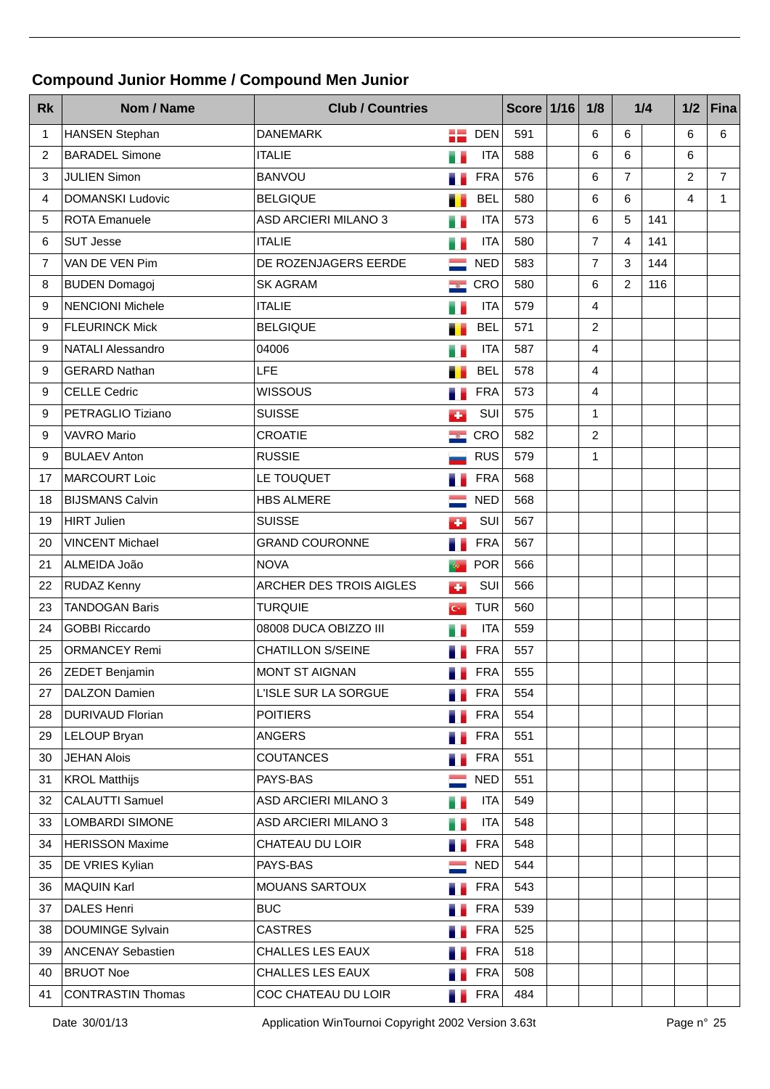## **Compound Junior Homme / Compound Men Junior**

| <b>Rk</b>      | Nom / Name               | <b>Club / Countries</b>     |                             |            |     |  |                |                |     | <b>Score 1/16</b> | 1/8            |  | 1/4 | $1/2$ | Fina |
|----------------|--------------------------|-----------------------------|-----------------------------|------------|-----|--|----------------|----------------|-----|-------------------|----------------|--|-----|-------|------|
| 1              | <b>HANSEN Stephan</b>    | <b>DANEMARK</b>             |                             | <b>DEN</b> | 591 |  | 6              | 6              |     | 6                 | 6              |  |     |       |      |
| $\overline{c}$ | <b>BARADEL Simone</b>    | <b>ITALIE</b>               | 7                           | <b>ITA</b> | 588 |  | 6              | 6              |     | 6                 |                |  |     |       |      |
| 3              | <b>JULIEN Simon</b>      | <b>BANVOU</b>               | ×.                          | <b>FRA</b> | 576 |  | 6              | $\overline{7}$ |     | 2                 | $\overline{7}$ |  |     |       |      |
| 4              | <b>DOMANSKI Ludovic</b>  | <b>BELGIQUE</b>             |                             | <b>BEL</b> | 580 |  | 6              | 6              |     | 4                 | $\mathbf{1}$   |  |     |       |      |
| 5              | <b>ROTA Emanuele</b>     | <b>ASD ARCIERI MILANO 3</b> | Ħ,                          | <b>ITA</b> | 573 |  | 6              | 5              | 141 |                   |                |  |     |       |      |
| 6              | <b>SUT Jesse</b>         | <b>ITALIE</b>               |                             | <b>ITA</b> | 580 |  | $\overline{7}$ | $\overline{4}$ | 141 |                   |                |  |     |       |      |
| 7              | VAN DE VEN Pim           | DE ROZENJAGERS EERDE        |                             | <b>NED</b> | 583 |  | $\overline{7}$ | 3              | 144 |                   |                |  |     |       |      |
| 8              | <b>BUDEN Domagoj</b>     | <b>SK AGRAM</b>             | - 1877                      | CRO        | 580 |  | 6              | $\overline{2}$ | 116 |                   |                |  |     |       |      |
| 9              | <b>NENCIONI Michele</b>  | <b>ITALIE</b>               |                             | <b>ITA</b> | 579 |  | $\overline{4}$ |                |     |                   |                |  |     |       |      |
| 9              | <b>FLEURINCK Mick</b>    | <b>BELGIQUE</b>             | п                           | <b>BEL</b> | 571 |  | $\overline{c}$ |                |     |                   |                |  |     |       |      |
| 9              | <b>NATALI Alessandro</b> | 04006                       |                             | <b>ITA</b> | 587 |  | $\overline{4}$ |                |     |                   |                |  |     |       |      |
| 9              | <b>GERARD Nathan</b>     | LFE                         |                             | <b>BEL</b> | 578 |  | $\overline{4}$ |                |     |                   |                |  |     |       |      |
| 9              | <b>CELLE Cedric</b>      | <b>WISSOUS</b>              |                             | <b>FRA</b> | 573 |  | $\overline{4}$ |                |     |                   |                |  |     |       |      |
| 9              | PETRAGLIO Tiziano        | <b>SUISSE</b>               | ٠                           | SUI        | 575 |  | $\mathbf{1}$   |                |     |                   |                |  |     |       |      |
| 9              | <b>VAVRO Mario</b>       | CROATIE                     | $\mathcal{L}_{\mathcal{S}}$ | CRO        | 582 |  | $\overline{2}$ |                |     |                   |                |  |     |       |      |
| 9              | <b>BULAEV Anton</b>      | <b>RUSSIE</b>               |                             | <b>RUS</b> | 579 |  | 1              |                |     |                   |                |  |     |       |      |
| 17             | MARCOURT Loic            | LE TOUQUET                  |                             | <b>FRA</b> | 568 |  |                |                |     |                   |                |  |     |       |      |
| 18             | <b>BIJSMANS Calvin</b>   | <b>HBS ALMERE</b>           |                             | <b>NED</b> | 568 |  |                |                |     |                   |                |  |     |       |      |
| 19             | HIRT Julien              | <b>SUISSE</b>               | ٠                           | SUI        | 567 |  |                |                |     |                   |                |  |     |       |      |
| 20             | <b>VINCENT Michael</b>   | <b>GRAND COURONNE</b>       |                             | <b>FRA</b> | 567 |  |                |                |     |                   |                |  |     |       |      |
| 21             | ALMEIDA João             | <b>NOVA</b>                 | 中                           | <b>POR</b> | 566 |  |                |                |     |                   |                |  |     |       |      |
| 22             | <b>RUDAZ Kenny</b>       | ARCHER DES TROIS AIGLES     | ÷                           | SUI        | 566 |  |                |                |     |                   |                |  |     |       |      |
| 23             | <b>TANDOGAN Baris</b>    | <b>TURQUIE</b>              | $\mathbf{G}$                | <b>TUR</b> | 560 |  |                |                |     |                   |                |  |     |       |      |
| 24             | <b>GOBBI Riccardo</b>    | 08008 DUCA OBIZZO III       |                             | <b>ITA</b> | 559 |  |                |                |     |                   |                |  |     |       |      |
| 25             | <b>ORMANCEY Remi</b>     | <b>CHATILLON S/SEINE</b>    |                             | <b>FRA</b> | 557 |  |                |                |     |                   |                |  |     |       |      |
| 26             | <b>ZEDET Benjamin</b>    | <b>MONT ST AIGNAN</b>       | n e<br><b>STATISTICS</b>    | <b>FRA</b> | 555 |  |                |                |     |                   |                |  |     |       |      |
| 27             | DALZON Damien            | L'ISLE SUR LA SORGUE        | 68                          | <b>FRA</b> | 554 |  |                |                |     |                   |                |  |     |       |      |
| 28             | <b>DURIVAUD Florian</b>  | <b>POITIERS</b>             | н.                          | <b>FRA</b> | 554 |  |                |                |     |                   |                |  |     |       |      |
| 29             | LELOUP Bryan             | <b>ANGERS</b>               |                             | <b>FRA</b> | 551 |  |                |                |     |                   |                |  |     |       |      |
| 30             | <b>JEHAN Alois</b>       | COUTANCES                   |                             | <b>FRA</b> | 551 |  |                |                |     |                   |                |  |     |       |      |
| 31             | <b>KROL Matthijs</b>     | PAYS-BAS                    |                             | <b>NED</b> | 551 |  |                |                |     |                   |                |  |     |       |      |
| 32             | CALAUTTI Samuel          | ASD ARCIERI MILANO 3        | e.                          | <b>ITA</b> | 549 |  |                |                |     |                   |                |  |     |       |      |
| 33             | <b>LOMBARDI SIMONE</b>   | ASD ARCIERI MILANO 3        |                             | <b>ITA</b> | 548 |  |                |                |     |                   |                |  |     |       |      |
| 34             | <b>HERISSON Maxime</b>   | CHATEAU DU LOIR             | . .                         | <b>FRA</b> | 548 |  |                |                |     |                   |                |  |     |       |      |
| 35             | DE VRIES Kylian          | PAYS-BAS                    |                             | <b>NED</b> | 544 |  |                |                |     |                   |                |  |     |       |      |
| 36             | MAQUIN Karl              | MOUANS SARTOUX              |                             | <b>FRA</b> | 543 |  |                |                |     |                   |                |  |     |       |      |
| 37             | DALES Henri              | <b>BUC</b>                  |                             | <b>FRA</b> | 539 |  |                |                |     |                   |                |  |     |       |      |
| 38             | <b>DOUMINGE Sylvain</b>  | <b>CASTRES</b>              |                             | <b>FRA</b> | 525 |  |                |                |     |                   |                |  |     |       |      |
| 39             | <b>ANCENAY Sebastien</b> | CHALLES LES EAUX            |                             | <b>FRA</b> | 518 |  |                |                |     |                   |                |  |     |       |      |
| 40             | <b>BRUOT Noe</b>         | CHALLES LES EAUX            | . .                         | <b>FRA</b> | 508 |  |                |                |     |                   |                |  |     |       |      |
| 41             | CONTRASTIN Thomas        | COC CHATEAU DU LOIR         | a.                          | FRA        | 484 |  |                |                |     |                   |                |  |     |       |      |